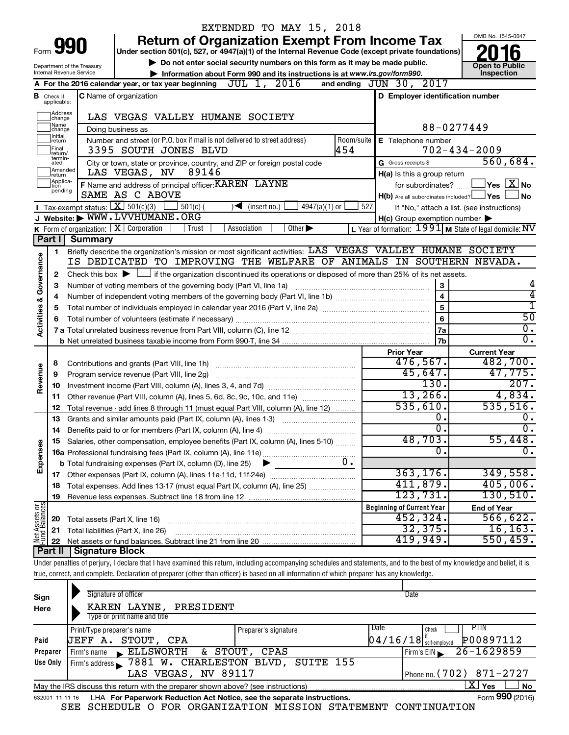|                         |                               |                                | EXTENDED TO MAY 15, 2018                                                                                                                                                   |     |                                                     |                                                                                     |
|-------------------------|-------------------------------|--------------------------------|----------------------------------------------------------------------------------------------------------------------------------------------------------------------------|-----|-----------------------------------------------------|-------------------------------------------------------------------------------------|
|                         |                               | Form 990                       | <b>Return of Organization Exempt From Income Tax</b>                                                                                                                       |     |                                                     | OMB No. 1545-0047                                                                   |
|                         |                               |                                | Under section 501(c), 527, or 4947(a)(1) of the Internal Revenue Code (except private foundations)                                                                         |     |                                                     |                                                                                     |
|                         |                               | Department of the Treasury     | Do not enter social security numbers on this form as it may be made public.                                                                                                |     |                                                     | <b>Open to Public</b>                                                               |
|                         |                               | Internal Revenue Service       | Information about Form 990 and its instructions is at www.irs.gov/form990.<br>A For the 2016 calendar year, or tax year beginning $JUL$ 1, $2016$                          |     | and ending JUN 30, 2017                             | Inspection                                                                          |
|                         |                               |                                |                                                                                                                                                                            |     |                                                     |                                                                                     |
|                         | <b>B</b> Check if applicable: |                                | <b>C</b> Name of organization                                                                                                                                              |     | D Employer identification number                    |                                                                                     |
|                         | Address<br> change            |                                | LAS VEGAS VALLEY HUMANE SOCIETY                                                                                                                                            |     |                                                     |                                                                                     |
|                         | Name<br>change                |                                | Doing business as                                                                                                                                                          |     |                                                     | 88-0277449                                                                          |
|                         | Ilnitial<br> return           |                                | Number and street (or P.O. box if mail is not delivered to street address)                                                                                                 |     | Room/suite   E Telephone number                     |                                                                                     |
|                         | Final<br>return/              |                                | 3395 SOUTH JONES BLVD                                                                                                                                                      | 454 |                                                     | $702 - 434 - 2009$                                                                  |
|                         | termin-<br>ated               |                                | City or town, state or province, country, and ZIP or foreign postal code                                                                                                   |     | G Gross receipts \$                                 | 560,684.                                                                            |
|                         | Amended<br>Ireturn            |                                | 89146<br>LAS VEGAS, NV                                                                                                                                                     |     | H(a) Is this a group return                         |                                                                                     |
|                         | Applica-<br>tion              |                                | F Name and address of principal officer: KAREN LAYNE                                                                                                                       |     | for subordinates?                                   | $ {\mathsf Y}\mathsf{es} \mathrel{\mathop{\perp\!\!\!\!\!\! \perp} \mathbf{X}} $ No |
|                         | pending                       |                                | SAME AS C ABOVE                                                                                                                                                            |     | $H(b)$ Are all subordinates included? $\Box$ Yes    | ∣No                                                                                 |
|                         |                               |                                | Tax-exempt status: $X \over 301(c)(3)$<br>$501(c)$ (<br>$4947(a)(1)$ or<br>$\sqrt{\bullet}$ (insert no.)                                                                   | 527 |                                                     | If "No," attach a list. (see instructions)                                          |
|                         |                               |                                | J Website: WWW.LVVHUMANE.ORG                                                                                                                                               |     | $H(c)$ Group exemption number $\blacktriangleright$ |                                                                                     |
|                         |                               |                                | K Form of organization:   X Corporation<br>Other $\blacktriangleright$<br>Trust<br>Association                                                                             |     |                                                     | L Year of formation: $1991$ M State of legal domicile: NV                           |
|                         | Part I                        | <b>Summary</b>                 |                                                                                                                                                                            |     |                                                     |                                                                                     |
|                         | 1                             |                                | Briefly describe the organization's mission or most significant activities: LAS VEGAS VALLEY HUMANE SOCIETY                                                                |     |                                                     |                                                                                     |
| Governance              |                               |                                | IS DEDICATED TO IMPROVING THE WELFARE OF ANIMALS IN SOUTHERN NEVADA.                                                                                                       |     |                                                     |                                                                                     |
|                         | 2                             |                                | Check this box $\blacktriangleright$ $\Box$ if the organization discontinued its operations or disposed of more than 25% of its net assets.                                |     |                                                     |                                                                                     |
|                         | 3                             |                                | Number of voting members of the governing body (Part VI, line 1a)                                                                                                          |     | 3                                                   | 4<br>4                                                                              |
|                         | 4                             |                                |                                                                                                                                                                            |     | $\overline{\mathbf{4}}$                             | $\overline{1}$                                                                      |
|                         | 5                             |                                |                                                                                                                                                                            |     | 5<br>6                                              | $\overline{50}$                                                                     |
| <b>Activities &amp;</b> | 6                             |                                | Total number of volunteers (estimate if necessary)                                                                                                                         |     | 7a                                                  | $\overline{0}$ .                                                                    |
|                         |                               |                                |                                                                                                                                                                            |     | 7b                                                  | $\overline{0}$ .                                                                    |
|                         |                               |                                |                                                                                                                                                                            |     | <b>Prior Year</b>                                   | <b>Current Year</b>                                                                 |
|                         | 8                             |                                |                                                                                                                                                                            |     | 476,567.                                            | 482,700.                                                                            |
| Revenue                 | 9                             |                                | Program service revenue (Part VIII, line 2g)                                                                                                                               |     | 45,647.                                             | 47,775.                                                                             |
|                         | 10                            |                                |                                                                                                                                                                            |     | 130.                                                | 207.                                                                                |
|                         | 11                            |                                | Other revenue (Part VIII, column (A), lines 5, 6d, 8c, 9c, 10c, and 11e)                                                                                                   |     | 13,266.                                             | 4,834.                                                                              |
|                         | 12                            |                                | Total revenue - add lines 8 through 11 (must equal Part VIII, column (A), line 12)                                                                                         |     | 535,610.                                            | 535,516.                                                                            |
|                         | 13                            |                                | Grants and similar amounts paid (Part IX, column (A), lines 1-3)                                                                                                           |     | 0.                                                  | Ο.                                                                                  |
|                         | 14                            |                                |                                                                                                                                                                            |     | $\overline{0}$ .                                    | $\overline{0}$ .                                                                    |
|                         |                               |                                | Salaries, other compensation, employee benefits (Part IX, column (A), lines 5-10)                                                                                          |     | 48, 703.                                            | 55,448.                                                                             |
|                         |                               |                                |                                                                                                                                                                            |     | $\overline{0}$ .                                    | σ.                                                                                  |
| Expenses                |                               |                                | <b>b</b> Total fundraising expenses (Part IX, column (D), line 25)                                                                                                         | 0.  |                                                     |                                                                                     |
|                         |                               |                                |                                                                                                                                                                            |     | 363, 176.<br>411,879.                               | 349,558.                                                                            |
|                         | 18                            |                                | Total expenses. Add lines 13-17 (must equal Part IX, column (A), line 25) <i></i>                                                                                          |     | 123,731.                                            | 405,006.<br>130, 510.                                                               |
|                         | 19                            |                                |                                                                                                                                                                            |     |                                                     |                                                                                     |
| Net Assets or           |                               |                                |                                                                                                                                                                            |     | <b>Beginning of Current Year</b><br>452,324.        | <b>End of Year</b><br>566, 622.                                                     |
|                         | 20<br>21                      | Total assets (Part X, line 16) | Total liabilities (Part X, line 26)                                                                                                                                        |     | 32, 375.                                            | 16, 163.                                                                            |
|                         | 22                            |                                |                                                                                                                                                                            |     | 419,949.                                            | 550, 459.                                                                           |
|                         | Part II                       | Signature Block                |                                                                                                                                                                            |     |                                                     |                                                                                     |
|                         |                               |                                | Under penalties of perjury, I declare that I have examined this return, including accompanying schedules and statements, and to the best of my knowledge and belief, it is |     |                                                     |                                                                                     |
|                         |                               |                                | true, correct, and complete. Declaration of preparer (other than officer) is based on all information of which preparer has any knowledge.                                 |     |                                                     |                                                                                     |
|                         |                               |                                |                                                                                                                                                                            |     |                                                     |                                                                                     |
| Sign                    |                               |                                | Signature of officer                                                                                                                                                       |     | Date                                                |                                                                                     |
| Here                    |                               |                                | KAREN LAYNE, PRESIDENT                                                                                                                                                     |     |                                                     |                                                                                     |

| Here     | NAKEN DAINE, PRESIDENI                                                            |                      |                                       |
|----------|-----------------------------------------------------------------------------------|----------------------|---------------------------------------|
|          | Type or print name and title                                                      |                      |                                       |
|          | Print/Type preparer's name                                                        | Preparer's signature | PTIN<br>Date<br>Check                 |
| Paid     | UEFF A. STOUT, CPA                                                                |                      | P00897112<br>$04/16/18$ self-employed |
| Preparer | ELLSWORTH & STOUT, CPAS<br>Firm's name                                            |                      | $26 - 1629859$<br>Firm's EIN          |
| Use Only | Firm's address 37881 W. CHARLESTON BLVD, SUITE 155                                |                      |                                       |
|          | LAS VEGAS, NV 89117                                                               |                      | Phone no. $(702)$ 871-2727            |
|          | May the IRS discuss this return with the preparer shown above? (see instructions) |                      | Yes<br><sup>∣</sup> No                |
|          |                                                                                   |                      | $F = 000 \text{ (0010)}$              |

|  |  | 632001 11-11-16 LHA For Paperwork Reduction Act Notice, see the separate instructions. |  | Form 990 (2016) |
|--|--|----------------------------------------------------------------------------------------|--|-----------------|
|  |  | SEE SCHEDULE O FOR ORGANIZATION MISSION STATEMENT CONTINUATION                         |  |                 |

**990**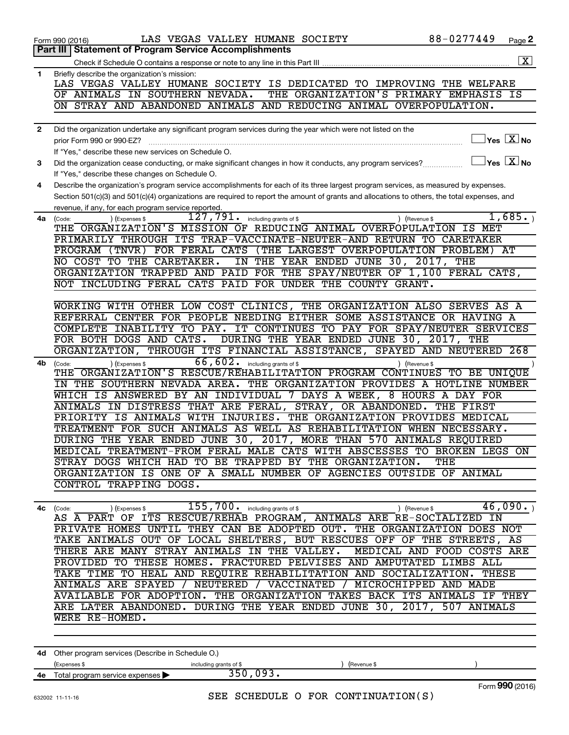|              | LAS VEGAS VALLEY HUMANE SOCIETY<br>Form 990 (2016)                                                                                           | 88-0277449    | Page 2                                                             |
|--------------|----------------------------------------------------------------------------------------------------------------------------------------------|---------------|--------------------------------------------------------------------|
|              | <b>Statement of Program Service Accomplishments</b><br>Part III                                                                              |               |                                                                    |
|              |                                                                                                                                              |               | $\boxed{\mathbf{X}}$                                               |
| 1            | Briefly describe the organization's mission:                                                                                                 |               |                                                                    |
|              | LAS VEGAS VALLEY HUMANE SOCIETY IS DEDICATED TO IMPROVING THE WELFARE                                                                        |               |                                                                    |
|              | THE ORGANIZATION'S PRIMARY EMPHASIS IS<br>OF ANIMALS IN SOUTHERN NEVADA.                                                                     |               |                                                                    |
|              | ON STRAY AND ABANDONED ANIMALS AND REDUCING ANIMAL OVERPOPULATION.                                                                           |               |                                                                    |
|              |                                                                                                                                              |               |                                                                    |
|              |                                                                                                                                              |               |                                                                    |
| $\mathbf{2}$ | Did the organization undertake any significant program services during the year which were not listed on the                                 |               |                                                                    |
|              | prior Form 990 or 990-EZ?                                                                                                                    |               | $\sqrt{\mathsf{Yes}\mathord{\;\mathbb{X}}\mathord{\;\mathsf{No}}}$ |
|              | If "Yes," describe these new services on Schedule O.                                                                                         |               |                                                                    |
| 3            | Did the organization cease conducting, or make significant changes in how it conducts, any program services?                                 |               | $\Box$ Yes $\boxed{\text{X}}$ No                                   |
|              | If "Yes," describe these changes on Schedule O.                                                                                              |               |                                                                    |
| 4            | Describe the organization's program service accomplishments for each of its three largest program services, as measured by expenses.         |               |                                                                    |
|              | Section 501(c)(3) and 501(c)(4) organizations are required to report the amount of grants and allocations to others, the total expenses, and |               |                                                                    |
|              | revenue, if any, for each program service reported.                                                                                          |               |                                                                    |
| 4a           | $\overline{127}$ , $791$ . including grants of \$<br>(Expenses \$                                                                            | ) (Revenue \$ | 1,685.                                                             |
|              | (Code:<br>THE ORGANIZATION'S MISSION OF REDUCING ANIMAL OVERPOPULATION IS MET                                                                |               |                                                                    |
|              | PRIMARILY THROUGH ITS TRAP-VACCINATE-NEUTER-AND RETURN TO CARETAKER                                                                          |               |                                                                    |
|              |                                                                                                                                              |               |                                                                    |
|              | PROGRAM (TNVR) FOR FERAL CATS (THE LARGEST OVERPOPULATION PROBLEM) AT                                                                        |               |                                                                    |
|              | IN THE YEAR ENDED JUNE 30, 2017, THE<br>NO COST TO THE CARETAKER.                                                                            |               |                                                                    |
|              | ORGANIZATION TRAPPED AND PAID FOR THE SPAY/NEUTER OF 1,100 FERAL CATS,                                                                       |               |                                                                    |
|              | NOT INCLUDING FERAL CATS PAID FOR UNDER THE COUNTY GRANT.                                                                                    |               |                                                                    |
|              |                                                                                                                                              |               |                                                                    |
|              | WORKING WITH OTHER LOW COST CLINICS, THE ORGANIZATION ALSO SERVES AS A                                                                       |               |                                                                    |
|              | REFERRAL CENTER FOR PEOPLE NEEDING EITHER SOME ASSISTANCE OR HAVING A                                                                        |               |                                                                    |
|              | IT CONTINUES TO PAY FOR SPAY/NEUTER SERVICES<br>COMPLETE INABILITY TO PAY.                                                                   |               |                                                                    |
|              | FOR BOTH DOGS AND CATS. DURING THE YEAR ENDED JUNE 30, 2017, THE                                                                             |               |                                                                    |
|              | THROUGH ITS FINANCIAL ASSISTANCE, SPAYED AND NEUTERED 268<br>ORGANIZATION,                                                                   |               |                                                                    |
| 4b           | $\overline{66}$ , $\overline{602}$ . including grants of \$<br>(Expenses \$<br>(Code:                                                        | ) (Revenue \$ |                                                                    |
|              | THE ORGANIZATION'S RESCUE/REHABILITATION PROGRAM CONTINUES TO BE UNIQUE                                                                      |               |                                                                    |
|              | IN THE SOUTHERN NEVADA AREA. THE ORGANIZATION PROVIDES A HOTLINE NUMBER                                                                      |               |                                                                    |
|              | WHICH IS ANSWERED BY AN INDIVIDUAL 7 DAYS A WEEK, 8 HOURS A DAY FOR                                                                          |               |                                                                    |
|              | ANIMALS IN DISTRESS THAT ARE FERAL, STRAY, OR ABANDONED. THE FIRST                                                                           |               |                                                                    |
|              | PRIORITY IS ANIMALS WITH INJURIES. THE ORGANIZATION PROVIDES MEDICAL                                                                         |               |                                                                    |
|              | TREATMENT FOR SUCH ANIMALS AS WELL AS REHABILITATION WHEN NECESSARY.                                                                         |               |                                                                    |
|              | DURING THE YEAR ENDED JUNE 30, 2017, MORE THAN 570 ANIMALS REQUIRED                                                                          |               |                                                                    |
|              | MEDICAL TREATMENT-FROM FERAL MALE CATS WITH ABSCESSES TO BROKEN LEGS ON                                                                      |               |                                                                    |
|              | STRAY DOGS WHICH HAD TO BE TRAPPED BY THE ORGANIZATION. THE                                                                                  |               |                                                                    |
|              |                                                                                                                                              |               |                                                                    |
|              | ORGANIZATION IS ONE OF A SMALL NUMBER OF AGENCIES OUTSIDE OF ANIMAL                                                                          |               |                                                                    |
|              | CONTROL TRAPPING DOGS.                                                                                                                       |               |                                                                    |
|              |                                                                                                                                              |               |                                                                    |
|              | 4c (Code: ) (Expenses \$155,700. including grants of \$16,090.) (Revenue \$46,090.)                                                          |               |                                                                    |
|              |                                                                                                                                              |               |                                                                    |
|              | PRIVATE HOMES UNTIL THEY CAN BE ADOPTED OUT. THE ORGANIZATION DOES NOT                                                                       |               |                                                                    |
|              | TAKE ANIMALS OUT OF LOCAL SHELTERS, BUT RESCUES OFF OF THE STREETS, AS                                                                       |               |                                                                    |
|              | THERE ARE MANY STRAY ANIMALS IN THE VALLEY. MEDICAL AND FOOD COSTS ARE                                                                       |               |                                                                    |
|              | PROVIDED TO THESE HOMES. FRACTURED PELVISES AND AMPUTATED LIMBS ALL                                                                          |               |                                                                    |
|              | TAKE TIME TO HEAL AND REQUIRE REHABILITATION AND SOCIALIZATION. THESE                                                                        |               |                                                                    |
|              | ANIMALS ARE SPAYED / NEUTERED / VACCINATED / MICROCHIPPED AND MADE                                                                           |               |                                                                    |
|              | AVAILABLE FOR ADOPTION. THE ORGANIZATION TAKES BACK ITS ANIMALS IF THEY                                                                      |               |                                                                    |
|              | ARE LATER ABANDONED. DURING THE YEAR ENDED JUNE 30, 2017, 507 ANIMALS                                                                        |               |                                                                    |
|              | WERE RE-HOMED.                                                                                                                               |               |                                                                    |
|              |                                                                                                                                              |               |                                                                    |
|              |                                                                                                                                              |               |                                                                    |
|              | 4d Other program services (Describe in Schedule O.)                                                                                          |               |                                                                    |

|    | 4d Other program services (Describe in Schedule O.)  |                        |             |                 |
|----|------------------------------------------------------|------------------------|-------------|-----------------|
|    | (Expenses \$                                         | including grants of \$ | (Revenue \$ |                 |
| 4е | Total program service expenses $\blacktriangleright$ |                        |             |                 |
|    |                                                      |                        |             | Form 990 (2016) |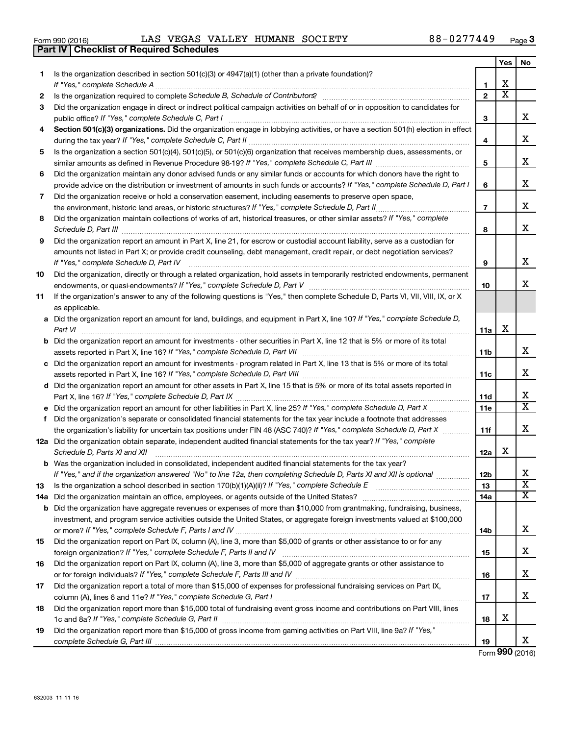632003 11-11-16

| Form 990 (2016) |  |  |  |  |  | LAS VEGAS VALLEY HUMANE SOCIETY | 88-0277449 | Page |  |
|-----------------|--|--|--|--|--|---------------------------------|------------|------|--|
|-----------------|--|--|--|--|--|---------------------------------|------------|------|--|

|    | <b>Part IV   Checklist of Required Schedules</b>                                                                                     |                |                         |                         |
|----|--------------------------------------------------------------------------------------------------------------------------------------|----------------|-------------------------|-------------------------|
|    |                                                                                                                                      |                | Yes                     | No                      |
| 1  | Is the organization described in section 501(c)(3) or $4947(a)(1)$ (other than a private foundation)?                                |                |                         |                         |
|    |                                                                                                                                      | 1              | х                       |                         |
| 2  |                                                                                                                                      | $\mathbf{2}$   | $\overline{\textbf{x}}$ |                         |
| 3  | Did the organization engage in direct or indirect political campaign activities on behalf of or in opposition to candidates for      |                |                         |                         |
|    |                                                                                                                                      | 3              |                         | x                       |
| 4  | Section 501(c)(3) organizations. Did the organization engage in lobbying activities, or have a section 501(h) election in effect     |                |                         |                         |
|    |                                                                                                                                      | 4              |                         | х                       |
| 5  | Is the organization a section 501(c)(4), 501(c)(5), or 501(c)(6) organization that receives membership dues, assessments, or         |                |                         |                         |
|    |                                                                                                                                      | 5              |                         | х                       |
| 6  | Did the organization maintain any donor advised funds or any similar funds or accounts for which donors have the right to            |                |                         |                         |
|    | provide advice on the distribution or investment of amounts in such funds or accounts? If "Yes," complete Schedule D, Part I         | 6              |                         | х                       |
| 7  |                                                                                                                                      |                |                         |                         |
|    | Did the organization receive or hold a conservation easement, including easements to preserve open space,                            | $\overline{7}$ |                         | x                       |
|    | the environment, historic land areas, or historic structures? If "Yes," complete Schedule D, Part II                                 |                |                         |                         |
| 8  | Did the organization maintain collections of works of art, historical treasures, or other similar assets? If "Yes," complete         |                |                         | х                       |
|    | Schedule D, Part III <b>Marting Commission Commission Commission</b> Commission Commission Commission                                | 8              |                         |                         |
| 9  | Did the organization report an amount in Part X, line 21, for escrow or custodial account liability, serve as a custodian for        |                |                         |                         |
|    | amounts not listed in Part X; or provide credit counseling, debt management, credit repair, or debt negotiation services?            |                |                         |                         |
|    | If "Yes," complete Schedule D, Part IV                                                                                               | 9              |                         | х                       |
| 10 | Did the organization, directly or through a related organization, hold assets in temporarily restricted endowments, permanent        |                |                         |                         |
|    |                                                                                                                                      | 10             |                         | x                       |
| 11 | If the organization's answer to any of the following questions is "Yes," then complete Schedule D, Parts VI, VII, VIII, IX, or X     |                |                         |                         |
|    | as applicable.                                                                                                                       |                |                         |                         |
|    | a Did the organization report an amount for land, buildings, and equipment in Part X, line 10? If "Yes," complete Schedule D,        |                |                         |                         |
|    | Part VI                                                                                                                              | 11a            | X                       |                         |
|    | <b>b</b> Did the organization report an amount for investments - other securities in Part X, line 12 that is 5% or more of its total |                |                         |                         |
|    |                                                                                                                                      | 11b            |                         | x                       |
|    | c Did the organization report an amount for investments - program related in Part X, line 13 that is 5% or more of its total         |                |                         |                         |
|    |                                                                                                                                      | 11c            |                         | х                       |
|    | d Did the organization report an amount for other assets in Part X, line 15 that is 5% or more of its total assets reported in       |                |                         |                         |
|    |                                                                                                                                      | 11d            |                         | х                       |
|    | e Did the organization report an amount for other liabilities in Part X, line 25? If "Yes," complete Schedule D, Part X              | 11e            |                         | X                       |
| f. | Did the organization's separate or consolidated financial statements for the tax year include a footnote that addresses              |                |                         |                         |
|    | the organization's liability for uncertain tax positions under FIN 48 (ASC 740)? If "Yes," complete Schedule D, Part X               | 11f            |                         | x                       |
|    | 12a Did the organization obtain separate, independent audited financial statements for the tax year? If "Yes," complete              |                |                         |                         |
|    | Schedule D, Parts XI and XII                                                                                                         | 12a            | х                       |                         |
|    | b Was the organization included in consolidated, independent audited financial statements for the tax year?                          |                |                         |                         |
|    | If "Yes," and if the organization answered "No" to line 12a, then completing Schedule D, Parts XI and XII is optional                | 12b            |                         | х                       |
| 13 | Is the organization a school described in section 170(b)(1)(A)(ii)? If "Yes," complete Schedule E [[[[[[[[[[[[                       | 13             |                         | $\overline{\textbf{X}}$ |
|    |                                                                                                                                      | 14a            |                         | х                       |
|    | <b>b</b> Did the organization have aggregate revenues or expenses of more than \$10,000 from grantmaking, fundraising, business,     |                |                         |                         |
|    | investment, and program service activities outside the United States, or aggregate foreign investments valued at \$100,000           |                |                         |                         |
|    |                                                                                                                                      | 14b            |                         | х                       |
| 15 | Did the organization report on Part IX, column (A), line 3, more than \$5,000 of grants or other assistance to or for any            |                |                         |                         |
|    |                                                                                                                                      | 15             |                         | х                       |
| 16 | Did the organization report on Part IX, column (A), line 3, more than \$5,000 of aggregate grants or other assistance to             |                |                         |                         |
|    |                                                                                                                                      | 16             |                         | х                       |
| 17 | Did the organization report a total of more than \$15,000 of expenses for professional fundraising services on Part IX,              |                |                         |                         |
|    |                                                                                                                                      | 17             |                         | х                       |
| 18 | Did the organization report more than \$15,000 total of fundraising event gross income and contributions on Part VIII, lines         |                |                         |                         |
|    |                                                                                                                                      | 18             | х                       |                         |
|    | Did the organization report more than \$15,000 of gross income from gaming activities on Part VIII, line 9a? If "Yes,"               |                |                         |                         |
| 19 |                                                                                                                                      |                |                         | x                       |
|    |                                                                                                                                      | 19             |                         |                         |

Form (2016) **990**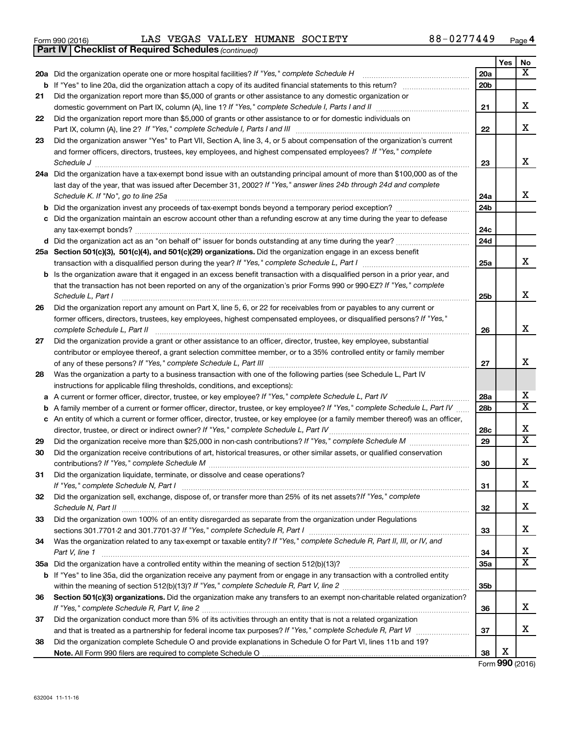|  | Form 990 (2016) |
|--|-----------------|
|  |                 |

*(continued)* **Part IV Checklist of Required Schedules**

Form 990 (2016) LAS VEGAS VALLEY HUMANE SOCIETY 88-0277449 <sub>Page</sub>

|     |                                                                                                                                 |     | Yes | No                      |
|-----|---------------------------------------------------------------------------------------------------------------------------------|-----|-----|-------------------------|
| 20a | Did the organization operate one or more hospital facilities? If "Yes," complete Schedule H                                     | 20a |     | $\mathbf{x}$            |
|     |                                                                                                                                 | 20b |     |                         |
| 21  | Did the organization report more than \$5,000 of grants or other assistance to any domestic organization or                     |     |     |                         |
|     | domestic government on Part IX, column (A), line 1? If "Yes," complete Schedule I, Parts I and II                               | 21  |     | x                       |
| 22  | Did the organization report more than \$5,000 of grants or other assistance to or for domestic individuals on                   |     |     |                         |
|     | Part IX, column (A), line 2? If "Yes," complete Schedule I, Parts I and III                                                     | 22  |     | x                       |
| 23  | Did the organization answer "Yes" to Part VII, Section A, line 3, 4, or 5 about compensation of the organization's current      |     |     |                         |
|     | and former officers, directors, trustees, key employees, and highest compensated employees? If "Yes," complete                  |     |     |                         |
|     | Schedule J                                                                                                                      | 23  |     | x                       |
| 24a | Did the organization have a tax-exempt bond issue with an outstanding principal amount of more than \$100,000 as of the         |     |     |                         |
|     | last day of the year, that was issued after December 31, 2002? If "Yes," answer lines 24b through 24d and complete              |     |     |                         |
|     | Schedule K. If "No", go to line 25a                                                                                             | 24a |     | x                       |
| b   |                                                                                                                                 | 24b |     |                         |
| с   | Did the organization maintain an escrow account other than a refunding escrow at any time during the year to defease            |     |     |                         |
|     | any tax-exempt bonds?                                                                                                           | 24c |     |                         |
|     |                                                                                                                                 | 24d |     |                         |
|     | 25a Section 501(c)(3), 501(c)(4), and 501(c)(29) organizations. Did the organization engage in an excess benefit                | 25a |     | x                       |
|     | Is the organization aware that it engaged in an excess benefit transaction with a disqualified person in a prior year, and      |     |     |                         |
|     | that the transaction has not been reported on any of the organization's prior Forms 990 or 990-EZ? If "Yes," complete           |     |     |                         |
|     | Schedule L, Part I                                                                                                              | 25b |     | x                       |
| 26  | Did the organization report any amount on Part X, line 5, 6, or 22 for receivables from or payables to any current or           |     |     |                         |
|     | former officers, directors, trustees, key employees, highest compensated employees, or disqualified persons? If "Yes,"          |     |     |                         |
|     | complete Schedule L, Part II                                                                                                    | 26  |     | x                       |
| 27  | Did the organization provide a grant or other assistance to an officer, director, trustee, key employee, substantial            |     |     |                         |
|     | contributor or employee thereof, a grant selection committee member, or to a 35% controlled entity or family member             |     |     |                         |
|     |                                                                                                                                 | 27  |     | x                       |
| 28  | Was the organization a party to a business transaction with one of the following parties (see Schedule L, Part IV               |     |     |                         |
|     | instructions for applicable filing thresholds, conditions, and exceptions):                                                     |     |     |                         |
| а   | A current or former officer, director, trustee, or key employee? If "Yes," complete Schedule L, Part IV                         | 28a |     | x                       |
| b   | A family member of a current or former officer, director, trustee, or key employee? If "Yes," complete Schedule L, Part IV      | 28b |     | $\overline{\text{X}}$   |
| с   | An entity of which a current or former officer, director, trustee, or key employee (or a family member thereof) was an officer, |     |     |                         |
|     | director, trustee, or direct or indirect owner? If "Yes," complete Schedule L, Part IV                                          | 28c |     | x                       |
| 29  |                                                                                                                                 | 29  |     | $\overline{\mathtt{x}}$ |
| 30  | Did the organization receive contributions of art, historical treasures, or other similar assets, or qualified conservation     |     |     |                         |
|     |                                                                                                                                 | 30  |     | x                       |
| 31  | Did the organization liquidate, terminate, or dissolve and cease operations?                                                    |     |     |                         |
|     | If "Yes," complete Schedule N, Part I                                                                                           | 31  |     | х                       |
| 32  | Did the organization sell, exchange, dispose of, or transfer more than 25% of its net assets? If "Yes," complete                |     |     | x                       |
|     | Did the organization own 100% of an entity disregarded as separate from the organization under Regulations                      | 32  |     |                         |
| 33  |                                                                                                                                 | 33  |     | x                       |
| 34  | Was the organization related to any tax-exempt or taxable entity? If "Yes," complete Schedule R, Part II, III, or IV, and       |     |     |                         |
|     | Part V, line 1                                                                                                                  | 34  |     | x                       |
| 35a |                                                                                                                                 | 35a |     | $\overline{\mathtt{x}}$ |
|     | b If "Yes" to line 35a, did the organization receive any payment from or engage in any transaction with a controlled entity     |     |     |                         |
|     |                                                                                                                                 | 35b |     |                         |
| 36  | Section 501(c)(3) organizations. Did the organization make any transfers to an exempt non-charitable related organization?      |     |     |                         |
|     |                                                                                                                                 | 36  |     | x                       |
| 37  | Did the organization conduct more than 5% of its activities through an entity that is not a related organization                |     |     |                         |
|     |                                                                                                                                 | 37  |     | x                       |
| 38  | Did the organization complete Schedule O and provide explanations in Schedule O for Part VI, lines 11b and 19?                  |     |     |                         |
|     |                                                                                                                                 | 38  | X   |                         |

Form (2016) **990**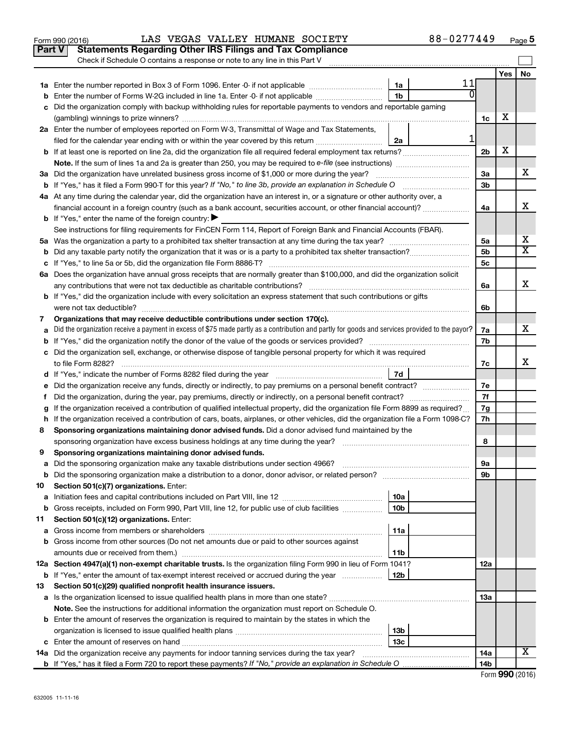|         | Part V<br><b>Statements Regarding Other IRS Filings and Tax Compliance</b>                                                                      |                 |    |                |     |                              |
|---------|-------------------------------------------------------------------------------------------------------------------------------------------------|-----------------|----|----------------|-----|------------------------------|
|         | Check if Schedule O contains a response or note to any line in this Part V                                                                      |                 |    |                |     |                              |
|         |                                                                                                                                                 |                 |    |                | Yes | No                           |
|         |                                                                                                                                                 | 1a              | 11 |                |     |                              |
| b       | Enter the number of Forms W-2G included in line 1a. Enter -0- if not applicable                                                                 | 1 <sub>b</sub>  |    |                |     |                              |
| с       | Did the organization comply with backup withholding rules for reportable payments to vendors and reportable gaming                              |                 |    |                |     |                              |
|         |                                                                                                                                                 |                 |    | 1c             | x   |                              |
|         | 2a Enter the number of employees reported on Form W-3, Transmittal of Wage and Tax Statements,                                                  |                 |    |                |     |                              |
|         | filed for the calendar year ending with or within the year covered by this return                                                               | 2a              |    |                |     |                              |
| b       |                                                                                                                                                 |                 |    | 2 <sub>b</sub> | х   |                              |
|         |                                                                                                                                                 |                 |    |                |     |                              |
| За      | Did the organization have unrelated business gross income of \$1,000 or more during the year?                                                   |                 |    | За             |     | x                            |
| b       |                                                                                                                                                 |                 |    | 3 <sub>b</sub> |     |                              |
|         | 4a At any time during the calendar year, did the organization have an interest in, or a signature or other authority over, a                    |                 |    |                |     |                              |
|         |                                                                                                                                                 |                 |    | 4a             |     | X                            |
|         | <b>b</b> If "Yes," enter the name of the foreign country: $\blacktriangleright$                                                                 |                 |    |                |     |                              |
|         | See instructions for filing requirements for FinCEN Form 114, Report of Foreign Bank and Financial Accounts (FBAR).                             |                 |    |                |     |                              |
|         |                                                                                                                                                 |                 |    | 5а             |     | х<br>$\overline{\texttt{x}}$ |
| b       |                                                                                                                                                 |                 |    | 5b             |     |                              |
| с       |                                                                                                                                                 |                 |    | 5c             |     |                              |
|         | 6a Does the organization have annual gross receipts that are normally greater than \$100,000, and did the organization solicit                  |                 |    |                |     | х                            |
|         |                                                                                                                                                 |                 |    | 6a             |     |                              |
|         | <b>b</b> If "Yes," did the organization include with every solicitation an express statement that such contributions or gifts                   |                 |    |                |     |                              |
|         |                                                                                                                                                 |                 |    | 6b             |     |                              |
| 7       | Organizations that may receive deductible contributions under section 170(c).                                                                   |                 |    |                |     | x                            |
| а       | Did the organization receive a payment in excess of \$75 made partly as a contribution and partly for goods and services provided to the payor? |                 |    | 7a<br>7b       |     |                              |
| b       | Did the organization sell, exchange, or otherwise dispose of tangible personal property for which it was required                               |                 |    |                |     |                              |
| c       |                                                                                                                                                 |                 |    | 7c             |     | х                            |
|         |                                                                                                                                                 | 7d              |    |                |     |                              |
|         | Did the organization receive any funds, directly or indirectly, to pay premiums on a personal benefit contract?                                 |                 |    | 7е             |     |                              |
| е<br>Ť. | Did the organization, during the year, pay premiums, directly or indirectly, on a personal benefit contract?                                    |                 |    | 7f             |     |                              |
| g       | If the organization received a contribution of qualified intellectual property, did the organization file Form 8899 as required?                |                 |    | 7g             |     |                              |
| h       | If the organization received a contribution of cars, boats, airplanes, or other vehicles, did the organization file a Form 1098-C?              |                 |    | 7h             |     |                              |
| 8       | Sponsoring organizations maintaining donor advised funds. Did a donor advised fund maintained by the                                            |                 |    |                |     |                              |
|         |                                                                                                                                                 |                 |    | 8              |     |                              |
| 9       | Sponsoring organizations maintaining donor advised funds.                                                                                       |                 |    |                |     |                              |
|         |                                                                                                                                                 |                 |    | эа             |     |                              |
| b       | Did the sponsoring organization make a distribution to a donor, donor advisor, or related person?                                               |                 |    | 9b             |     |                              |
| 10      | Section 501(c)(7) organizations. Enter:                                                                                                         |                 |    |                |     |                              |
| а       |                                                                                                                                                 | 10a             |    |                |     |                              |
| b       | Gross receipts, included on Form 990, Part VIII, line 12, for public use of club facilities                                                     | 10 <sub>b</sub> |    |                |     |                              |
| 11      | Section 501(c)(12) organizations. Enter:                                                                                                        |                 |    |                |     |                              |
| а       |                                                                                                                                                 | 11a             |    |                |     |                              |
| b       | Gross income from other sources (Do not net amounts due or paid to other sources against                                                        |                 |    |                |     |                              |
|         |                                                                                                                                                 | 11b             |    |                |     |                              |
|         | 12a Section 4947(a)(1) non-exempt charitable trusts. Is the organization filing Form 990 in lieu of Form 1041?                                  |                 |    | 12a            |     |                              |
| b       | If "Yes," enter the amount of tax-exempt interest received or accrued during the year                                                           | 12b             |    |                |     |                              |
| 13      | Section 501(c)(29) qualified nonprofit health insurance issuers.                                                                                |                 |    |                |     |                              |
|         | a Is the organization licensed to issue qualified health plans in more than one state?                                                          |                 |    | 13a            |     |                              |
|         | Note. See the instructions for additional information the organization must report on Schedule O.                                               |                 |    |                |     |                              |
|         | <b>b</b> Enter the amount of reserves the organization is required to maintain by the states in which the                                       |                 |    |                |     |                              |
|         |                                                                                                                                                 | 13 <sub>b</sub> |    |                |     |                              |
| c       |                                                                                                                                                 | 13 <sub>c</sub> |    |                |     |                              |
|         | 14a Did the organization receive any payments for indoor tanning services during the tax year?                                                  |                 |    | 14a            |     | X                            |
|         | <b>b</b> If "Yes," has it filed a Form 720 to report these payments? If "No," provide an explanation in Schedule O                              |                 |    | 14b            |     |                              |

| Form 990 (2016) |  |
|-----------------|--|
|-----------------|--|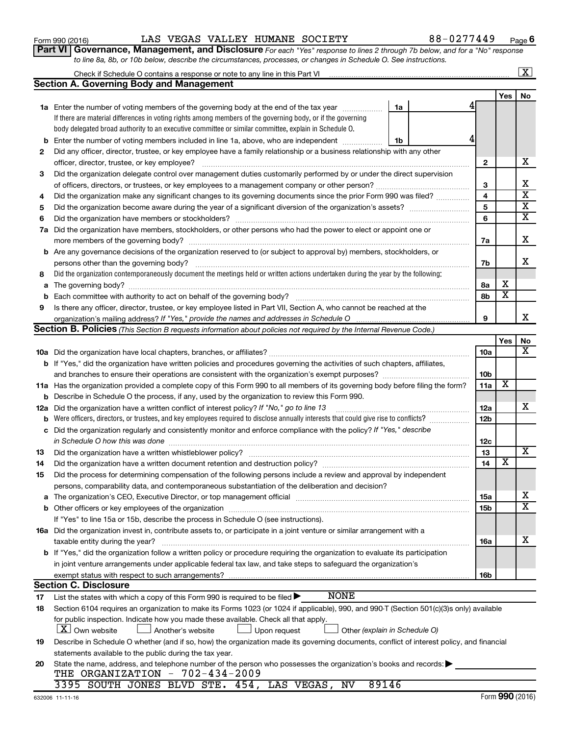| 632006 11-11-16 |
|-----------------|
|                 |

|  | Form 990 (2016) |
|--|-----------------|

|     | Check if Schedule O contains a response or note to any line in this Part VI [11] [12] Check if Schedule O contains a response or note to any line in this Part VI                                                                            |    |  |                 |                         | <u>x</u>                |  |  |
|-----|----------------------------------------------------------------------------------------------------------------------------------------------------------------------------------------------------------------------------------------------|----|--|-----------------|-------------------------|-------------------------|--|--|
|     | <b>Section A. Governing Body and Management</b>                                                                                                                                                                                              |    |  |                 |                         |                         |  |  |
|     |                                                                                                                                                                                                                                              |    |  |                 | Yes                     | No                      |  |  |
|     | <b>1a</b> Enter the number of voting members of the governing body at the end of the tax year                                                                                                                                                | 1a |  |                 |                         |                         |  |  |
|     | If there are material differences in voting rights among members of the governing body, or if the governing                                                                                                                                  |    |  |                 |                         |                         |  |  |
|     | body delegated broad authority to an executive committee or similar committee, explain in Schedule O.                                                                                                                                        |    |  |                 |                         |                         |  |  |
| b   | Enter the number of voting members included in line 1a, above, who are independent                                                                                                                                                           | 1b |  |                 |                         |                         |  |  |
| 2   | Did any officer, director, trustee, or key employee have a family relationship or a business relationship with any other                                                                                                                     |    |  |                 |                         |                         |  |  |
|     | officer, director, trustee, or key employee?                                                                                                                                                                                                 |    |  | $\mathbf{2}$    |                         | x                       |  |  |
| 3   | Did the organization delegate control over management duties customarily performed by or under the direct supervision                                                                                                                        |    |  |                 |                         |                         |  |  |
|     |                                                                                                                                                                                                                                              |    |  |                 |                         |                         |  |  |
| 4   | Did the organization make any significant changes to its governing documents since the prior Form 990 was filed?                                                                                                                             |    |  | 4               |                         | $\overline{\textbf{x}}$ |  |  |
| 5   |                                                                                                                                                                                                                                              |    |  | 5               |                         | $\overline{\textbf{X}}$ |  |  |
| 6   |                                                                                                                                                                                                                                              |    |  | 6               |                         | $\overline{\mathtt{x}}$ |  |  |
| 7a  | Did the organization have members, stockholders, or other persons who had the power to elect or appoint one or                                                                                                                               |    |  |                 |                         |                         |  |  |
|     |                                                                                                                                                                                                                                              |    |  | 7a              |                         | X                       |  |  |
|     | <b>b</b> Are any governance decisions of the organization reserved to (or subject to approval by) members, stockholders, or                                                                                                                  |    |  |                 |                         |                         |  |  |
|     | persons other than the governing body?                                                                                                                                                                                                       |    |  | 7b              |                         | X                       |  |  |
| 8   | Did the organization contemporaneously document the meetings held or written actions undertaken during the year by the following:                                                                                                            |    |  |                 |                         |                         |  |  |
| a   |                                                                                                                                                                                                                                              |    |  | 8a              | х                       |                         |  |  |
| b   |                                                                                                                                                                                                                                              |    |  | 8b              | $\overline{\text{x}}$   |                         |  |  |
| 9   | Is there any officer, director, trustee, or key employee listed in Part VII, Section A, who cannot be reached at the                                                                                                                         |    |  |                 |                         |                         |  |  |
|     |                                                                                                                                                                                                                                              |    |  | 9               |                         | x                       |  |  |
|     | <b>Section B. Policies</b> (This Section B requests information about policies not required by the Internal Revenue Code.)                                                                                                                   |    |  |                 |                         |                         |  |  |
|     |                                                                                                                                                                                                                                              |    |  |                 | Yes                     | No                      |  |  |
|     |                                                                                                                                                                                                                                              |    |  | 10a             |                         | $\overline{\mathbf{X}}$ |  |  |
|     | b If "Yes," did the organization have written policies and procedures governing the activities of such chapters, affiliates,                                                                                                                 |    |  |                 |                         |                         |  |  |
|     |                                                                                                                                                                                                                                              |    |  | 10 <sub>b</sub> |                         |                         |  |  |
|     | 11a Has the organization provided a complete copy of this Form 990 to all members of its governing body before filing the form?                                                                                                              |    |  | 11a             | $\overline{\mathbf{X}}$ |                         |  |  |
| b   | Describe in Schedule O the process, if any, used by the organization to review this Form 990.                                                                                                                                                |    |  |                 |                         |                         |  |  |
| 12a | Did the organization have a written conflict of interest policy? If "No," go to line 13                                                                                                                                                      |    |  | 12a             |                         | x                       |  |  |
| b   | Were officers, directors, or trustees, and key employees required to disclose annually interests that could give rise to conflicts?                                                                                                          |    |  | 12 <sub>b</sub> |                         |                         |  |  |
| с   | Did the organization regularly and consistently monitor and enforce compliance with the policy? If "Yes," describe                                                                                                                           |    |  |                 |                         |                         |  |  |
|     | in Schedule O how this was done manufactured and contain an account of the state of the state of the state of                                                                                                                                |    |  | 12c             |                         |                         |  |  |
| 13  | Did the organization have a written whistleblower policy?                                                                                                                                                                                    |    |  | 13              |                         | x                       |  |  |
| 14  | Did the organization have a written document retention and destruction policy? [11] manuscription materials and destruction policy? [11] manuscription materials and the organization have a written document retention and de               |    |  | 14              | $\overline{\textbf{x}}$ |                         |  |  |
| 15  | Did the process for determining compensation of the following persons include a review and approval by independent                                                                                                                           |    |  |                 |                         |                         |  |  |
|     | persons, comparability data, and contemporaneous substantiation of the deliberation and decision?                                                                                                                                            |    |  |                 |                         |                         |  |  |
| а   |                                                                                                                                                                                                                                              |    |  | 15a             |                         | х                       |  |  |
| b   |                                                                                                                                                                                                                                              |    |  | 15 <sub>b</sub> |                         | $\overline{\mathtt{x}}$ |  |  |
|     | If "Yes" to line 15a or 15b, describe the process in Schedule O (see instructions).                                                                                                                                                          |    |  |                 |                         |                         |  |  |
|     | 16a Did the organization invest in, contribute assets to, or participate in a joint venture or similar arrangement with a                                                                                                                    |    |  |                 |                         |                         |  |  |
|     | taxable entity during the year?                                                                                                                                                                                                              |    |  | 16a             |                         | х                       |  |  |
|     | b If "Yes," did the organization follow a written policy or procedure requiring the organization to evaluate its participation                                                                                                               |    |  |                 |                         |                         |  |  |
|     | in joint venture arrangements under applicable federal tax law, and take steps to safeguard the organization's                                                                                                                               |    |  |                 |                         |                         |  |  |
|     | exempt status with respect to such arrangements?<br><b>Section C. Disclosure</b>                                                                                                                                                             |    |  | 16b             |                         |                         |  |  |
|     | <b>NONE</b>                                                                                                                                                                                                                                  |    |  |                 |                         |                         |  |  |
| 17  | List the states with which a copy of this Form 990 is required to be filed $\blacktriangleright$<br>Section 6104 requires an organization to make its Forms 1023 (or 1024 if applicable), 990, and 990-T (Section 501(c)(3)s only) available |    |  |                 |                         |                         |  |  |
| 18  | for public inspection. Indicate how you made these available. Check all that apply.                                                                                                                                                          |    |  |                 |                         |                         |  |  |
|     | <b>X</b> Own website<br>Another's website<br>Other (explain in Schedule O)                                                                                                                                                                   |    |  |                 |                         |                         |  |  |
|     | Upon request                                                                                                                                                                                                                                 |    |  |                 |                         |                         |  |  |
| 19  | Describe in Schedule O whether (and if so, how) the organization made its governing documents, conflict of interest policy, and financial<br>statements available to the public during the tax year.                                         |    |  |                 |                         |                         |  |  |
| 20  | State the name, address, and telephone number of the person who possesses the organization's books and records:                                                                                                                              |    |  |                 |                         |                         |  |  |
|     | THE ORGANIZATION - 702-434-2009                                                                                                                                                                                                              |    |  |                 |                         |                         |  |  |
|     | 89146<br>3395 SOUTH JONES BLVD STE. 454, LAS VEGAS, NV                                                                                                                                                                                       |    |  |                 |                         |                         |  |  |

#### Form 990 (2016) LAS VEGAS VALLEY HUMANE SOCIETY 88-0277449 <sub>Page</sub>

*to line 8a, 8b, or 10b below, describe the circumstances, processes, or changes in Schedule O. See instructions.*

**Part VI** Governance, Management, and Disclosure For each "Yes" response to lines 2 through 7b below, and for a "No" response

**6**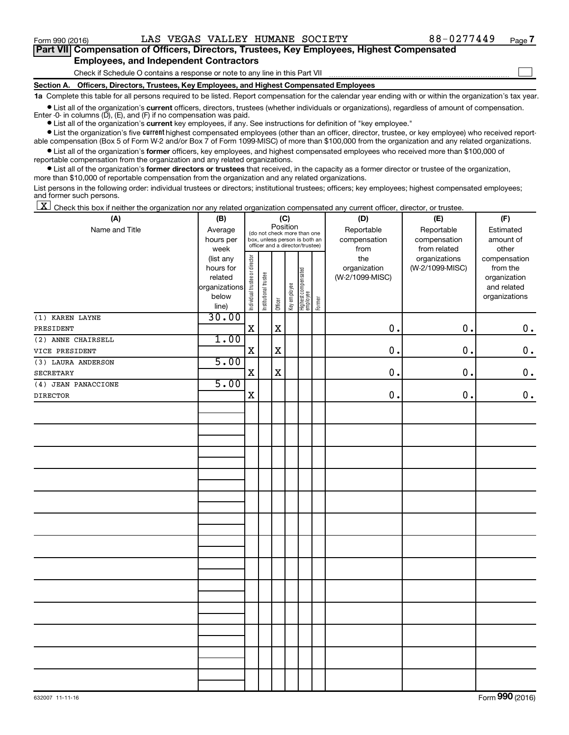$\Box$ 

| Part VII Compensation of Officers, Directors, Trustees, Key Employees, Highest Compensated |
|--------------------------------------------------------------------------------------------|
| <b>Employees, and Independent Contractors</b>                                              |

Check if Schedule O contains a response or note to any line in this Part VII

**Section A. Officers, Directors, Trustees, Key Employees, and Highest Compensated Employees**

**1a**  Complete this table for all persons required to be listed. Report compensation for the calendar year ending with or within the organization's tax year.

**•** List all of the organization's current officers, directors, trustees (whether individuals or organizations), regardless of amount of compensation. Enter  $-0$ - in columns  $(D)$ ,  $(E)$ , and  $(F)$  if no compensation was paid.

**•** List all of the organization's **current** key employees, if any. See instructions for definition of "key employee."

**•** List the organization's five current highest compensated employees (other than an officer, director, trustee, or key employee) who received reportable compensation (Box 5 of Form W-2 and/or Box 7 of Form 1099-MISC) of more than \$100,000 from the organization and any related organizations.

**•** List all of the organization's former officers, key employees, and highest compensated employees who received more than \$100,000 of reportable compensation from the organization and any related organizations.

**•** List all of the organization's former directors or trustees that received, in the capacity as a former director or trustee of the organization, more than \$10,000 of reportable compensation from the organization and any related organizations.

List persons in the following order: individual trustees or directors; institutional trustees; officers; key employees; highest compensated employees; and former such persons.

 $\boxed{\textbf{X}}$  Check this box if neither the organization nor any related organization compensated any current officer, director, or trustee.

| (A)                 | (B)                  |                                                                  |                       |             | (C)                                     |                                   |              | (D)                             | (E)             | (F)                      |
|---------------------|----------------------|------------------------------------------------------------------|-----------------------|-------------|-----------------------------------------|-----------------------------------|--------------|---------------------------------|-----------------|--------------------------|
| Name and Title      | Average              |                                                                  |                       |             | Position<br>(do not check more than one |                                   |              | Reportable                      | Reportable      | Estimated                |
|                     | hours per            | box, unless person is both an<br>officer and a director/trustee) |                       |             |                                         |                                   | compensation | compensation                    | amount of       |                          |
|                     | week                 |                                                                  |                       |             |                                         |                                   |              | from                            | from related    | other                    |
|                     | (list any            |                                                                  |                       |             |                                         |                                   |              | the                             | organizations   | compensation             |
|                     | hours for<br>related |                                                                  |                       |             |                                         |                                   |              | organization<br>(W-2/1099-MISC) | (W-2/1099-MISC) | from the<br>organization |
|                     | organizations        |                                                                  |                       |             |                                         |                                   |              |                                 |                 | and related              |
|                     | below                |                                                                  |                       |             |                                         |                                   |              |                                 |                 | organizations            |
|                     | line)                | Individual trustee or director                                   | Institutional trustee | Officer     | Key employee                            | Highest compensated<br>  employee | Former       |                                 |                 |                          |
| (1) KAREN LAYNE     | 30.00                |                                                                  |                       |             |                                         |                                   |              |                                 |                 |                          |
| PRESIDENT           |                      | $\mathbf X$                                                      |                       | $\mathbf X$ |                                         |                                   |              | 0.                              | 0.              | $\mathbf 0$ .            |
| (2) ANNE CHAIRSELL  | 1.00                 |                                                                  |                       |             |                                         |                                   |              |                                 |                 |                          |
| VICE PRESIDENT      |                      | $\mathbf X$                                                      |                       | $\mathbf X$ |                                         |                                   |              | 0.                              | 0.              | $0$ .                    |
| (3) LAURA ANDERSON  | 5.00                 |                                                                  |                       |             |                                         |                                   |              |                                 |                 |                          |
| SECRETARY           |                      | $\mathbf X$                                                      |                       | $\mathbf x$ |                                         |                                   |              | $\mathbf 0$ .                   | 0.              | $\mathbf 0$ .            |
| (4) JEAN PANACCIONE | 5.00                 |                                                                  |                       |             |                                         |                                   |              |                                 |                 |                          |
| <b>DIRECTOR</b>     |                      | $\mathbf X$                                                      |                       |             |                                         |                                   |              | $\mathbf 0$ .                   | 0.              | $0$ .                    |
|                     |                      |                                                                  |                       |             |                                         |                                   |              |                                 |                 |                          |
|                     |                      |                                                                  |                       |             |                                         |                                   |              |                                 |                 |                          |
|                     |                      |                                                                  |                       |             |                                         |                                   |              |                                 |                 |                          |
|                     |                      |                                                                  |                       |             |                                         |                                   |              |                                 |                 |                          |
|                     |                      |                                                                  |                       |             |                                         |                                   |              |                                 |                 |                          |
|                     |                      |                                                                  |                       |             |                                         |                                   |              |                                 |                 |                          |
|                     |                      |                                                                  |                       |             |                                         |                                   |              |                                 |                 |                          |
|                     |                      |                                                                  |                       |             |                                         |                                   |              |                                 |                 |                          |
|                     |                      |                                                                  |                       |             |                                         |                                   |              |                                 |                 |                          |
|                     |                      |                                                                  |                       |             |                                         |                                   |              |                                 |                 |                          |
|                     |                      |                                                                  |                       |             |                                         |                                   |              |                                 |                 |                          |
|                     |                      |                                                                  |                       |             |                                         |                                   |              |                                 |                 |                          |
|                     |                      |                                                                  |                       |             |                                         |                                   |              |                                 |                 |                          |
|                     |                      |                                                                  |                       |             |                                         |                                   |              |                                 |                 |                          |
|                     |                      |                                                                  |                       |             |                                         |                                   |              |                                 |                 |                          |
|                     |                      |                                                                  |                       |             |                                         |                                   |              |                                 |                 |                          |
|                     |                      |                                                                  |                       |             |                                         |                                   |              |                                 |                 |                          |
|                     |                      |                                                                  |                       |             |                                         |                                   |              |                                 |                 |                          |
|                     |                      |                                                                  |                       |             |                                         |                                   |              |                                 |                 |                          |
|                     |                      |                                                                  |                       |             |                                         |                                   |              |                                 |                 |                          |
|                     |                      |                                                                  |                       |             |                                         |                                   |              |                                 |                 |                          |
|                     |                      |                                                                  |                       |             |                                         |                                   |              |                                 |                 |                          |
|                     |                      |                                                                  |                       |             |                                         |                                   |              |                                 |                 |                          |
|                     |                      |                                                                  |                       |             |                                         |                                   |              |                                 |                 |                          |
|                     |                      |                                                                  |                       |             |                                         |                                   |              |                                 |                 |                          |
|                     |                      |                                                                  |                       |             |                                         |                                   |              |                                 |                 |                          |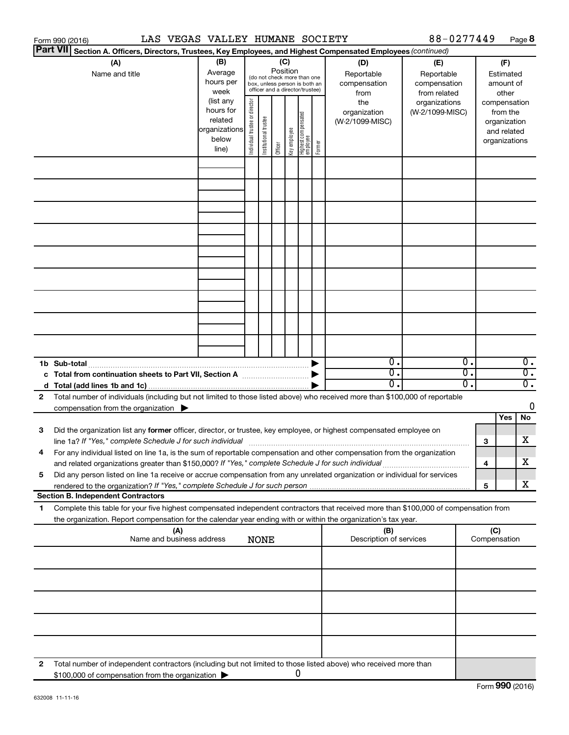|   | LAS VEGAS VALLEY HUMANE SOCIETY<br>Form 990 (2016)                                                                                                                                                                                                     |                                            |                       |                                                                                                                                                                                                                                                                                                                                                              |         |              |                                 |        |                                | 88-0277449 |                                                                    |                     | Page 8                                       |
|---|--------------------------------------------------------------------------------------------------------------------------------------------------------------------------------------------------------------------------------------------------------|--------------------------------------------|-----------------------|--------------------------------------------------------------------------------------------------------------------------------------------------------------------------------------------------------------------------------------------------------------------------------------------------------------------------------------------------------------|---------|--------------|---------------------------------|--------|--------------------------------|------------|--------------------------------------------------------------------|---------------------|----------------------------------------------|
|   | <b>Part VII</b><br>Section A. Officers, Directors, Trustees, Key Employees, and Highest Compensated Employees (continued)                                                                                                                              |                                            |                       |                                                                                                                                                                                                                                                                                                                                                              |         |              |                                 |        |                                |            |                                                                    |                     |                                              |
|   | (A)<br>Name and title                                                                                                                                                                                                                                  |                                            |                       | (B)<br>(C)<br>(D)<br>(E)<br>Position<br>Average<br>Reportable<br>Reportable<br>(do not check more than one<br>hours per<br>compensation<br>compensation<br>box, unless person is both an<br>officer and a director/trustee)<br>week<br>from related<br>from<br>(list any<br>director<br>the<br>organizations<br>hours for<br>organization<br>(W-2/1099-MISC) |         |              |                                 |        |                                |            | (F)<br>Estimated<br>amount of<br>other<br>compensation<br>from the |                     |                                              |
|   |                                                                                                                                                                                                                                                        | related<br>organizations<br>below<br>line) | Individual trustee or | Institutional trustee                                                                                                                                                                                                                                                                                                                                        | Officer | Key employee | Highest compensated<br>employee | Former | (W-2/1099-MISC)                |            |                                                                    |                     | organization<br>and related<br>organizations |
|   |                                                                                                                                                                                                                                                        |                                            |                       |                                                                                                                                                                                                                                                                                                                                                              |         |              |                                 |        |                                |            |                                                                    |                     |                                              |
|   |                                                                                                                                                                                                                                                        |                                            |                       |                                                                                                                                                                                                                                                                                                                                                              |         |              |                                 |        |                                |            |                                                                    |                     |                                              |
|   |                                                                                                                                                                                                                                                        |                                            |                       |                                                                                                                                                                                                                                                                                                                                                              |         |              |                                 |        |                                |            |                                                                    |                     |                                              |
|   |                                                                                                                                                                                                                                                        |                                            |                       |                                                                                                                                                                                                                                                                                                                                                              |         |              |                                 |        |                                |            |                                                                    |                     |                                              |
|   |                                                                                                                                                                                                                                                        |                                            |                       |                                                                                                                                                                                                                                                                                                                                                              |         |              |                                 |        |                                |            |                                                                    |                     |                                              |
|   |                                                                                                                                                                                                                                                        |                                            |                       |                                                                                                                                                                                                                                                                                                                                                              |         |              |                                 |        |                                |            |                                                                    |                     |                                              |
|   |                                                                                                                                                                                                                                                        |                                            |                       |                                                                                                                                                                                                                                                                                                                                                              |         |              |                                 |        |                                |            |                                                                    |                     |                                              |
|   | 1b Sub-total                                                                                                                                                                                                                                           |                                            |                       |                                                                                                                                                                                                                                                                                                                                                              |         |              |                                 | ▶      | $\overline{0}$ .               |            | Ο.                                                                 |                     | $\overline{0}$ .                             |
|   | c Total from continuation sheets to Part VII, Section A manuscription of the State of Total Total Co                                                                                                                                                   |                                            |                       |                                                                                                                                                                                                                                                                                                                                                              |         |              |                                 |        | σ.<br>$\overline{0}$ .         |            | σ.<br>σ.                                                           |                     | $\overline{0}$ .<br>$\overline{0}$ .         |
| 2 | Total number of individuals (including but not limited to those listed above) who received more than \$100,000 of reportable<br>compensation from the organization $\blacktriangleright$                                                               |                                            |                       |                                                                                                                                                                                                                                                                                                                                                              |         |              |                                 |        |                                |            |                                                                    |                     | 0                                            |
| 3 | Did the organization list any former officer, director, or trustee, key employee, or highest compensated employee on                                                                                                                                   |                                            |                       |                                                                                                                                                                                                                                                                                                                                                              |         |              |                                 |        |                                |            |                                                                    | Yes                 | No                                           |
|   | line 1a? If "Yes," complete Schedule J for such individual manufacture content to the successive complete schedu                                                                                                                                       |                                            |                       |                                                                                                                                                                                                                                                                                                                                                              |         |              |                                 |        |                                |            |                                                                    | 3                   | X                                            |
|   | For any individual listed on line 1a, is the sum of reportable compensation and other compensation from the organization<br>and related organizations greater than \$150,000? If "Yes," complete Schedule J for such individual                        |                                            |                       |                                                                                                                                                                                                                                                                                                                                                              |         |              |                                 |        |                                |            |                                                                    | 4                   | X                                            |
| 5 | Did any person listed on line 1a receive or accrue compensation from any unrelated organization or individual for services                                                                                                                             |                                            |                       |                                                                                                                                                                                                                                                                                                                                                              |         |              |                                 |        |                                |            |                                                                    | 5                   | x                                            |
|   | <b>Section B. Independent Contractors</b>                                                                                                                                                                                                              |                                            |                       |                                                                                                                                                                                                                                                                                                                                                              |         |              |                                 |        |                                |            |                                                                    |                     |                                              |
| 1 | Complete this table for your five highest compensated independent contractors that received more than \$100,000 of compensation from<br>the organization. Report compensation for the calendar year ending with or within the organization's tax year. |                                            |                       |                                                                                                                                                                                                                                                                                                                                                              |         |              |                                 |        |                                |            |                                                                    |                     |                                              |
|   | (A)<br>Name and business address                                                                                                                                                                                                                       |                                            |                       | <b>NONE</b>                                                                                                                                                                                                                                                                                                                                                  |         |              |                                 |        | (B)<br>Description of services |            |                                                                    | (C)<br>Compensation |                                              |
|   |                                                                                                                                                                                                                                                        |                                            |                       |                                                                                                                                                                                                                                                                                                                                                              |         |              |                                 |        |                                |            |                                                                    |                     |                                              |
|   |                                                                                                                                                                                                                                                        |                                            |                       |                                                                                                                                                                                                                                                                                                                                                              |         |              |                                 |        |                                |            |                                                                    |                     |                                              |
|   |                                                                                                                                                                                                                                                        |                                            |                       |                                                                                                                                                                                                                                                                                                                                                              |         |              |                                 |        |                                |            |                                                                    |                     |                                              |
|   |                                                                                                                                                                                                                                                        |                                            |                       |                                                                                                                                                                                                                                                                                                                                                              |         |              |                                 |        |                                |            |                                                                    |                     |                                              |
| 2 | Total number of independent contractors (including but not limited to those listed above) who received more than<br>\$100,000 of compensation from the organization                                                                                    |                                            |                       |                                                                                                                                                                                                                                                                                                                                                              |         | 0            |                                 |        |                                |            |                                                                    |                     |                                              |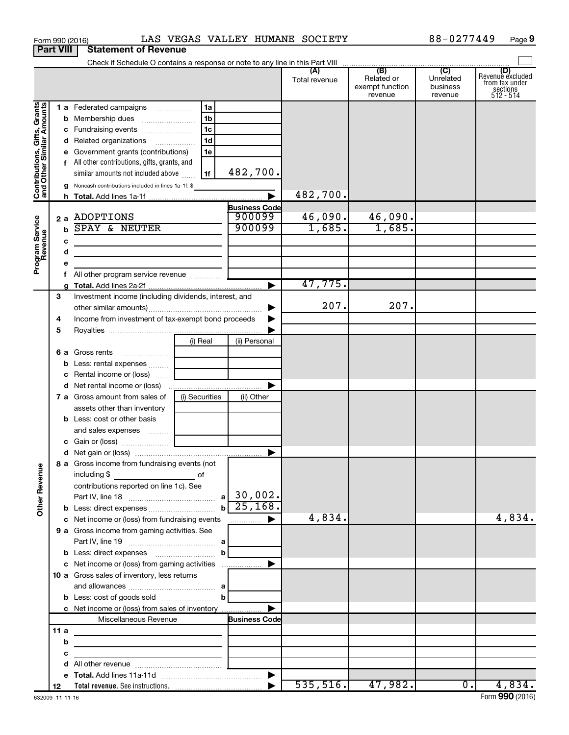|                                                           |                  |             | Form 990 (2016)                                         |                |                      | LAS VEGAS VALLEY HUMANE SOCIETY |                                                 | 88-0277449                                         | Page 9                                                      |
|-----------------------------------------------------------|------------------|-------------|---------------------------------------------------------|----------------|----------------------|---------------------------------|-------------------------------------------------|----------------------------------------------------|-------------------------------------------------------------|
|                                                           | <b>Part VIII</b> |             | <b>Statement of Revenue</b>                             |                |                      |                                 |                                                 |                                                    |                                                             |
|                                                           |                  |             |                                                         |                |                      |                                 |                                                 |                                                    |                                                             |
|                                                           |                  |             |                                                         |                |                      | (A)<br>Total revenue            | (B)<br>Related or<br>exempt function<br>revenue | $\overline{C}$<br>Unrelated<br>business<br>revenue | Revenue excluded<br>from tax under<br>sections<br>512 - 514 |
|                                                           |                  |             |                                                         |                |                      |                                 |                                                 |                                                    |                                                             |
|                                                           |                  |             |                                                         | 1b             |                      |                                 |                                                 |                                                    |                                                             |
|                                                           |                  |             | c Fundraising events                                    | 1c             |                      |                                 |                                                 |                                                    |                                                             |
|                                                           |                  |             | d Related organizations                                 | 1 <sub>d</sub> |                      |                                 |                                                 |                                                    |                                                             |
|                                                           |                  |             | e Government grants (contributions)                     | 1e             |                      |                                 |                                                 |                                                    |                                                             |
|                                                           |                  |             | f All other contributions, gifts, grants, and           |                |                      |                                 |                                                 |                                                    |                                                             |
|                                                           |                  |             | similar amounts not included above                      | 1f             | 482,700.             |                                 |                                                 |                                                    |                                                             |
| Contributions, Gifts, Grants<br>and Other Similar Amounts |                  |             | g Noncash contributions included in lines 1a-1f: \$     |                |                      |                                 |                                                 |                                                    |                                                             |
|                                                           |                  |             |                                                         |                | 482,700.             |                                 |                                                 |                                                    |                                                             |
|                                                           |                  |             |                                                         |                | <b>Business Code</b> |                                 |                                                 |                                                    |                                                             |
|                                                           |                  |             | 2 a ADOPTIONS                                           |                | 900099               | 46,090.                         | 46,090.                                         |                                                    |                                                             |
|                                                           |                  | $\mathbf b$ | <b>SPAY &amp; NEUTER</b>                                |                | 900099               | 1,685.                          | 1,685.                                          |                                                    |                                                             |
|                                                           |                  | с           |                                                         |                |                      |                                 |                                                 |                                                    |                                                             |
|                                                           |                  | d           |                                                         |                |                      |                                 |                                                 |                                                    |                                                             |
| Program Service<br>Revenue                                |                  | е           |                                                         |                |                      |                                 |                                                 |                                                    |                                                             |
|                                                           |                  | f           | All other program service revenue                       |                |                      | 47,775.                         |                                                 |                                                    |                                                             |
|                                                           |                  |             |                                                         |                |                      |                                 |                                                 |                                                    |                                                             |
|                                                           | 3                |             | Investment income (including dividends, interest, and   |                | ▶                    | 207.                            | 207.                                            |                                                    |                                                             |
|                                                           | 4                |             | Income from investment of tax-exempt bond proceeds      |                |                      |                                 |                                                 |                                                    |                                                             |
|                                                           | 5                |             |                                                         |                |                      |                                 |                                                 |                                                    |                                                             |
|                                                           |                  |             |                                                         | (i) Real       | (ii) Personal        |                                 |                                                 |                                                    |                                                             |
|                                                           |                  |             | 6 a Gross rents<br>$\ldots \ldots \ldots \ldots \ldots$ |                |                      |                                 |                                                 |                                                    |                                                             |
|                                                           |                  |             | <b>b</b> Less: rental expenses                          |                |                      |                                 |                                                 |                                                    |                                                             |
|                                                           |                  |             | c Rental income or (loss)                               |                |                      |                                 |                                                 |                                                    |                                                             |
|                                                           |                  |             |                                                         |                | ▶                    |                                 |                                                 |                                                    |                                                             |
|                                                           |                  |             | 7 a Gross amount from sales of                          | (i) Securities | (ii) Other           |                                 |                                                 |                                                    |                                                             |
|                                                           |                  |             | assets other than inventory                             |                |                      |                                 |                                                 |                                                    |                                                             |
|                                                           |                  |             | <b>b</b> Less: cost or other basis                      |                |                      |                                 |                                                 |                                                    |                                                             |
|                                                           |                  |             | and sales expenses                                      |                |                      |                                 |                                                 |                                                    |                                                             |
|                                                           |                  |             |                                                         |                |                      |                                 |                                                 |                                                    |                                                             |
|                                                           |                  |             |                                                         |                |                      |                                 |                                                 |                                                    |                                                             |
|                                                           |                  |             | 8 a Gross income from fundraising events (not           |                |                      |                                 |                                                 |                                                    |                                                             |
|                                                           |                  |             | including \$                                            | of             |                      |                                 |                                                 |                                                    |                                                             |
|                                                           |                  |             | contributions reported on line 1c). See                 |                |                      |                                 |                                                 |                                                    |                                                             |
| <b>Other Revenue</b>                                      |                  |             |                                                         | $\mathbf b$    | 25,168.              |                                 |                                                 |                                                    |                                                             |
|                                                           |                  |             | c Net income or (loss) from fundraising events          |                | ▶                    | 4,834.                          |                                                 |                                                    | 4,834.                                                      |
|                                                           |                  |             | 9 a Gross income from gaming activities. See            |                |                      |                                 |                                                 |                                                    |                                                             |
|                                                           |                  |             |                                                         |                |                      |                                 |                                                 |                                                    |                                                             |
|                                                           |                  |             | <b>b</b> Less: direct expenses <b>manually b</b>        |                |                      |                                 |                                                 |                                                    |                                                             |
|                                                           |                  |             |                                                         |                |                      |                                 |                                                 |                                                    |                                                             |
|                                                           |                  |             | 10 a Gross sales of inventory, less returns             |                |                      |                                 |                                                 |                                                    |                                                             |
|                                                           |                  |             |                                                         |                |                      |                                 |                                                 |                                                    |                                                             |
|                                                           |                  |             |                                                         |                |                      |                                 |                                                 |                                                    |                                                             |
|                                                           |                  |             | c Net income or (loss) from sales of inventory          |                |                      |                                 |                                                 |                                                    |                                                             |
|                                                           |                  |             | Miscellaneous Revenue                                   |                | <b>Business Code</b> |                                 |                                                 |                                                    |                                                             |
|                                                           | 11a              |             |                                                         |                |                      |                                 |                                                 |                                                    |                                                             |
|                                                           |                  | b           |                                                         |                |                      |                                 |                                                 |                                                    |                                                             |
|                                                           |                  | с           |                                                         |                |                      |                                 |                                                 |                                                    |                                                             |
|                                                           |                  | d           |                                                         |                |                      |                                 |                                                 |                                                    |                                                             |
|                                                           | 12               |             |                                                         |                |                      |                                 | $535, 516.$ 47,982.                             | $\overline{0}$ .                                   | 4,834.                                                      |
|                                                           |                  |             |                                                         |                |                      |                                 |                                                 |                                                    |                                                             |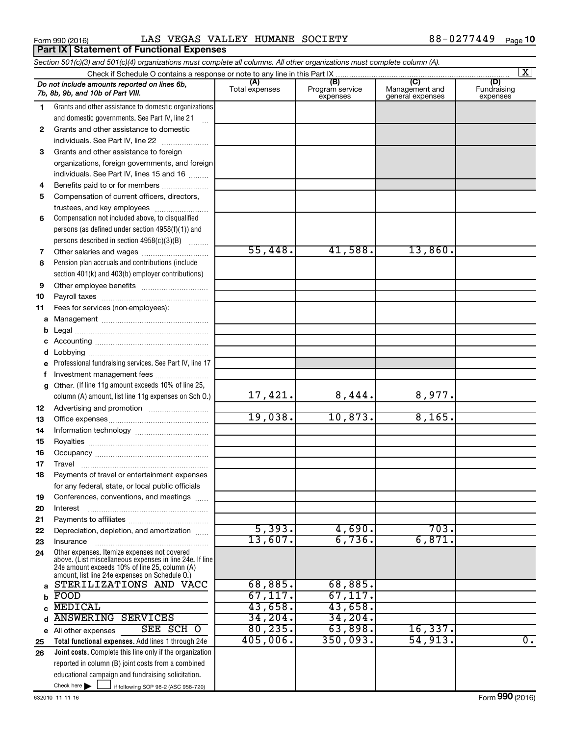Form 990 (2016) LAS VEGAS VALLEY HUMANE SOCIETY 88-0277449 <sub>Page</sub>

|              | Section 501(c)(3) and 501(c)(4) organizations must complete all columns. All other organizations must complete column (A).                                                                                  |                       |                                    |                                           |                                |  |  |  |  |
|--------------|-------------------------------------------------------------------------------------------------------------------------------------------------------------------------------------------------------------|-----------------------|------------------------------------|-------------------------------------------|--------------------------------|--|--|--|--|
|              | $\overline{\mathbf{x}}$                                                                                                                                                                                     |                       |                                    |                                           |                                |  |  |  |  |
|              | Do not include amounts reported on lines 6b,<br>7b, 8b, 9b, and 10b of Part VIII.                                                                                                                           | (A)<br>Total expenses | (B)<br>Program service<br>expenses | (C)<br>Management and<br>general expenses | (D)<br>Fundraising<br>expenses |  |  |  |  |
| 1.           | Grants and other assistance to domestic organizations                                                                                                                                                       |                       |                                    |                                           |                                |  |  |  |  |
|              | and domestic governments. See Part IV, line 21                                                                                                                                                              |                       |                                    |                                           |                                |  |  |  |  |
| $\mathbf{2}$ | Grants and other assistance to domestic                                                                                                                                                                     |                       |                                    |                                           |                                |  |  |  |  |
|              | individuals. See Part IV, line 22                                                                                                                                                                           |                       |                                    |                                           |                                |  |  |  |  |
| 3            | Grants and other assistance to foreign                                                                                                                                                                      |                       |                                    |                                           |                                |  |  |  |  |
|              | organizations, foreign governments, and foreign                                                                                                                                                             |                       |                                    |                                           |                                |  |  |  |  |
|              | individuals. See Part IV, lines 15 and 16                                                                                                                                                                   |                       |                                    |                                           |                                |  |  |  |  |
| 4            | Benefits paid to or for members                                                                                                                                                                             |                       |                                    |                                           |                                |  |  |  |  |
| 5            | Compensation of current officers, directors,                                                                                                                                                                |                       |                                    |                                           |                                |  |  |  |  |
|              | trustees, and key employees                                                                                                                                                                                 |                       |                                    |                                           |                                |  |  |  |  |
| 6            | Compensation not included above, to disqualified                                                                                                                                                            |                       |                                    |                                           |                                |  |  |  |  |
|              | persons (as defined under section 4958(f)(1)) and                                                                                                                                                           |                       |                                    |                                           |                                |  |  |  |  |
|              | persons described in section 4958(c)(3)(B)                                                                                                                                                                  | 55,448.               | 41,588.                            | 13,860.                                   |                                |  |  |  |  |
| 7            |                                                                                                                                                                                                             |                       |                                    |                                           |                                |  |  |  |  |
| 8            | Pension plan accruals and contributions (include                                                                                                                                                            |                       |                                    |                                           |                                |  |  |  |  |
|              | section 401(k) and 403(b) employer contributions)                                                                                                                                                           |                       |                                    |                                           |                                |  |  |  |  |
| 9            |                                                                                                                                                                                                             |                       |                                    |                                           |                                |  |  |  |  |
| 10<br>11     | Fees for services (non-employees):                                                                                                                                                                          |                       |                                    |                                           |                                |  |  |  |  |
|              |                                                                                                                                                                                                             |                       |                                    |                                           |                                |  |  |  |  |
| b            |                                                                                                                                                                                                             |                       |                                    |                                           |                                |  |  |  |  |
| с            |                                                                                                                                                                                                             |                       |                                    |                                           |                                |  |  |  |  |
| d            |                                                                                                                                                                                                             |                       |                                    |                                           |                                |  |  |  |  |
| е            | Professional fundraising services. See Part IV, line 17                                                                                                                                                     |                       |                                    |                                           |                                |  |  |  |  |
| f            | Investment management fees                                                                                                                                                                                  |                       |                                    |                                           |                                |  |  |  |  |
| g            | Other. (If line 11g amount exceeds 10% of line 25,                                                                                                                                                          |                       |                                    |                                           |                                |  |  |  |  |
|              | column (A) amount, list line 11g expenses on Sch O.)                                                                                                                                                        | 17,421.               | 8,444.                             | 8,977.                                    |                                |  |  |  |  |
| 12           |                                                                                                                                                                                                             |                       |                                    |                                           |                                |  |  |  |  |
| 13           |                                                                                                                                                                                                             | 19,038.               | 10,873.                            | 8,165.                                    |                                |  |  |  |  |
| 14           |                                                                                                                                                                                                             |                       |                                    |                                           |                                |  |  |  |  |
| 15           |                                                                                                                                                                                                             |                       |                                    |                                           |                                |  |  |  |  |
| 16           |                                                                                                                                                                                                             |                       |                                    |                                           |                                |  |  |  |  |
| 17           |                                                                                                                                                                                                             |                       |                                    |                                           |                                |  |  |  |  |
| 18           | Payments of travel or entertainment expenses                                                                                                                                                                |                       |                                    |                                           |                                |  |  |  |  |
|              | for any federal, state, or local public officials                                                                                                                                                           |                       |                                    |                                           |                                |  |  |  |  |
| 19           | Conferences, conventions, and meetings                                                                                                                                                                      |                       |                                    |                                           |                                |  |  |  |  |
| 20           | Interest                                                                                                                                                                                                    |                       |                                    |                                           |                                |  |  |  |  |
| 21           |                                                                                                                                                                                                             | 5,393.                |                                    | 703.                                      |                                |  |  |  |  |
| 22           | Depreciation, depletion, and amortization                                                                                                                                                                   | 13,607.               | 4,690.<br>6,736.                   | 6,871.                                    |                                |  |  |  |  |
| 23           | Insurance                                                                                                                                                                                                   |                       |                                    |                                           |                                |  |  |  |  |
| 24           | Other expenses. Itemize expenses not covered<br>above. (List miscellaneous expenses in line 24e. If line<br>24e amount exceeds 10% of line 25, column (A)<br>amount, list line 24e expenses on Schedule O.) |                       |                                    |                                           |                                |  |  |  |  |
| a            | STERILIZATIONS AND VACC                                                                                                                                                                                     | 68,885.               | 68,885.                            |                                           |                                |  |  |  |  |
| b            | FOOD                                                                                                                                                                                                        | 67, 117.              | 67, 117.                           |                                           |                                |  |  |  |  |
|              | <b>MEDICAL</b>                                                                                                                                                                                              | 43,658.               | 43,658.                            |                                           |                                |  |  |  |  |
| d            | <b>ANSWERING SERVICES</b>                                                                                                                                                                                   | 34, 204.              | 34, 204.                           |                                           |                                |  |  |  |  |
|              | SEE SCH O<br>e All other expenses                                                                                                                                                                           | 80, 235.              | 63,898.                            | 16,337.                                   |                                |  |  |  |  |
| 25           | Total functional expenses. Add lines 1 through 24e                                                                                                                                                          | 405,006.              | 350,093.                           | 54,913.                                   | 0.                             |  |  |  |  |
| 26           | Joint costs. Complete this line only if the organization                                                                                                                                                    |                       |                                    |                                           |                                |  |  |  |  |
|              | reported in column (B) joint costs from a combined                                                                                                                                                          |                       |                                    |                                           |                                |  |  |  |  |
|              | educational campaign and fundraising solicitation.                                                                                                                                                          |                       |                                    |                                           |                                |  |  |  |  |
|              | Check here $\blacktriangleright$<br>if following SOP 98-2 (ASC 958-720)                                                                                                                                     |                       |                                    |                                           |                                |  |  |  |  |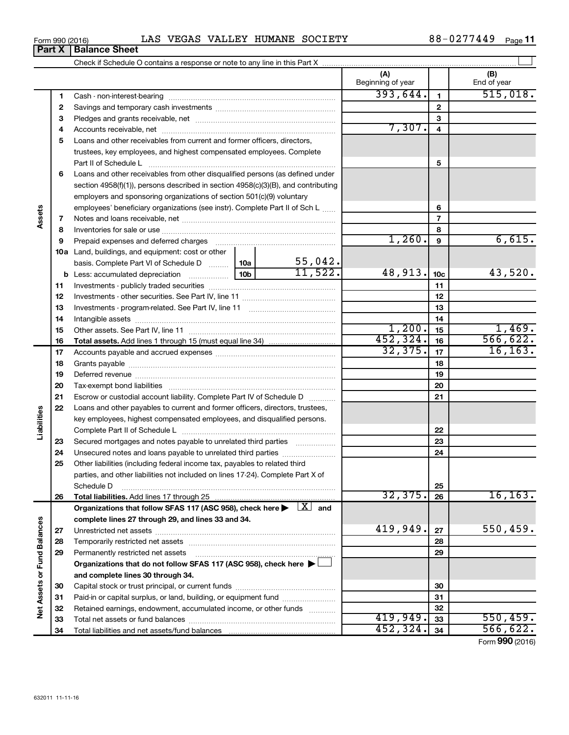| LAS<br>Form 990 (2016) |  |  |  | VEGAS VALLEY HUMANE SOCIETY | 0277449-ر<br>88 | Page |
|------------------------|--|--|--|-----------------------------|-----------------|------|
|------------------------|--|--|--|-----------------------------|-----------------|------|

|                             |    |                                                                                                                              | (A)<br>Beginning of year |                 | (B)<br>End of year |
|-----------------------------|----|------------------------------------------------------------------------------------------------------------------------------|--------------------------|-----------------|--------------------|
|                             | 1  |                                                                                                                              | 393,644.                 | $\mathbf{1}$    | 515,018.           |
|                             | 2  |                                                                                                                              |                          | $\mathbf{2}$    |                    |
|                             | З  |                                                                                                                              |                          | 3               |                    |
|                             | 4  |                                                                                                                              | 7,307.                   | 4               |                    |
|                             | 5  | Loans and other receivables from current and former officers, directors,                                                     |                          |                 |                    |
|                             |    | trustees, key employees, and highest compensated employees. Complete                                                         |                          |                 |                    |
|                             |    |                                                                                                                              |                          | 5               |                    |
|                             | 6  | Loans and other receivables from other disqualified persons (as defined under                                                |                          |                 |                    |
|                             |    | section 4958(f)(1)), persons described in section 4958(c)(3)(B), and contributing                                            |                          |                 |                    |
|                             |    | employers and sponsoring organizations of section 501(c)(9) voluntary                                                        |                          |                 |                    |
|                             |    | employees' beneficiary organizations (see instr). Complete Part II of Sch L                                                  |                          | 6               |                    |
| Assets                      | 7  |                                                                                                                              |                          | $\overline{7}$  |                    |
|                             | 8  |                                                                                                                              |                          | 8               |                    |
|                             | 9  | Prepaid expenses and deferred charges                                                                                        | 1,260.                   | 9               | 6,615.             |
|                             |    | <b>10a</b> Land, buildings, and equipment: cost or other                                                                     |                          |                 |                    |
|                             |    | 55,042.<br>basis. Complete Part VI of Schedule D    10a                                                                      |                          |                 |                    |
|                             |    | 11,522.<br>10 <sub>b</sub><br><b>b</b> Less: accumulated depreciation                                                        | 48,913.                  | 10 <sub>c</sub> | 43,520.            |
|                             | 11 |                                                                                                                              |                          | 11              |                    |
|                             | 12 |                                                                                                                              |                          | 12              |                    |
|                             | 13 |                                                                                                                              |                          | 13              |                    |
|                             | 14 |                                                                                                                              |                          | 14              |                    |
|                             | 15 |                                                                                                                              | 1,200.                   | 15              | 1,469.             |
|                             | 16 |                                                                                                                              | 452, 324.                | 16              | 566, 622.          |
|                             | 17 |                                                                                                                              | 32,375.                  | 17              | 16, 163.           |
|                             | 18 |                                                                                                                              |                          | 18              |                    |
|                             | 19 |                                                                                                                              |                          | 19              |                    |
|                             | 20 |                                                                                                                              |                          | 20              |                    |
|                             | 21 | Escrow or custodial account liability. Complete Part IV of Schedule D                                                        |                          | 21              |                    |
|                             | 22 | Loans and other payables to current and former officers, directors, trustees,                                                |                          |                 |                    |
| Liabilities                 |    | key employees, highest compensated employees, and disqualified persons.                                                      |                          |                 |                    |
|                             |    |                                                                                                                              |                          | 22              |                    |
|                             | 23 | Secured mortgages and notes payable to unrelated third parties                                                               |                          | 23              |                    |
|                             | 24 | Unsecured notes and loans payable to unrelated third parties                                                                 |                          | 24              |                    |
|                             | 25 | Other liabilities (including federal income tax, payables to related third                                                   |                          |                 |                    |
|                             |    | parties, and other liabilities not included on lines 17-24). Complete Part X of                                              |                          |                 |                    |
|                             |    | Schedule D                                                                                                                   |                          | 25              |                    |
|                             | 26 |                                                                                                                              | 32, 375.                 | 26              | 16, 163.           |
|                             |    | Organizations that follow SFAS 117 (ASC 958), check here $\blacktriangleright \begin{array}{c} \boxed{X} \\ \end{array}$ and |                          |                 |                    |
|                             |    | complete lines 27 through 29, and lines 33 and 34.                                                                           |                          |                 |                    |
|                             | 27 |                                                                                                                              | 419,949.                 | 27              | 550,459.           |
|                             | 28 |                                                                                                                              |                          | 28              |                    |
|                             | 29 | Permanently restricted net assets                                                                                            |                          | 29              |                    |
|                             |    | Organizations that do not follow SFAS 117 (ASC 958), check here                                                              |                          |                 |                    |
|                             |    | and complete lines 30 through 34.                                                                                            |                          |                 |                    |
|                             | 30 |                                                                                                                              |                          | 30              |                    |
|                             | 31 | Paid-in or capital surplus, or land, building, or equipment fund                                                             |                          | 31              |                    |
| Net Assets or Fund Balances | 32 | Retained earnings, endowment, accumulated income, or other funds                                                             |                          | 32              |                    |
|                             | 33 |                                                                                                                              | 419,949.                 | 33              | 550, 459.          |
|                             | 34 |                                                                                                                              | 452, 324.                | 34              | 566, 622.          |

Form (2016) **990**

# **Part X** | Balance Sheet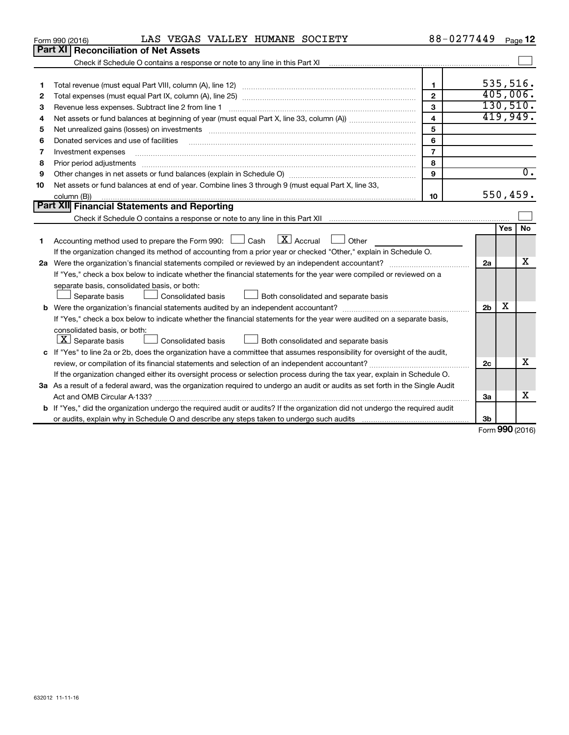|    | LAS VEGAS VALLEY HUMANE SOCIETY<br>Form 990 (2016)                                                                                   | 88-0277449              |                             |           | Page 12          |
|----|--------------------------------------------------------------------------------------------------------------------------------------|-------------------------|-----------------------------|-----------|------------------|
|    | Part XI<br><b>Reconciliation of Net Assets</b>                                                                                       |                         |                             |           |                  |
|    |                                                                                                                                      |                         |                             |           |                  |
|    |                                                                                                                                      |                         |                             |           |                  |
| 1  |                                                                                                                                      | $\blacksquare$          | 535,516.                    |           |                  |
| 2  |                                                                                                                                      | $\overline{2}$          | 405,006.                    |           |                  |
| З  |                                                                                                                                      | 3                       |                             |           | 130, 510.        |
| 4  |                                                                                                                                      | $\overline{\mathbf{4}}$ | 419,949.                    |           |                  |
| 5  | Net unrealized gains (losses) on investments [111] www.marting.community.community.community.community.communi                       | 5                       |                             |           |                  |
| 6  | Donated services and use of facilities                                                                                               | 6                       |                             |           |                  |
| 7  | Investment expenses                                                                                                                  | $\overline{7}$          |                             |           |                  |
| 8  | Prior period adjustments                                                                                                             | 8                       |                             |           |                  |
| 9  |                                                                                                                                      | 9                       |                             |           | $\overline{0}$ . |
| 10 | Net assets or fund balances at end of year. Combine lines 3 through 9 (must equal Part X, line 33,                                   |                         |                             |           |                  |
|    | column (B))                                                                                                                          | 10                      |                             | 550, 459. |                  |
|    | Part XII Financial Statements and Reporting                                                                                          |                         |                             |           |                  |
|    |                                                                                                                                      |                         |                             |           |                  |
|    |                                                                                                                                      |                         |                             | Yes       | <b>No</b>        |
| 1  | $\boxed{\text{X}}$ Accrual<br>Accounting method used to prepare the Form 990: [130] Cash<br>$\Box$ Other                             |                         |                             |           |                  |
|    | If the organization changed its method of accounting from a prior year or checked "Other," explain in Schedule O.                    |                         |                             |           |                  |
|    |                                                                                                                                      |                         | 2a                          |           | х                |
|    | If "Yes," check a box below to indicate whether the financial statements for the year were compiled or reviewed on a                 |                         |                             |           |                  |
|    | separate basis, consolidated basis, or both:                                                                                         |                         |                             |           |                  |
|    | Consolidated basis<br>Both consolidated and separate basis<br>Separate basis                                                         |                         |                             |           |                  |
|    |                                                                                                                                      |                         | 2 <sub>b</sub>              | X         |                  |
|    | If "Yes," check a box below to indicate whether the financial statements for the year were audited on a separate basis,              |                         |                             |           |                  |
|    | consolidated basis, or both:                                                                                                         |                         |                             |           |                  |
|    | $ \mathbf{X} $ Separate basis<br>Both consolidated and separate basis<br><b>Consolidated basis</b>                                   |                         |                             |           |                  |
|    | c If "Yes" to line 2a or 2b, does the organization have a committee that assumes responsibility for oversight of the audit,          |                         |                             |           |                  |
|    | review, or compilation of its financial statements and selection of an independent accountant?                                       |                         | 2c                          |           | x                |
|    | If the organization changed either its oversight process or selection process during the tax year, explain in Schedule O.            |                         |                             |           |                  |
|    | 3a As a result of a federal award, was the organization required to undergo an audit or audits as set forth in the Single Audit      |                         |                             |           |                  |
|    |                                                                                                                                      |                         | За                          |           | X                |
|    | <b>b</b> If "Yes," did the organization undergo the required audit or audits? If the organization did not undergo the required audit |                         |                             |           |                  |
|    |                                                                                                                                      |                         | 3b                          |           |                  |
|    |                                                                                                                                      |                         | $F_{\text{orm}}$ 990 (2016) |           |                  |

Form (2016) **990**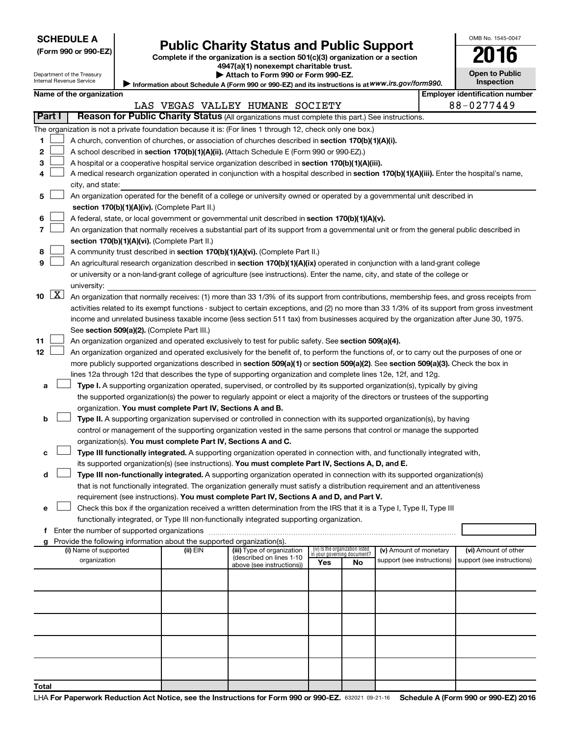| (Form 990 or 990-EZ |  |  |  |  |
|---------------------|--|--|--|--|
|---------------------|--|--|--|--|

# **Public Charity Status and Public Support**<br>
omplete if the organization is a section 501(c)(3) organization or a section

Complete if the organization is a section 501(c)(3) organization or a section

**4947(a)(1) nonexempt charitable trust.**

|                                                                                                   | Attach to Form 990 or Form 990-EZ. |  |
|---------------------------------------------------------------------------------------------------|------------------------------------|--|
| Information about Schedule A (Form 990 or 990-EZ) and its instructions is at WWW.irs.gov/form990. |                                    |  |

**Open to Public Inspection**

OMB No. 1545-0047

| Department of the Treasury<br>Internal Revenue Service |
|--------------------------------------------------------|
|--------------------------------------------------------|

**3**

**9**

|               | Name of the organization                                                                                  | Employer identification number |  |  |  |  |  |  |
|---------------|-----------------------------------------------------------------------------------------------------------|--------------------------------|--|--|--|--|--|--|
|               | LAS VEGAS VALLEY HUMANE SOCIETY                                                                           | 88-0277449                     |  |  |  |  |  |  |
| <b>Part I</b> | Reason for Public Charity Status (All organizations must complete this part.) See instructions.           |                                |  |  |  |  |  |  |
|               | The organization is not a private foundation because it is: (For lines 1 through 12, check only one box.) |                                |  |  |  |  |  |  |
|               | A church, convention of churches, or association of churches described in section 170(b)(1)(A)(i).        |                                |  |  |  |  |  |  |

|  | 2 $\Box$ A school described in section 170(b)(1)(A)(ii). (Attach Schedule E (Form 990 or 990-EZ).) |
|--|----------------------------------------------------------------------------------------------------|
|  |                                                                                                    |

- A hospital or a cooperative hospital service organization described in section 170(b)(1)(A)(iii).  $\sim$
- **4** A medical research organization operated in conjunction with a hospital described in **section 170(b)(1)(A)(iii).** Enter the hospital's name, city, and state:  $\sim$

|  | 5 4. An organization operated for the benefit of a college or university owned or operated by a governmental unit described in |
|--|--------------------------------------------------------------------------------------------------------------------------------|
|  | section 170(b)(1)(A)(iv). (Complete Part II.)                                                                                  |

- **6** A federal, state, or local government or governmental unit described in section 170(b)(1)(A)(v).  $\sim$
- **7 section 170(b)(1)(A)(vi).** (Complete Part II.) An organization that normally receives a substantial part of its support from a governmental unit or from the general public described in  $\sim$
- **8** A community trust described in **section 170(b)(1)(A)(vi).** (Complete Part II.)  $\sim$

|  | An agricultural research organization described in section 170(b)(1)(A)(ix) operated in conjunction with a land-grant college  |
|--|--------------------------------------------------------------------------------------------------------------------------------|
|  | or university or a non-land-grant college of agriculture (see instructions). Enter the name, city, and state of the college or |
|  | university:                                                                                                                    |

|  | 10 $[X]$ An organization that normally receives: (1) more than 33 1/3% of its support from contributions, membership fees, and gross receipts from |
|--|----------------------------------------------------------------------------------------------------------------------------------------------------|
|  | activities related to its exempt functions - subject to certain exceptions, and (2) no more than 33 1/3% of its support from gross investment      |
|  | income and unrelated business taxable income (less section 511 tax) from businesses acquired by the organization after June 30, 1975.              |
|  | See section 509(a)(2). (Complete Part III.)                                                                                                        |

**11** An organization organized and operated exclusively to test for public safety. See **section 509(a)(4).**  $\sim$ 

**12** more publicly supported organizations described in **section 509(a)(1)** or section 509(a)(2). See section 509(a)(3). Check the box in An organization organized and operated exclusively for the benefit of, to perform the functions of, or to carry out the purposes of one or lines 12a through 12d that describes the type of supporting organization and complete lines 12e, 12f, and 12g.  $\sim$ 

**a Type I.** A supporting organization operated, supervised, or controlled by its supported organization(s), typically by giving organization. You must complete Part IV, Sections A and B. the supported organization(s) the power to regularly appoint or elect a majority of the directors or trustees of the supporting  $\sim$ 

#### **b Type II.** A supporting organization supervised or controlled in connection with its supported organization(s), by having organization(s). You must complete Part IV, Sections A and C. control or management of the supporting organization vested in the same persons that control or manage the supported  $\sim$

|  | <b>c</b> $\Box$ <b>Type III functionally integrated.</b> A supporting organization operated in connection with, and functionally integrated with, |
|--|---------------------------------------------------------------------------------------------------------------------------------------------------|
|  | its supported organization(s) (see instructions). You must complete Part IV, Sections A, D, and E.                                                |

**d Type III non-functionally integrated.** A supporting organization operated in connection with its supported organization(s) requirement (see instructions). **You must complete Part IV, Sections A and D, and Part V.** that is not functionally integrated. The organization generally must satisfy a distribution requirement and an attentiveness

|  | e □ Check this box if the organization received a written determination from the IRS that it is a Type I, Type II, Type III |
|--|-----------------------------------------------------------------------------------------------------------------------------|
|  | functionally integrated, or Type III non-functionally integrated supporting organization.                                   |

**f** Enter the number of supported organizations ~~~~~~~~~~~~~~~~~~~~~~~~~~~~~~~~~~~~~

| g Provide the following information about the supported organization(s). |          |                                                        |                                                                |     |                            |                            |  |  |  |  |
|--------------------------------------------------------------------------|----------|--------------------------------------------------------|----------------------------------------------------------------|-----|----------------------------|----------------------------|--|--|--|--|
| (i) Name of supported                                                    | (ii) EIN | (iii) Type of organization<br>(described on lines 1-10 | (iv) Is the organization listed<br>in your governing document? |     | (v) Amount of monetary     | (vi) Amount of other       |  |  |  |  |
| organization                                                             |          | above (see instructions))                              | Yes                                                            | No. | support (see instructions) | support (see instructions) |  |  |  |  |
|                                                                          |          |                                                        |                                                                |     |                            |                            |  |  |  |  |
|                                                                          |          |                                                        |                                                                |     |                            |                            |  |  |  |  |
|                                                                          |          |                                                        |                                                                |     |                            |                            |  |  |  |  |
|                                                                          |          |                                                        |                                                                |     |                            |                            |  |  |  |  |
|                                                                          |          |                                                        |                                                                |     |                            |                            |  |  |  |  |
|                                                                          |          |                                                        |                                                                |     |                            |                            |  |  |  |  |
|                                                                          |          |                                                        |                                                                |     |                            |                            |  |  |  |  |
|                                                                          |          |                                                        |                                                                |     |                            |                            |  |  |  |  |
|                                                                          |          |                                                        |                                                                |     |                            |                            |  |  |  |  |
|                                                                          |          |                                                        |                                                                |     |                            |                            |  |  |  |  |
| Total                                                                    |          |                                                        |                                                                |     |                            |                            |  |  |  |  |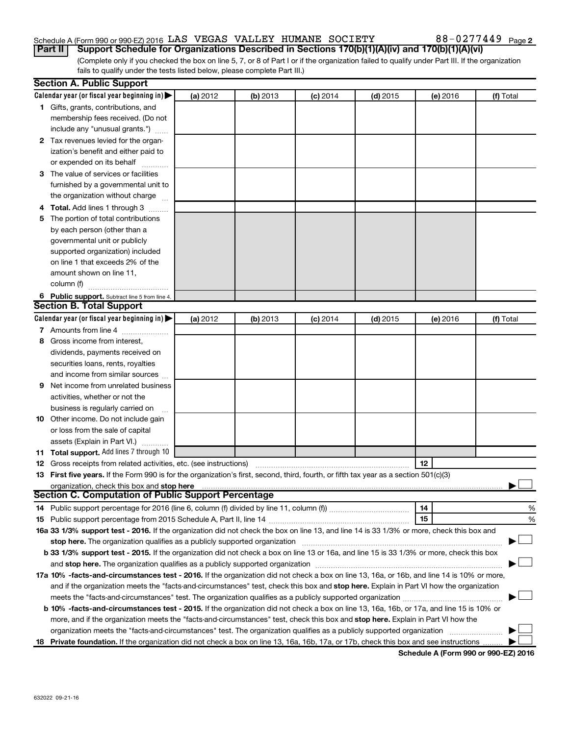## Schedule A (Form 990 or 990-EZ) 2016  $\rm{LAS}$  VEGAS VALLEY HUMANE SOCIETY  $\rm{S}$  88-0277449  $\rm{Page}$

(Complete only if you checked the box on line 5, 7, or 8 of Part I or if the organization failed to qualify under Part III. If the organization fails to qualify under the tests listed below, please complete Part III.) **Part II** | Support Schedule for Organizations Described in Sections 170(b)(1)(A)(iv) and 170(b)(1)(A)(vi)

| <b>Section A. Public Support</b>                                                                                                                                                                                                                           |          |          |            |            |          |           |  |  |
|------------------------------------------------------------------------------------------------------------------------------------------------------------------------------------------------------------------------------------------------------------|----------|----------|------------|------------|----------|-----------|--|--|
| Calendar year (or fiscal year beginning in)                                                                                                                                                                                                                | (a) 2012 | (b) 2013 | $(c)$ 2014 | $(d)$ 2015 | (e) 2016 | (f) Total |  |  |
| 1 Gifts, grants, contributions, and                                                                                                                                                                                                                        |          |          |            |            |          |           |  |  |
| membership fees received. (Do not                                                                                                                                                                                                                          |          |          |            |            |          |           |  |  |
| include any "unusual grants.")                                                                                                                                                                                                                             |          |          |            |            |          |           |  |  |
| 2 Tax revenues levied for the organ-                                                                                                                                                                                                                       |          |          |            |            |          |           |  |  |
| ization's benefit and either paid to                                                                                                                                                                                                                       |          |          |            |            |          |           |  |  |
| or expended on its behalf                                                                                                                                                                                                                                  |          |          |            |            |          |           |  |  |
| 3 The value of services or facilities                                                                                                                                                                                                                      |          |          |            |            |          |           |  |  |
| furnished by a governmental unit to                                                                                                                                                                                                                        |          |          |            |            |          |           |  |  |
| the organization without charge                                                                                                                                                                                                                            |          |          |            |            |          |           |  |  |
| 4 Total. Add lines 1 through 3                                                                                                                                                                                                                             |          |          |            |            |          |           |  |  |
| 5 The portion of total contributions                                                                                                                                                                                                                       |          |          |            |            |          |           |  |  |
| by each person (other than a                                                                                                                                                                                                                               |          |          |            |            |          |           |  |  |
| governmental unit or publicly                                                                                                                                                                                                                              |          |          |            |            |          |           |  |  |
| supported organization) included                                                                                                                                                                                                                           |          |          |            |            |          |           |  |  |
| on line 1 that exceeds 2% of the                                                                                                                                                                                                                           |          |          |            |            |          |           |  |  |
| amount shown on line 11,                                                                                                                                                                                                                                   |          |          |            |            |          |           |  |  |
| column (f)                                                                                                                                                                                                                                                 |          |          |            |            |          |           |  |  |
| 6 Public support. Subtract line 5 from line 4.                                                                                                                                                                                                             |          |          |            |            |          |           |  |  |
| <b>Section B. Total Support</b>                                                                                                                                                                                                                            |          |          |            |            |          |           |  |  |
| Calendar year (or fiscal year beginning in)                                                                                                                                                                                                                | (a) 2012 | (b) 2013 | $(c)$ 2014 | $(d)$ 2015 | (e) 2016 | (f) Total |  |  |
| 7 Amounts from line 4                                                                                                                                                                                                                                      |          |          |            |            |          |           |  |  |
| 8 Gross income from interest.                                                                                                                                                                                                                              |          |          |            |            |          |           |  |  |
| dividends, payments received on                                                                                                                                                                                                                            |          |          |            |            |          |           |  |  |
| securities loans, rents, royalties                                                                                                                                                                                                                         |          |          |            |            |          |           |  |  |
| and income from similar sources                                                                                                                                                                                                                            |          |          |            |            |          |           |  |  |
| <b>9</b> Net income from unrelated business                                                                                                                                                                                                                |          |          |            |            |          |           |  |  |
| activities, whether or not the                                                                                                                                                                                                                             |          |          |            |            |          |           |  |  |
| business is regularly carried on                                                                                                                                                                                                                           |          |          |            |            |          |           |  |  |
| 10 Other income. Do not include gain                                                                                                                                                                                                                       |          |          |            |            |          |           |  |  |
| or loss from the sale of capital                                                                                                                                                                                                                           |          |          |            |            |          |           |  |  |
| assets (Explain in Part VI.)                                                                                                                                                                                                                               |          |          |            |            |          |           |  |  |
| 11 Total support. Add lines 7 through 10                                                                                                                                                                                                                   |          |          |            |            |          |           |  |  |
| <b>12</b> Gross receipts from related activities, etc. (see instructions)                                                                                                                                                                                  |          |          |            |            | 12       |           |  |  |
| 13 First five years. If the Form 990 is for the organization's first, second, third, fourth, or fifth tax year as a section 501(c)(3)                                                                                                                      |          |          |            |            |          |           |  |  |
| organization, check this box and stop here                                                                                                                                                                                                                 |          |          |            |            |          |           |  |  |
| Section C. Computation of Public Support Percentage                                                                                                                                                                                                        |          |          |            |            |          |           |  |  |
|                                                                                                                                                                                                                                                            |          |          |            |            | 14       | %         |  |  |
|                                                                                                                                                                                                                                                            |          |          |            |            | 15       | %         |  |  |
| 16a 33 1/3% support test - 2016. If the organization did not check the box on line 13, and line 14 is 33 1/3% or more, check this box and                                                                                                                  |          |          |            |            |          |           |  |  |
| stop here. The organization qualifies as a publicly supported organization matchinary material content and the                                                                                                                                             |          |          |            |            |          |           |  |  |
| b 33 1/3% support test - 2015. If the organization did not check a box on line 13 or 16a, and line 15 is 33 1/3% or more, check this box                                                                                                                   |          |          |            |            |          |           |  |  |
|                                                                                                                                                                                                                                                            |          |          |            |            |          |           |  |  |
| 17a 10% -facts-and-circumstances test - 2016. If the organization did not check a box on line 13, 16a, or 16b, and line 14 is 10% or more,                                                                                                                 |          |          |            |            |          |           |  |  |
| and if the organization meets the "facts-and-circumstances" test, check this box and stop here. Explain in Part VI how the organization                                                                                                                    |          |          |            |            |          |           |  |  |
| meets the "facts-and-circumstances" test. The organization qualifies as a publicly supported organization                                                                                                                                                  |          |          |            |            |          |           |  |  |
| b 10% -facts-and-circumstances test - 2015. If the organization did not check a box on line 13, 16a, 16b, or 17a, and line 15 is 10% or                                                                                                                    |          |          |            |            |          |           |  |  |
|                                                                                                                                                                                                                                                            |          |          |            |            |          |           |  |  |
| more, and if the organization meets the "facts-and-circumstances" test, check this box and stop here. Explain in Part VI how the<br>organization meets the "facts-and-circumstances" test. The organization qualifies as a publicly supported organization |          |          |            |            |          |           |  |  |
| 18 Private foundation. If the organization did not check a box on line 13, 16a, 16b, 17a, or 17b, check this box and see instructions                                                                                                                      |          |          |            |            |          |           |  |  |
|                                                                                                                                                                                                                                                            |          |          |            |            |          |           |  |  |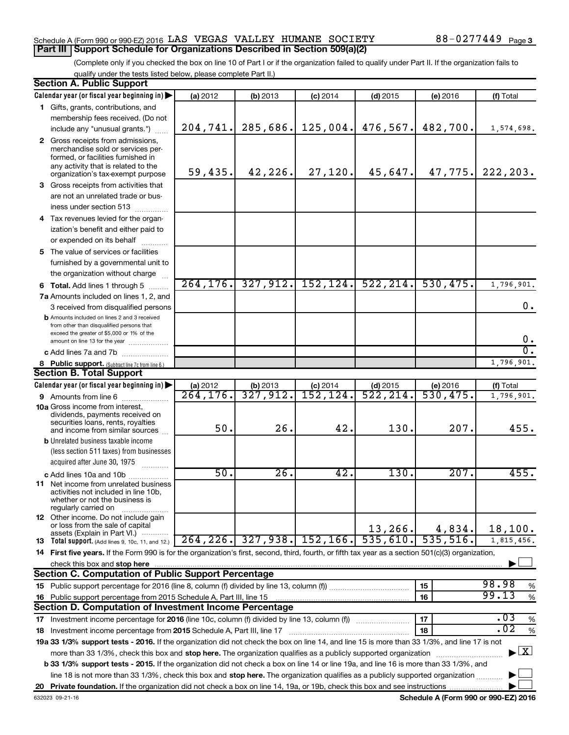#### Schedule A (Form 990 or 990-EZ) 2016  $\rm{LAS}$  VEGAS VALLEY HUMANE SOCIETY  $\rm{S}$  88-0277449  $\rm{Page}$ **Part III | Support Schedule for Organizations Described in Section 509(a)(2)**

(Complete only if you checked the box on line 10 of Part I or if the organization failed to qualify under Part II. If the organization fails to qualify under the tests listed below, please complete Part II.)

| <b>Section A. Public Support</b>                                                                                                                    |           |            |                   |            |           |                                    |
|-----------------------------------------------------------------------------------------------------------------------------------------------------|-----------|------------|-------------------|------------|-----------|------------------------------------|
| Calendar year (or fiscal year beginning in)                                                                                                         | (a) 2012  | (b) 2013   | $(c)$ 2014        | $(d)$ 2015 | (e) 2016  | (f) Total                          |
| 1 Gifts, grants, contributions, and                                                                                                                 |           |            |                   |            |           |                                    |
| membership fees received. (Do not                                                                                                                   |           |            |                   |            |           |                                    |
| include any "unusual grants.")                                                                                                                      | 204, 741. | 285,686.   | 125,004.          | 476,567.   | 482,700.  | 1,574,698.                         |
| 2 Gross receipts from admissions,                                                                                                                   |           |            |                   |            |           |                                    |
| merchandise sold or services per-                                                                                                                   |           |            |                   |            |           |                                    |
| formed, or facilities furnished in<br>any activity that is related to the                                                                           |           |            |                   |            |           |                                    |
| organization's tax-exempt purpose                                                                                                                   | 59,435.   | 42,226.    | 27,120.           | 45,647.    | 47,775.   | 222, 203.                          |
| 3 Gross receipts from activities that                                                                                                               |           |            |                   |            |           |                                    |
| are not an unrelated trade or bus-                                                                                                                  |           |            |                   |            |           |                                    |
| iness under section 513                                                                                                                             |           |            |                   |            |           |                                    |
| 4 Tax revenues levied for the organ-                                                                                                                |           |            |                   |            |           |                                    |
| ization's benefit and either paid to                                                                                                                |           |            |                   |            |           |                                    |
| or expended on its behalf                                                                                                                           |           |            |                   |            |           |                                    |
| 5 The value of services or facilities                                                                                                               |           |            |                   |            |           |                                    |
| furnished by a governmental unit to                                                                                                                 |           |            |                   |            |           |                                    |
| the organization without charge                                                                                                                     |           |            |                   |            |           |                                    |
|                                                                                                                                                     | 264, 176. | 327, 912.  | 152, 124.         | 522, 214.  | 530, 475. | 1,796,901.                         |
| <b>6 Total.</b> Add lines 1 through 5                                                                                                               |           |            |                   |            |           |                                    |
| 7a Amounts included on lines 1, 2, and                                                                                                              |           |            |                   |            |           | 0.                                 |
| 3 received from disqualified persons                                                                                                                |           |            |                   |            |           |                                    |
| <b>b</b> Amounts included on lines 2 and 3 received<br>from other than disqualified persons that                                                    |           |            |                   |            |           |                                    |
| exceed the greater of \$5,000 or 1% of the                                                                                                          |           |            |                   |            |           |                                    |
| amount on line 13 for the year                                                                                                                      |           |            |                   |            |           | 0.                                 |
| c Add lines 7a and 7b                                                                                                                               |           |            |                   |            |           | σ.                                 |
| 8 Public support. (Subtract line 7c from line 6.)                                                                                                   |           |            |                   |            |           | 1,796,901.                         |
| <b>Section B. Total Support</b>                                                                                                                     |           |            |                   |            |           |                                    |
| Calendar year (or fiscal year beginning in)                                                                                                         | (a) 2012  | $(b)$ 2013 | $(c)$ 2014        | $(d)$ 2015 | (e) 2016  | (f) Total                          |
| 9 Amounts from line 6                                                                                                                               | 264, 176. | 327,912.   | 152, 124.         | 522, 214.  | 530,475.  | 1,796,901.                         |
| <b>10a</b> Gross income from interest,<br>dividends, payments received on                                                                           |           |            |                   |            |           |                                    |
| securities loans, rents, royalties                                                                                                                  |           |            |                   |            |           |                                    |
| and income from similar sources                                                                                                                     | 50.       | 26.        | 42.               | 130.       | 207.      | 455.                               |
| <b>b</b> Unrelated business taxable income                                                                                                          |           |            |                   |            |           |                                    |
| (less section 511 taxes) from businesses                                                                                                            |           |            |                   |            |           |                                    |
| acquired after June 30, 1975                                                                                                                        |           |            |                   |            |           |                                    |
| <b>c</b> Add lines 10a and 10b                                                                                                                      | 50.       | 26.        | 42.               | 130.       | 207.      | 455.                               |
| <b>11</b> Net income from unrelated business                                                                                                        |           |            |                   |            |           |                                    |
| activities not included in line 10b,<br>whether or not the business is                                                                              |           |            |                   |            |           |                                    |
| regularly carried on                                                                                                                                |           |            |                   |            |           |                                    |
| 12 Other income. Do not include gain                                                                                                                |           |            |                   |            |           |                                    |
| or loss from the sale of capital                                                                                                                    |           |            |                   | 13,266.    | 4,834.    | 18, 100.                           |
| assets (Explain in Part VI.) $\cdots$<br><b>13</b> Total support. (Add lines 9, 10c, 11, and 12.)                                                   | 264, 226. |            | 327,938. 152,166. | 535,610.   | 535,516.  | 1,815,456.                         |
| 14 First five years. If the Form 990 is for the organization's first, second, third, fourth, or fifth tax year as a section 501(c)(3) organization, |           |            |                   |            |           |                                    |
| check this box and stop here                                                                                                                        |           |            |                   |            |           |                                    |
| <b>Section C. Computation of Public Support Percentage</b>                                                                                          |           |            |                   |            |           |                                    |
|                                                                                                                                                     |           |            |                   |            | 15        | 98.98<br>%                         |
| 16 Public support percentage from 2015 Schedule A, Part III, line 15                                                                                |           |            |                   |            | 16        | 99.13<br>$\%$                      |
| <b>Section D. Computation of Investment Income Percentage</b>                                                                                       |           |            |                   |            |           |                                    |
| 17 Investment income percentage for 2016 (line 10c, column (f) divided by line 13, column (f))                                                      |           |            |                   |            | 17        | .03<br>$\%$                        |
| 18 Investment income percentage from 2015 Schedule A, Part III, line 17                                                                             |           |            |                   |            | 18        | $\overline{.02}$<br>%              |
| 19a 33 1/3% support tests - 2016. If the organization did not check the box on line 14, and line 15 is more than 33 1/3%, and line 17 is not        |           |            |                   |            |           |                                    |
|                                                                                                                                                     |           |            |                   |            |           | $\blacktriangleright$ $\mathbf{X}$ |
| more than 33 1/3%, check this box and stop here. The organization qualifies as a publicly supported organization                                    |           |            |                   |            |           |                                    |
| <b>b 33 1/3% support tests - 2015.</b> If the organization did not check a box on line 14 or line 19a, and line 16 is more than 33 1/3%, and        |           |            |                   |            |           |                                    |
| line 18 is not more than 33 1/3%, check this box and stop here. The organization qualifies as a publicly supported organization                     |           |            |                   |            |           |                                    |
|                                                                                                                                                     |           |            |                   |            |           |                                    |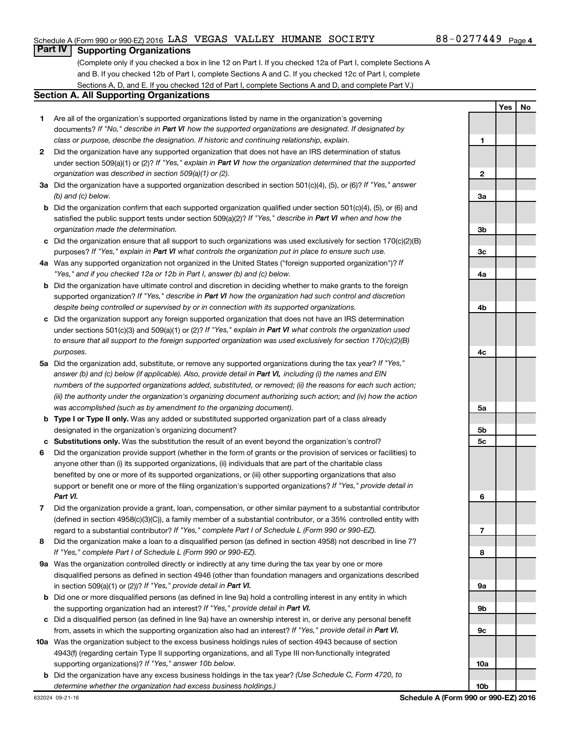**1**

**2**

**Yes No**

#### **Part IV Supporting Organizations**

(Complete only if you checked a box in line 12 on Part I. If you checked 12a of Part I, complete Sections A and B. If you checked 12b of Part I, complete Sections A and C. If you checked 12c of Part I, complete Sections A, D, and E. If you checked 12d of Part I, complete Sections A and D, and complete Part V.)

#### **Section A. All Supporting Organizations**

- **1** Are all of the organization's supported organizations listed by name in the organization's governing documents? If "No," describe in Part VI how the supported organizations are designated. If designated by *class or purpose, describe the designation. If historic and continuing relationship, explain.*
- **2** Did the organization have any supported organization that does not have an IRS determination of status under section 509(a)(1) or (2)? If "Yes," explain in Part VI how the organization determined that the supported *organization was described in section 509(a)(1) or (2).*
- **3a** Did the organization have a supported organization described in section 501(c)(4), (5), or (6)? If "Yes," answer *(b) and (c) below.*
- **b** Did the organization confirm that each supported organization qualified under section 501(c)(4), (5), or (6) and satisfied the public support tests under section 509(a)(2)? If "Yes," describe in Part VI when and how the *organization made the determination.*
- **c** Did the organization ensure that all support to such organizations was used exclusively for section 170(c)(2)(B) purposes? If "Yes," explain in Part VI what controls the organization put in place to ensure such use.
- **4 a** *If* Was any supported organization not organized in the United States ("foreign supported organization")? *"Yes," and if you checked 12a or 12b in Part I, answer (b) and (c) below.*
- **b** Did the organization have ultimate control and discretion in deciding whether to make grants to the foreign supported organization? If "Yes," describe in Part VI how the organization had such control and discretion *despite being controlled or supervised by or in connection with its supported organizations.*
- **c** Did the organization support any foreign supported organization that does not have an IRS determination under sections 501(c)(3) and 509(a)(1) or (2)? If "Yes," explain in Part VI what controls the organization used *to ensure that all support to the foreign supported organization was used exclusively for section 170(c)(2)(B) purposes.*
- **5a** Did the organization add, substitute, or remove any supported organizations during the tax year? If "Yes," answer (b) and (c) below (if applicable). Also, provide detail in Part VI, including (i) the names and EIN *numbers of the supported organizations added, substituted, or removed; (ii) the reasons for each such action; (iii) the authority under the organization's organizing document authorizing such action; and (iv) how the action was accomplished (such as by amendment to the organizing document).*
- **b Type I or Type II only.** Was any added or substituted supported organization part of a class already designated in the organization's organizing document?
- **c Substitutions only.**  Was the substitution the result of an event beyond the organization's control?
- **6** Did the organization provide support (whether in the form of grants or the provision of services or facilities) to support or benefit one or more of the filing organization's supported organizations? If "Yes," provide detail in anyone other than (i) its supported organizations, (ii) individuals that are part of the charitable class benefited by one or more of its supported organizations, or (iii) other supporting organizations that also *Part VI.*
- **7** Did the organization provide a grant, loan, compensation, or other similar payment to a substantial contributor regard to a substantial contributor? If "Yes," complete Part I of Schedule L (Form 990 or 990-EZ). (defined in section 4958(c)(3)(C)), a family member of a substantial contributor, or a 35% controlled entity with
- **8** Did the organization make a loan to a disqualified person (as defined in section 4958) not described in line 7? *If "Yes," complete Part I of Schedule L (Form 990 or 990-EZ).*
- **9 a** Was the organization controlled directly or indirectly at any time during the tax year by one or more in section 509(a)(1) or (2))? If "Yes," provide detail in **Part VI.** disqualified persons as defined in section 4946 (other than foundation managers and organizations described
- **b** Did one or more disqualified persons (as defined in line 9a) hold a controlling interest in any entity in which the supporting organization had an interest? If "Yes," provide detail in Part VI.
- **c** Did a disqualified person (as defined in line 9a) have an ownership interest in, or derive any personal benefit from, assets in which the supporting organization also had an interest? If "Yes," provide detail in Part VI.
- **10 a** Was the organization subject to the excess business holdings rules of section 4943 because of section supporting organizations)? If "Yes," answer 10b below. 4943(f) (regarding certain Type II supporting organizations, and all Type III non-functionally integrated
- **b** Did the organization have any excess business holdings in the tax year? (Use Schedule C, Form 4720, to *determine whether the organization had excess business holdings.)*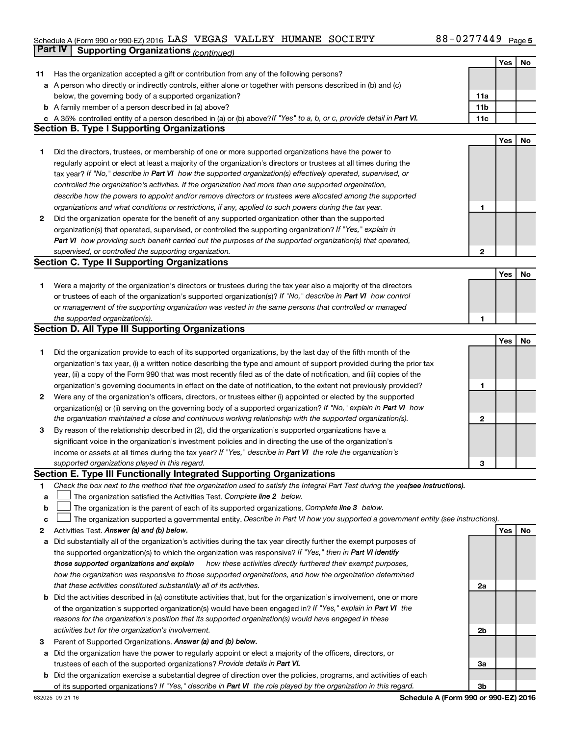#### Schedule A (Form 990 or 990-EZ) 2016 LAS VEGAS VALLEY HUMANE SOCIETY NAMEL RESOURDED A SOFT OF A Page LAS VEGAS VALLEY HUMANE SOCIETY 88-0277449

|              | Part IV<br><b>Supporting Organizations (continued)</b>                                                                          |                 |     |    |
|--------------|---------------------------------------------------------------------------------------------------------------------------------|-----------------|-----|----|
|              |                                                                                                                                 |                 | Yes | No |
| 11           | Has the organization accepted a gift or contribution from any of the following persons?                                         |                 |     |    |
|              | a A person who directly or indirectly controls, either alone or together with persons described in (b) and (c)                  |                 |     |    |
|              | below, the governing body of a supported organization?                                                                          | 11a             |     |    |
|              | <b>b</b> A family member of a person described in (a) above?                                                                    | 11 <sub>b</sub> |     |    |
|              | c A 35% controlled entity of a person described in (a) or (b) above? If "Yes" to a, b, or c, provide detail in Part VI.         | 11c             |     |    |
|              | <b>Section B. Type I Supporting Organizations</b>                                                                               |                 |     |    |
|              |                                                                                                                                 |                 | Yes | No |
|              | Did the directors, trustees, or membership of one or more supported organizations have the power to                             |                 |     |    |
| 1            |                                                                                                                                 |                 |     |    |
|              | regularly appoint or elect at least a majority of the organization's directors or trustees at all times during the              |                 |     |    |
|              | tax year? If "No," describe in Part VI how the supported organization(s) effectively operated, supervised, or                   |                 |     |    |
|              | controlled the organization's activities. If the organization had more than one supported organization,                         |                 |     |    |
|              | describe how the powers to appoint and/or remove directors or trustees were allocated among the supported                       |                 |     |    |
|              | organizations and what conditions or restrictions, if any, applied to such powers during the tax year.                          | 1               |     |    |
| 2            | Did the organization operate for the benefit of any supported organization other than the supported                             |                 |     |    |
|              | organization(s) that operated, supervised, or controlled the supporting organization? If "Yes," explain in                      |                 |     |    |
|              | Part VI how providing such benefit carried out the purposes of the supported organization(s) that operated,                     |                 |     |    |
|              | supervised, or controlled the supporting organization.                                                                          | 2               |     |    |
|              | <b>Section C. Type II Supporting Organizations</b>                                                                              |                 |     |    |
|              |                                                                                                                                 |                 | Yes | No |
| 1            | Were a majority of the organization's directors or trustees during the tax year also a majority of the directors                |                 |     |    |
|              | or trustees of each of the organization's supported organization(s)? If "No," describe in Part VI how control                   |                 |     |    |
|              | or management of the supporting organization was vested in the same persons that controlled or managed                          |                 |     |    |
|              | the supported organization(s).                                                                                                  | 1               |     |    |
|              | <b>Section D. All Type III Supporting Organizations</b>                                                                         |                 |     |    |
|              |                                                                                                                                 |                 | Yes | No |
| 1            | Did the organization provide to each of its supported organizations, by the last day of the fifth month of the                  |                 |     |    |
|              | organization's tax year, (i) a written notice describing the type and amount of support provided during the prior tax           |                 |     |    |
|              | year, (ii) a copy of the Form 990 that was most recently filed as of the date of notification, and (iii) copies of the          |                 |     |    |
|              | organization's governing documents in effect on the date of notification, to the extent not previously provided?                | 1               |     |    |
| $\mathbf{2}$ | Were any of the organization's officers, directors, or trustees either (i) appointed or elected by the supported                |                 |     |    |
|              | organization(s) or (ii) serving on the governing body of a supported organization? If "No," explain in Part VI how              |                 |     |    |
|              | the organization maintained a close and continuous working relationship with the supported organization(s).                     | 2               |     |    |
| 3            | By reason of the relationship described in (2), did the organization's supported organizations have a                           |                 |     |    |
|              | significant voice in the organization's investment policies and in directing the use of the organization's                      |                 |     |    |
|              | income or assets at all times during the tax year? If "Yes," describe in Part VI the role the organization's                    |                 |     |    |
|              | supported organizations played in this regard.                                                                                  | з               |     |    |
|              | Section E. Type III Functionally Integrated Supporting Organizations                                                            |                 |     |    |
| 1            | Check the box next to the method that the organization used to satisfy the Integral Part Test during the yealsee instructions). |                 |     |    |
| a            | The organization satisfied the Activities Test. Complete line 2 below.                                                          |                 |     |    |
| $\mathbf b$  | The organization is the parent of each of its supported organizations. Complete line 3 below.                                   |                 |     |    |
| c            | The organization supported a governmental entity. Describe in Part VI how you supported a government entity (see instructions). |                 |     |    |
| 2            | Activities Test. Answer (a) and (b) below.                                                                                      |                 | Yes | No |
| а            | Did substantially all of the organization's activities during the tax year directly further the exempt purposes of              |                 |     |    |
|              | the supported organization(s) to which the organization was responsive? If "Yes," then in Part VI identify                      |                 |     |    |
|              | those supported organizations and explain<br>how these activities directly furthered their exempt purposes,                     |                 |     |    |
|              | how the organization was responsive to those supported organizations, and how the organization determined                       |                 |     |    |
|              | that these activities constituted substantially all of its activities.                                                          | 2a              |     |    |
|              | <b>b</b> Did the activities described in (a) constitute activities that, but for the organization's involvement, one or more    |                 |     |    |
|              | of the organization's supported organization(s) would have been engaged in? If "Yes," explain in Part VI the                    |                 |     |    |
|              | reasons for the organization's position that its supported organization(s) would have engaged in these                          |                 |     |    |
|              | activities but for the organization's involvement.                                                                              | 2b              |     |    |
| З            | Parent of Supported Organizations. Answer (a) and (b) below.                                                                    |                 |     |    |
| а            | Did the organization have the power to regularly appoint or elect a majority of the officers, directors, or                     |                 |     |    |
|              | trustees of each of the supported organizations? Provide details in Part VI.                                                    | За              |     |    |
|              | <b>b</b> Did the organization exercise a substantial degree of direction over the policies, programs, and activities of each    |                 |     |    |
|              | of its supported organizations? If "Yes," describe in Part VI the role played by the organization in this regard.               | Зb              |     |    |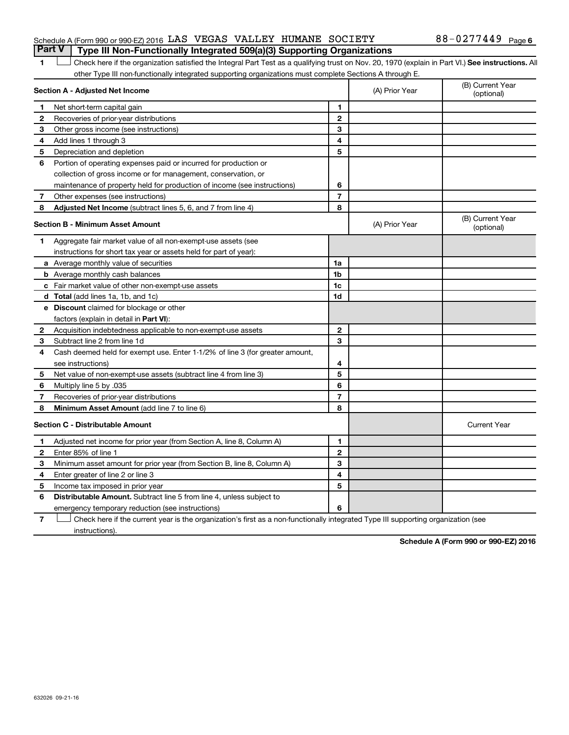#### Schedule A (Form 990 or 990-EZ) 2016  $\rm{LAS}$  VEGAS VALLEY HUMANE SOCIETY  $\rm{S}$  88-0277449  $\rm{Page}$ **Part V Type III Non-Functionally Integrated 509(a)(3) Supporting Organizations**

### 1 **Letter See instructions.** All Check here if the organization satisfied the Integral Part Test as a qualifying trust on Nov. 20, 1970 (explain in Part VI.) See instructions. All other Type III non-functionally integrated supporting organizations must complete Sections A through E.

|                | Section A - Adjusted Net Income                                              |                | (A) Prior Year | (B) Current Year<br>(optional) |
|----------------|------------------------------------------------------------------------------|----------------|----------------|--------------------------------|
| 1              | Net short-term capital gain                                                  | 1              |                |                                |
| 2              | Recoveries of prior-year distributions                                       | $\mathbf{2}$   |                |                                |
| з              | Other gross income (see instructions)                                        | 3              |                |                                |
| 4              | Add lines 1 through 3                                                        | 4              |                |                                |
| 5              | Depreciation and depletion                                                   | 5              |                |                                |
| 6              | Portion of operating expenses paid or incurred for production or             |                |                |                                |
|                | collection of gross income or for management, conservation, or               |                |                |                                |
|                | maintenance of property held for production of income (see instructions)     | 6              |                |                                |
| 7              | Other expenses (see instructions)                                            | $\overline{7}$ |                |                                |
| 8              | Adjusted Net Income (subtract lines 5, 6, and 7 from line 4)                 | 8              |                |                                |
|                | <b>Section B - Minimum Asset Amount</b>                                      |                | (A) Prior Year | (B) Current Year<br>(optional) |
| 1              | Aggregate fair market value of all non-exempt-use assets (see                |                |                |                                |
|                | instructions for short tax year or assets held for part of year):            |                |                |                                |
|                | a Average monthly value of securities                                        | 1a             |                |                                |
|                | <b>b</b> Average monthly cash balances                                       | 1b             |                |                                |
|                | c Fair market value of other non-exempt-use assets                           | 1c             |                |                                |
|                | <b>d</b> Total (add lines 1a, 1b, and 1c)                                    | 1d             |                |                                |
|                | e Discount claimed for blockage or other                                     |                |                |                                |
|                | factors (explain in detail in <b>Part VI</b> ):                              |                |                |                                |
| 2              | Acquisition indebtedness applicable to non-exempt-use assets                 | $\mathbf{2}$   |                |                                |
| 3              | Subtract line 2 from line 1d                                                 | 3              |                |                                |
| 4              | Cash deemed held for exempt use. Enter 1-1/2% of line 3 (for greater amount, |                |                |                                |
|                | see instructions)                                                            | 4              |                |                                |
| 5              | Net value of non-exempt-use assets (subtract line 4 from line 3)             | 5              |                |                                |
| 6              | Multiply line 5 by .035                                                      | 6              |                |                                |
| $\overline{7}$ | Recoveries of prior-year distributions                                       | $\overline{7}$ |                |                                |
| 8              | <b>Minimum Asset Amount (add line 7 to line 6)</b>                           | 8              |                |                                |
|                | <b>Section C - Distributable Amount</b>                                      |                |                | <b>Current Year</b>            |
| 1              | Adjusted net income for prior year (from Section A, line 8, Column A)        | 1              |                |                                |
| $\mathbf{2}$   | Enter 85% of line 1                                                          | $\mathbf{2}$   |                |                                |
| З              | Minimum asset amount for prior year (from Section B, line 8, Column A)       | 3              |                |                                |
| 4              | Enter greater of line 2 or line 3                                            | 4              |                |                                |
| 5              | Income tax imposed in prior year                                             | 5              |                |                                |
| 6              | <b>Distributable Amount.</b> Subtract line 5 from line 4, unless subject to  |                |                |                                |
|                | emergency temporary reduction (see instructions)                             | 6              |                |                                |

**7** Let Check here if the current year is the organization's first as a non-functionally integrated Type III supporting organization (see instructions).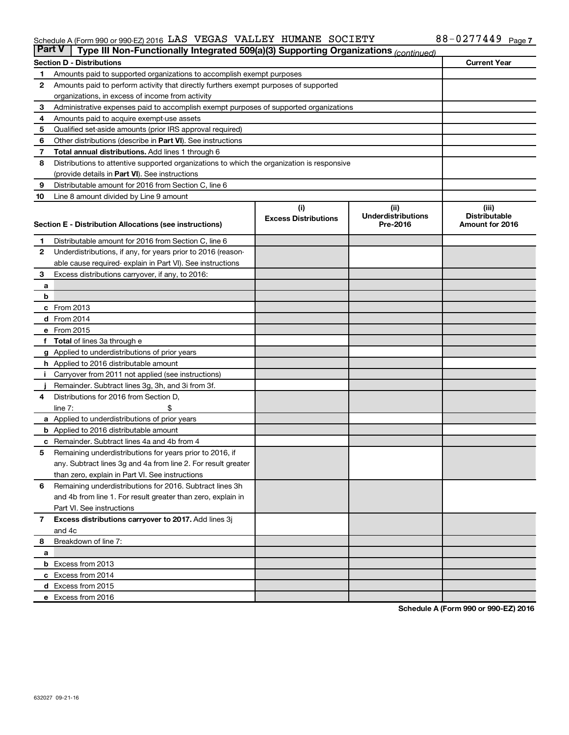#### Schedule A (Form 990 or 990-EZ) 2016 LAS VEGAS VALLEY HUMANE SOCIETY NAMEL RESOURDED A SOFT OF A Page LAS VEGAS VALLEY HUMANE SOCIETY 88-0277449

| <b>Part V</b> | Type III Non-Functionally Integrated 509(a)(3) Supporting Organizations (continued)                 |                             |                                       |                                         |  |  |  |
|---------------|-----------------------------------------------------------------------------------------------------|-----------------------------|---------------------------------------|-----------------------------------------|--|--|--|
|               | <b>Section D - Distributions</b>                                                                    |                             |                                       | <b>Current Year</b>                     |  |  |  |
| 1             | Amounts paid to supported organizations to accomplish exempt purposes                               |                             |                                       |                                         |  |  |  |
| 2             | Amounts paid to perform activity that directly furthers exempt purposes of supported                |                             |                                       |                                         |  |  |  |
|               | organizations, in excess of income from activity                                                    |                             |                                       |                                         |  |  |  |
| 3             | Administrative expenses paid to accomplish exempt purposes of supported organizations               |                             |                                       |                                         |  |  |  |
| 4             | Amounts paid to acquire exempt-use assets                                                           |                             |                                       |                                         |  |  |  |
| 5             | Qualified set-aside amounts (prior IRS approval required)                                           |                             |                                       |                                         |  |  |  |
| 6             | Other distributions (describe in Part VI). See instructions                                         |                             |                                       |                                         |  |  |  |
| 7             | <b>Total annual distributions.</b> Add lines 1 through 6                                            |                             |                                       |                                         |  |  |  |
| 8             | Distributions to attentive supported organizations to which the organization is responsive          |                             |                                       |                                         |  |  |  |
|               | (provide details in Part VI). See instructions                                                      |                             |                                       |                                         |  |  |  |
| 9             | Distributable amount for 2016 from Section C, line 6                                                |                             |                                       |                                         |  |  |  |
| 10            | Line 8 amount divided by Line 9 amount                                                              |                             |                                       |                                         |  |  |  |
|               |                                                                                                     | (i)                         | (ii)                                  | (iii)                                   |  |  |  |
|               | Section E - Distribution Allocations (see instructions)                                             | <b>Excess Distributions</b> | <b>Underdistributions</b><br>Pre-2016 | <b>Distributable</b><br>Amount for 2016 |  |  |  |
|               |                                                                                                     |                             |                                       |                                         |  |  |  |
| 1             | Distributable amount for 2016 from Section C, line 6                                                |                             |                                       |                                         |  |  |  |
| $\mathbf{2}$  | Underdistributions, if any, for years prior to 2016 (reason-                                        |                             |                                       |                                         |  |  |  |
|               | able cause required- explain in Part VI). See instructions                                          |                             |                                       |                                         |  |  |  |
| 3             | Excess distributions carryover, if any, to 2016:                                                    |                             |                                       |                                         |  |  |  |
| а             |                                                                                                     |                             |                                       |                                         |  |  |  |
| b             |                                                                                                     |                             |                                       |                                         |  |  |  |
|               | c From 2013                                                                                         |                             |                                       |                                         |  |  |  |
|               | <b>d</b> From 2014                                                                                  |                             |                                       |                                         |  |  |  |
|               | e From 2015                                                                                         |                             |                                       |                                         |  |  |  |
|               | f Total of lines 3a through e                                                                       |                             |                                       |                                         |  |  |  |
|               | <b>g</b> Applied to underdistributions of prior years                                               |                             |                                       |                                         |  |  |  |
|               | <b>h</b> Applied to 2016 distributable amount<br>Carryover from 2011 not applied (see instructions) |                             |                                       |                                         |  |  |  |
|               | Remainder. Subtract lines 3g, 3h, and 3i from 3f.                                                   |                             |                                       |                                         |  |  |  |
| 4             | Distributions for 2016 from Section D,                                                              |                             |                                       |                                         |  |  |  |
|               | $line 7$ :                                                                                          |                             |                                       |                                         |  |  |  |
|               | a Applied to underdistributions of prior years                                                      |                             |                                       |                                         |  |  |  |
|               | <b>b</b> Applied to 2016 distributable amount                                                       |                             |                                       |                                         |  |  |  |
| с             | Remainder. Subtract lines 4a and 4b from 4                                                          |                             |                                       |                                         |  |  |  |
| 5             | Remaining underdistributions for years prior to 2016, if                                            |                             |                                       |                                         |  |  |  |
|               | any. Subtract lines 3g and 4a from line 2. For result greater                                       |                             |                                       |                                         |  |  |  |
|               | than zero, explain in Part VI. See instructions                                                     |                             |                                       |                                         |  |  |  |
| 6             | Remaining underdistributions for 2016. Subtract lines 3h                                            |                             |                                       |                                         |  |  |  |
|               | and 4b from line 1. For result greater than zero, explain in                                        |                             |                                       |                                         |  |  |  |
|               | Part VI. See instructions                                                                           |                             |                                       |                                         |  |  |  |
| $\mathbf{7}$  | Excess distributions carryover to 2017. Add lines 3j                                                |                             |                                       |                                         |  |  |  |
|               | and 4c                                                                                              |                             |                                       |                                         |  |  |  |
| 8             | Breakdown of line 7:                                                                                |                             |                                       |                                         |  |  |  |
| a             |                                                                                                     |                             |                                       |                                         |  |  |  |
|               | <b>b</b> Excess from 2013                                                                           |                             |                                       |                                         |  |  |  |
|               | c Excess from 2014                                                                                  |                             |                                       |                                         |  |  |  |
|               | d Excess from 2015                                                                                  |                             |                                       |                                         |  |  |  |
|               | e Excess from 2016                                                                                  |                             |                                       |                                         |  |  |  |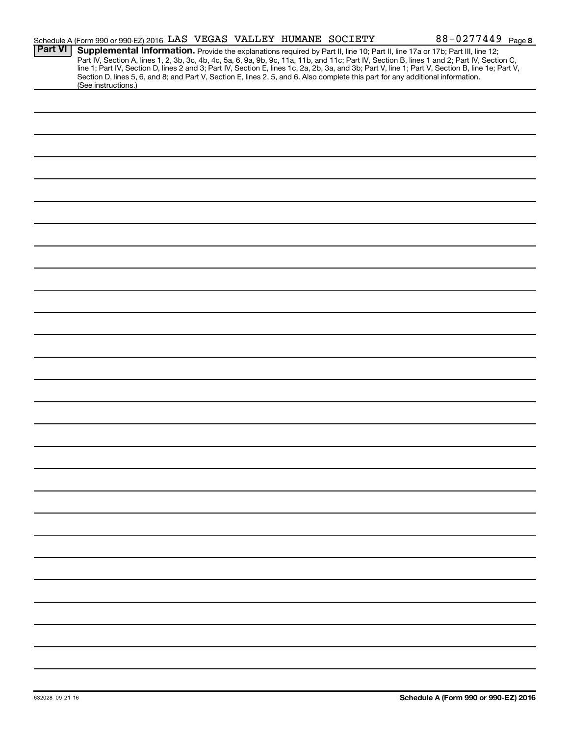|                | Schedule A (Form 990 or 990-EZ) 2016 LAS VEGAS VALLEY HUMANE SOCIETY |  |  |  | 88-0277449 Page 8                                                                                                                                                                                                                                                                                                                                                                                                                                                                                                                                                    |
|----------------|----------------------------------------------------------------------|--|--|--|----------------------------------------------------------------------------------------------------------------------------------------------------------------------------------------------------------------------------------------------------------------------------------------------------------------------------------------------------------------------------------------------------------------------------------------------------------------------------------------------------------------------------------------------------------------------|
| <b>Part VI</b> | (See instructions.)                                                  |  |  |  | Supplemental Information. Provide the explanations required by Part II, line 10; Part II, line 17a or 17b; Part III, line 12;<br>Part IV, Section A, lines 1, 2, 3b, 3c, 4b, 4c, 5a, 6, 9a, 9b, 9c, 11a, 11b, and 11c; Part IV, Section B, lines 1 and 2; Part IV, Section C,<br>line 1; Part IV, Section D, lines 2 and 3; Part IV, Section E, lines 1c, 2a, 2b, 3a, and 3b; Part V, line 1; Part V, Section B, line 1e; Part V,<br>Section D, lines 5, 6, and 8; and Part V, Section E, lines 2, 5, and 6. Also complete this part for any additional information. |
|                |                                                                      |  |  |  |                                                                                                                                                                                                                                                                                                                                                                                                                                                                                                                                                                      |
|                |                                                                      |  |  |  |                                                                                                                                                                                                                                                                                                                                                                                                                                                                                                                                                                      |
|                |                                                                      |  |  |  |                                                                                                                                                                                                                                                                                                                                                                                                                                                                                                                                                                      |
|                |                                                                      |  |  |  |                                                                                                                                                                                                                                                                                                                                                                                                                                                                                                                                                                      |
|                |                                                                      |  |  |  |                                                                                                                                                                                                                                                                                                                                                                                                                                                                                                                                                                      |
|                |                                                                      |  |  |  |                                                                                                                                                                                                                                                                                                                                                                                                                                                                                                                                                                      |
|                |                                                                      |  |  |  |                                                                                                                                                                                                                                                                                                                                                                                                                                                                                                                                                                      |
|                |                                                                      |  |  |  |                                                                                                                                                                                                                                                                                                                                                                                                                                                                                                                                                                      |
|                |                                                                      |  |  |  |                                                                                                                                                                                                                                                                                                                                                                                                                                                                                                                                                                      |
|                |                                                                      |  |  |  |                                                                                                                                                                                                                                                                                                                                                                                                                                                                                                                                                                      |
|                |                                                                      |  |  |  |                                                                                                                                                                                                                                                                                                                                                                                                                                                                                                                                                                      |
|                |                                                                      |  |  |  |                                                                                                                                                                                                                                                                                                                                                                                                                                                                                                                                                                      |
|                |                                                                      |  |  |  |                                                                                                                                                                                                                                                                                                                                                                                                                                                                                                                                                                      |
|                |                                                                      |  |  |  |                                                                                                                                                                                                                                                                                                                                                                                                                                                                                                                                                                      |
|                |                                                                      |  |  |  |                                                                                                                                                                                                                                                                                                                                                                                                                                                                                                                                                                      |
|                |                                                                      |  |  |  |                                                                                                                                                                                                                                                                                                                                                                                                                                                                                                                                                                      |
|                |                                                                      |  |  |  |                                                                                                                                                                                                                                                                                                                                                                                                                                                                                                                                                                      |
|                |                                                                      |  |  |  |                                                                                                                                                                                                                                                                                                                                                                                                                                                                                                                                                                      |
|                |                                                                      |  |  |  |                                                                                                                                                                                                                                                                                                                                                                                                                                                                                                                                                                      |
|                |                                                                      |  |  |  |                                                                                                                                                                                                                                                                                                                                                                                                                                                                                                                                                                      |
|                |                                                                      |  |  |  |                                                                                                                                                                                                                                                                                                                                                                                                                                                                                                                                                                      |
|                |                                                                      |  |  |  |                                                                                                                                                                                                                                                                                                                                                                                                                                                                                                                                                                      |
|                |                                                                      |  |  |  |                                                                                                                                                                                                                                                                                                                                                                                                                                                                                                                                                                      |
|                |                                                                      |  |  |  |                                                                                                                                                                                                                                                                                                                                                                                                                                                                                                                                                                      |
|                |                                                                      |  |  |  |                                                                                                                                                                                                                                                                                                                                                                                                                                                                                                                                                                      |
|                |                                                                      |  |  |  |                                                                                                                                                                                                                                                                                                                                                                                                                                                                                                                                                                      |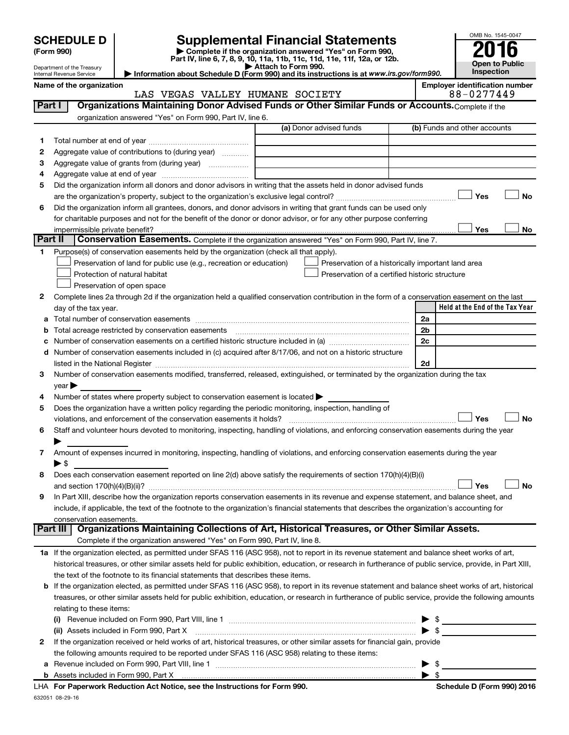| <b>SCHEDULE D</b> |  |  |
|-------------------|--|--|
|-------------------|--|--|

Department of the Treasury Internal Revenue Service

| (Form 990) |  |
|------------|--|
|------------|--|

# **SCHEDULE D Supplemental Financial Statements**<br> **Form 990 2016**<br> **Part IV** line 6.7.8.9.10, 11a, 11b, 11d, 11d, 11d, 11d, 11d, 12a, 0r, 12b

**(Form 990) | Complete if the organization answered "Yes" on Form 990, Part IV, line 6, 7, 8, 9, 10, 11a, 11b, 11c, 11d, 11e, 11f, 12a, or 12b.**

**| Attach to Form 990. | Information about Schedule D (Form 990) and its instructions is at**  *www.irs.gov/form990.*



**Name of the organization Employer identification number** LIEV UIIMANE COCIETY

|         | LAS VEGAS VALLEY HUMANE SOCIETY                                                                                                                            | 88-0477449                      |
|---------|------------------------------------------------------------------------------------------------------------------------------------------------------------|---------------------------------|
| Part I  | Organizations Maintaining Donor Advised Funds or Other Similar Funds or Accounts. Complete if the                                                          |                                 |
|         | organization answered "Yes" on Form 990, Part IV, line 6.                                                                                                  |                                 |
|         | (a) Donor advised funds                                                                                                                                    | (b) Funds and other accounts    |
| 1       |                                                                                                                                                            |                                 |
| 2       | Aggregate value of contributions to (during year)                                                                                                          |                                 |
| з       | Aggregate value of grants from (during year)                                                                                                               |                                 |
| 4       |                                                                                                                                                            |                                 |
| 5       | Did the organization inform all donors and donor advisors in writing that the assets held in donor advised funds                                           |                                 |
|         |                                                                                                                                                            | Yes<br>No                       |
| 6       | Did the organization inform all grantees, donors, and donor advisors in writing that grant funds can be used only                                          |                                 |
|         | for charitable purposes and not for the benefit of the donor or donor advisor, or for any other purpose conferring                                         |                                 |
|         | impermissible private benefit?                                                                                                                             | Yes<br>No                       |
| Part II | Conservation Easements. Complete if the organization answered "Yes" on Form 990, Part IV, line 7.                                                          |                                 |
| 1       | Purpose(s) of conservation easements held by the organization (check all that apply).                                                                      |                                 |
|         | Preservation of land for public use (e.g., recreation or education)<br>Preservation of a historically important land area                                  |                                 |
|         | Protection of natural habitat<br>Preservation of a certified historic structure                                                                            |                                 |
|         | Preservation of open space                                                                                                                                 |                                 |
| 2       | Complete lines 2a through 2d if the organization held a qualified conservation contribution in the form of a conservation easement on the last             |                                 |
|         | day of the tax year.                                                                                                                                       | Held at the End of the Tax Year |
| а       | Total number of conservation easements                                                                                                                     | 2a                              |
| b       |                                                                                                                                                            | 2b                              |
| с       |                                                                                                                                                            | 2c                              |
| d       | Number of conservation easements included in (c) acquired after 8/17/06, and not on a historic structure                                                   |                                 |
|         |                                                                                                                                                            | 2d                              |
| 3       | Number of conservation easements modified, transferred, released, extinguished, or terminated by the organization during the tax                           |                                 |
|         | year                                                                                                                                                       |                                 |
| 4       | Number of states where property subject to conservation easement is located >                                                                              |                                 |
| 5       | Does the organization have a written policy regarding the periodic monitoring, inspection, handling of                                                     |                                 |
|         | violations, and enforcement of the conservation easements it holds?                                                                                        | Yes<br><b>No</b>                |
| 6       | Staff and volunteer hours devoted to monitoring, inspecting, handling of violations, and enforcing conservation easements during the year                  |                                 |
|         |                                                                                                                                                            |                                 |
| 7       | Amount of expenses incurred in monitoring, inspecting, handling of violations, and enforcing conservation easements during the year                        |                                 |
|         | $\blacktriangleright$ \$                                                                                                                                   |                                 |
| 8       | Does each conservation easement reported on line 2(d) above satisfy the requirements of section 170(h)(4)(B)(i)                                            |                                 |
|         |                                                                                                                                                            | <b>No</b><br>Yes                |
| 9       | In Part XIII, describe how the organization reports conservation easements in its revenue and expense statement, and balance sheet, and                    |                                 |
|         | include, if applicable, the text of the footnote to the organization's financial statements that describes the organization's accounting for               |                                 |
|         | conservation easements.                                                                                                                                    |                                 |
|         | Organizations Maintaining Collections of Art, Historical Treasures, or Other Similar Assets.<br>Part III                                                   |                                 |
|         | Complete if the organization answered "Yes" on Form 990, Part IV, line 8.                                                                                  |                                 |
|         | 1a If the organization elected, as permitted under SFAS 116 (ASC 958), not to report in its revenue statement and balance sheet works of art,              |                                 |
|         | historical treasures, or other similar assets held for public exhibition, education, or research in furtherance of public service, provide, in Part XIII,  |                                 |
|         | the text of the footnote to its financial statements that describes these items.                                                                           |                                 |
|         | <b>b</b> If the organization elected, as permitted under SFAS 116 (ASC 958), to report in its revenue statement and balance sheet works of art, historical |                                 |
|         | treasures, or other similar assets held for public exhibition, education, or research in furtherance of public service, provide the following amounts      |                                 |
|         | relating to these items:                                                                                                                                   |                                 |
|         |                                                                                                                                                            | $\blacktriangleright$ \$        |
|         | (ii) Assets included in Form 990, Part X                                                                                                                   | $\blacktriangleright$ \$        |
| 2       | If the organization received or held works of art, historical treasures, or other similar assets for financial gain, provide                               |                                 |
|         | the following amounts required to be reported under SFAS 116 (ASC 958) relating to these items:                                                            |                                 |
| а       |                                                                                                                                                            | $\blacktriangleright$ \$        |
|         |                                                                                                                                                            | $\blacktriangleright$ \$        |

| LHA For Paperwork Reduction Act Notice, see the Instructions for Form 990. |
|----------------------------------------------------------------------------|
| 632051 08-29-16                                                            |

**Schedule D (Form 990) 2016**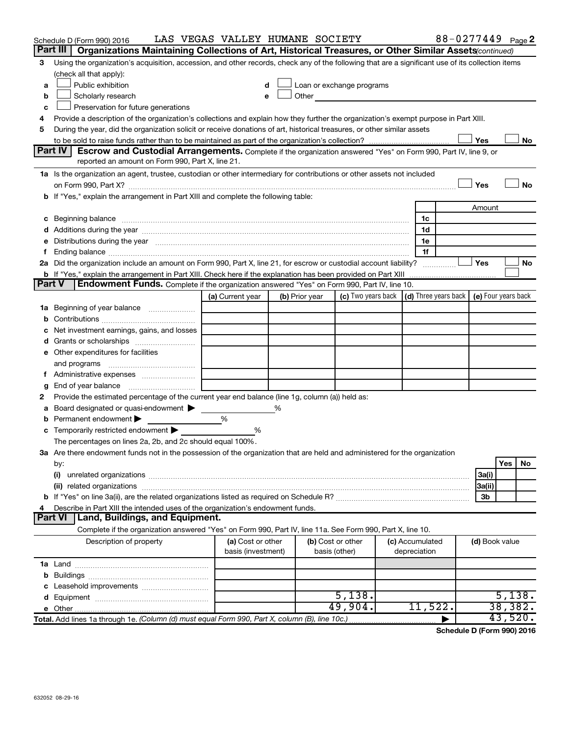| Part III<br>Organizations Maintaining Collections of Art, Historical Treasures, or Other Similar Assets (continued)<br>Using the organization's acquisition, accession, and other records, check any of the following that are a significant use of its collection items<br>3<br>(check all that apply):<br>Public exhibition<br>Loan or exchange programs<br>d<br>a<br>Other and the control of the control of the control of the control of the control of the control of the control of the control of the control of the control of the control of the control of the control of the control of th<br>Scholarly research<br>b<br>e<br>Preservation for future generations<br>c<br>Provide a description of the organization's collections and explain how they further the organization's exempt purpose in Part XIII.<br>4<br>During the year, did the organization solicit or receive donations of art, historical treasures, or other similar assets<br>5<br>Yes<br><b>Part IV</b><br>Escrow and Custodial Arrangements. Complete if the organization answered "Yes" on Form 990, Part IV, line 9, or<br>reported an amount on Form 990, Part X, line 21.<br>1a Is the organization an agent, trustee, custodian or other intermediary for contributions or other assets not included<br>Yes<br>b If "Yes," explain the arrangement in Part XIII and complete the following table:<br>Amount<br>c Beginning balance measurements and the contract of the contract of the contract of the contract of the contract of the contract of the contract of the contract of the contract of the contract of the contract of the contr<br>1c<br>1d<br>Distributions during the year manufactured and an account of the year manufactured and the year manufactured and the year manufactured and the year manufactured and the year manufactured and the year manufactured and the y<br>1e<br>1f<br>2a Did the organization include an amount on Form 990, Part X, line 21, for escrow or custodial account liability?<br>Yes<br>No<br><b>b</b> If "Yes," explain the arrangement in Part XIII. Check here if the explanation has been provided on Part XIII<br>Endowment Funds. Complete if the organization answered "Yes" on Form 990, Part IV, line 10.<br><b>Part V</b><br>(c) Two years back $ $ (d) Three years back $ $<br>(e) Four years back<br>(a) Current year<br>(b) Prior year<br>Beginning of year balance<br>1а<br>b<br>Net investment earnings, gains, and losses<br>e Other expenditures for facilities<br>and programs<br>End of year balance<br>g<br>Provide the estimated percentage of the current year end balance (line 1g, column (a)) held as:<br>2<br>Board designated or quasi-endowment<br>℅<br>а<br>Permanent endowment<br>%<br><b>c</b> Temporarily restricted endowment $\blacktriangleright$<br>%<br>The percentages on lines 2a, 2b, and 2c should equal 100%.<br>3a Are there endowment funds not in the possession of the organization that are held and administered for the organization<br>Yes<br>No<br>by:<br>(i)<br>3a(i)<br>(ii) related organizations<br>3a(ii)<br>3b<br>Describe in Part XIII the intended uses of the organization's endowment funds.<br>Land, Buildings, and Equipment.<br><b>Part VI</b><br>Complete if the organization answered "Yes" on Form 990, Part IV, line 11a. See Form 990, Part X, line 10.<br>(a) Cost or other<br>(b) Cost or other<br>Description of property<br>(c) Accumulated<br>(d) Book value<br>basis (investment)<br>depreciation<br>basis (other) | Schedule D (Form 990) 2016 | LAS VEGAS VALLEY HUMANE SOCIETY |  |  | 88-0277449 Page 2 |  |           |
|---------------------------------------------------------------------------------------------------------------------------------------------------------------------------------------------------------------------------------------------------------------------------------------------------------------------------------------------------------------------------------------------------------------------------------------------------------------------------------------------------------------------------------------------------------------------------------------------------------------------------------------------------------------------------------------------------------------------------------------------------------------------------------------------------------------------------------------------------------------------------------------------------------------------------------------------------------------------------------------------------------------------------------------------------------------------------------------------------------------------------------------------------------------------------------------------------------------------------------------------------------------------------------------------------------------------------------------------------------------------------------------------------------------------------------------------------------------------------------------------------------------------------------------------------------------------------------------------------------------------------------------------------------------------------------------------------------------------------------------------------------------------------------------------------------------------------------------------------------------------------------------------------------------------------------------------------------------------------------------------------------------------------------------------------------------------------------------------------------------------------------------------------------------------------------------------------------------------------------------------------------------------------------------------------------------------------------------------------------------------------------------------------------------------------------------------------------------------------------------------------------------------------------------------------------------------------------------------------------------------------------------------------------------------------------------------------------------------------------------------------------------------------------------------------------------------------------------------------------------------------------------------------------------------------------------------------------------------------------------------------------------------------------------------------------------------------------------------------------------------------------------------------------------------------------------------------------------------------------------------------------------------------------------------------------------------------------------------------------------------------------------------------------------------------------------------------------------------------------------------------------------------------------------|----------------------------|---------------------------------|--|--|-------------------|--|-----------|
|                                                                                                                                                                                                                                                                                                                                                                                                                                                                                                                                                                                                                                                                                                                                                                                                                                                                                                                                                                                                                                                                                                                                                                                                                                                                                                                                                                                                                                                                                                                                                                                                                                                                                                                                                                                                                                                                                                                                                                                                                                                                                                                                                                                                                                                                                                                                                                                                                                                                                                                                                                                                                                                                                                                                                                                                                                                                                                                                                                                                                                                                                                                                                                                                                                                                                                                                                                                                                                                                                                                                       |                            |                                 |  |  |                   |  |           |
|                                                                                                                                                                                                                                                                                                                                                                                                                                                                                                                                                                                                                                                                                                                                                                                                                                                                                                                                                                                                                                                                                                                                                                                                                                                                                                                                                                                                                                                                                                                                                                                                                                                                                                                                                                                                                                                                                                                                                                                                                                                                                                                                                                                                                                                                                                                                                                                                                                                                                                                                                                                                                                                                                                                                                                                                                                                                                                                                                                                                                                                                                                                                                                                                                                                                                                                                                                                                                                                                                                                                       |                            |                                 |  |  |                   |  |           |
|                                                                                                                                                                                                                                                                                                                                                                                                                                                                                                                                                                                                                                                                                                                                                                                                                                                                                                                                                                                                                                                                                                                                                                                                                                                                                                                                                                                                                                                                                                                                                                                                                                                                                                                                                                                                                                                                                                                                                                                                                                                                                                                                                                                                                                                                                                                                                                                                                                                                                                                                                                                                                                                                                                                                                                                                                                                                                                                                                                                                                                                                                                                                                                                                                                                                                                                                                                                                                                                                                                                                       |                            |                                 |  |  |                   |  |           |
|                                                                                                                                                                                                                                                                                                                                                                                                                                                                                                                                                                                                                                                                                                                                                                                                                                                                                                                                                                                                                                                                                                                                                                                                                                                                                                                                                                                                                                                                                                                                                                                                                                                                                                                                                                                                                                                                                                                                                                                                                                                                                                                                                                                                                                                                                                                                                                                                                                                                                                                                                                                                                                                                                                                                                                                                                                                                                                                                                                                                                                                                                                                                                                                                                                                                                                                                                                                                                                                                                                                                       |                            |                                 |  |  |                   |  |           |
|                                                                                                                                                                                                                                                                                                                                                                                                                                                                                                                                                                                                                                                                                                                                                                                                                                                                                                                                                                                                                                                                                                                                                                                                                                                                                                                                                                                                                                                                                                                                                                                                                                                                                                                                                                                                                                                                                                                                                                                                                                                                                                                                                                                                                                                                                                                                                                                                                                                                                                                                                                                                                                                                                                                                                                                                                                                                                                                                                                                                                                                                                                                                                                                                                                                                                                                                                                                                                                                                                                                                       |                            |                                 |  |  |                   |  |           |
|                                                                                                                                                                                                                                                                                                                                                                                                                                                                                                                                                                                                                                                                                                                                                                                                                                                                                                                                                                                                                                                                                                                                                                                                                                                                                                                                                                                                                                                                                                                                                                                                                                                                                                                                                                                                                                                                                                                                                                                                                                                                                                                                                                                                                                                                                                                                                                                                                                                                                                                                                                                                                                                                                                                                                                                                                                                                                                                                                                                                                                                                                                                                                                                                                                                                                                                                                                                                                                                                                                                                       |                            |                                 |  |  |                   |  |           |
|                                                                                                                                                                                                                                                                                                                                                                                                                                                                                                                                                                                                                                                                                                                                                                                                                                                                                                                                                                                                                                                                                                                                                                                                                                                                                                                                                                                                                                                                                                                                                                                                                                                                                                                                                                                                                                                                                                                                                                                                                                                                                                                                                                                                                                                                                                                                                                                                                                                                                                                                                                                                                                                                                                                                                                                                                                                                                                                                                                                                                                                                                                                                                                                                                                                                                                                                                                                                                                                                                                                                       |                            |                                 |  |  |                   |  |           |
|                                                                                                                                                                                                                                                                                                                                                                                                                                                                                                                                                                                                                                                                                                                                                                                                                                                                                                                                                                                                                                                                                                                                                                                                                                                                                                                                                                                                                                                                                                                                                                                                                                                                                                                                                                                                                                                                                                                                                                                                                                                                                                                                                                                                                                                                                                                                                                                                                                                                                                                                                                                                                                                                                                                                                                                                                                                                                                                                                                                                                                                                                                                                                                                                                                                                                                                                                                                                                                                                                                                                       |                            |                                 |  |  |                   |  |           |
|                                                                                                                                                                                                                                                                                                                                                                                                                                                                                                                                                                                                                                                                                                                                                                                                                                                                                                                                                                                                                                                                                                                                                                                                                                                                                                                                                                                                                                                                                                                                                                                                                                                                                                                                                                                                                                                                                                                                                                                                                                                                                                                                                                                                                                                                                                                                                                                                                                                                                                                                                                                                                                                                                                                                                                                                                                                                                                                                                                                                                                                                                                                                                                                                                                                                                                                                                                                                                                                                                                                                       |                            |                                 |  |  |                   |  | No        |
|                                                                                                                                                                                                                                                                                                                                                                                                                                                                                                                                                                                                                                                                                                                                                                                                                                                                                                                                                                                                                                                                                                                                                                                                                                                                                                                                                                                                                                                                                                                                                                                                                                                                                                                                                                                                                                                                                                                                                                                                                                                                                                                                                                                                                                                                                                                                                                                                                                                                                                                                                                                                                                                                                                                                                                                                                                                                                                                                                                                                                                                                                                                                                                                                                                                                                                                                                                                                                                                                                                                                       |                            |                                 |  |  |                   |  |           |
|                                                                                                                                                                                                                                                                                                                                                                                                                                                                                                                                                                                                                                                                                                                                                                                                                                                                                                                                                                                                                                                                                                                                                                                                                                                                                                                                                                                                                                                                                                                                                                                                                                                                                                                                                                                                                                                                                                                                                                                                                                                                                                                                                                                                                                                                                                                                                                                                                                                                                                                                                                                                                                                                                                                                                                                                                                                                                                                                                                                                                                                                                                                                                                                                                                                                                                                                                                                                                                                                                                                                       |                            |                                 |  |  |                   |  |           |
|                                                                                                                                                                                                                                                                                                                                                                                                                                                                                                                                                                                                                                                                                                                                                                                                                                                                                                                                                                                                                                                                                                                                                                                                                                                                                                                                                                                                                                                                                                                                                                                                                                                                                                                                                                                                                                                                                                                                                                                                                                                                                                                                                                                                                                                                                                                                                                                                                                                                                                                                                                                                                                                                                                                                                                                                                                                                                                                                                                                                                                                                                                                                                                                                                                                                                                                                                                                                                                                                                                                                       |                            |                                 |  |  |                   |  |           |
|                                                                                                                                                                                                                                                                                                                                                                                                                                                                                                                                                                                                                                                                                                                                                                                                                                                                                                                                                                                                                                                                                                                                                                                                                                                                                                                                                                                                                                                                                                                                                                                                                                                                                                                                                                                                                                                                                                                                                                                                                                                                                                                                                                                                                                                                                                                                                                                                                                                                                                                                                                                                                                                                                                                                                                                                                                                                                                                                                                                                                                                                                                                                                                                                                                                                                                                                                                                                                                                                                                                                       |                            |                                 |  |  |                   |  | <b>No</b> |
|                                                                                                                                                                                                                                                                                                                                                                                                                                                                                                                                                                                                                                                                                                                                                                                                                                                                                                                                                                                                                                                                                                                                                                                                                                                                                                                                                                                                                                                                                                                                                                                                                                                                                                                                                                                                                                                                                                                                                                                                                                                                                                                                                                                                                                                                                                                                                                                                                                                                                                                                                                                                                                                                                                                                                                                                                                                                                                                                                                                                                                                                                                                                                                                                                                                                                                                                                                                                                                                                                                                                       |                            |                                 |  |  |                   |  |           |
|                                                                                                                                                                                                                                                                                                                                                                                                                                                                                                                                                                                                                                                                                                                                                                                                                                                                                                                                                                                                                                                                                                                                                                                                                                                                                                                                                                                                                                                                                                                                                                                                                                                                                                                                                                                                                                                                                                                                                                                                                                                                                                                                                                                                                                                                                                                                                                                                                                                                                                                                                                                                                                                                                                                                                                                                                                                                                                                                                                                                                                                                                                                                                                                                                                                                                                                                                                                                                                                                                                                                       |                            |                                 |  |  |                   |  |           |
|                                                                                                                                                                                                                                                                                                                                                                                                                                                                                                                                                                                                                                                                                                                                                                                                                                                                                                                                                                                                                                                                                                                                                                                                                                                                                                                                                                                                                                                                                                                                                                                                                                                                                                                                                                                                                                                                                                                                                                                                                                                                                                                                                                                                                                                                                                                                                                                                                                                                                                                                                                                                                                                                                                                                                                                                                                                                                                                                                                                                                                                                                                                                                                                                                                                                                                                                                                                                                                                                                                                                       |                            |                                 |  |  |                   |  |           |
|                                                                                                                                                                                                                                                                                                                                                                                                                                                                                                                                                                                                                                                                                                                                                                                                                                                                                                                                                                                                                                                                                                                                                                                                                                                                                                                                                                                                                                                                                                                                                                                                                                                                                                                                                                                                                                                                                                                                                                                                                                                                                                                                                                                                                                                                                                                                                                                                                                                                                                                                                                                                                                                                                                                                                                                                                                                                                                                                                                                                                                                                                                                                                                                                                                                                                                                                                                                                                                                                                                                                       |                            |                                 |  |  |                   |  |           |
|                                                                                                                                                                                                                                                                                                                                                                                                                                                                                                                                                                                                                                                                                                                                                                                                                                                                                                                                                                                                                                                                                                                                                                                                                                                                                                                                                                                                                                                                                                                                                                                                                                                                                                                                                                                                                                                                                                                                                                                                                                                                                                                                                                                                                                                                                                                                                                                                                                                                                                                                                                                                                                                                                                                                                                                                                                                                                                                                                                                                                                                                                                                                                                                                                                                                                                                                                                                                                                                                                                                                       |                            |                                 |  |  |                   |  |           |
|                                                                                                                                                                                                                                                                                                                                                                                                                                                                                                                                                                                                                                                                                                                                                                                                                                                                                                                                                                                                                                                                                                                                                                                                                                                                                                                                                                                                                                                                                                                                                                                                                                                                                                                                                                                                                                                                                                                                                                                                                                                                                                                                                                                                                                                                                                                                                                                                                                                                                                                                                                                                                                                                                                                                                                                                                                                                                                                                                                                                                                                                                                                                                                                                                                                                                                                                                                                                                                                                                                                                       |                            |                                 |  |  |                   |  |           |
|                                                                                                                                                                                                                                                                                                                                                                                                                                                                                                                                                                                                                                                                                                                                                                                                                                                                                                                                                                                                                                                                                                                                                                                                                                                                                                                                                                                                                                                                                                                                                                                                                                                                                                                                                                                                                                                                                                                                                                                                                                                                                                                                                                                                                                                                                                                                                                                                                                                                                                                                                                                                                                                                                                                                                                                                                                                                                                                                                                                                                                                                                                                                                                                                                                                                                                                                                                                                                                                                                                                                       |                            |                                 |  |  |                   |  |           |
|                                                                                                                                                                                                                                                                                                                                                                                                                                                                                                                                                                                                                                                                                                                                                                                                                                                                                                                                                                                                                                                                                                                                                                                                                                                                                                                                                                                                                                                                                                                                                                                                                                                                                                                                                                                                                                                                                                                                                                                                                                                                                                                                                                                                                                                                                                                                                                                                                                                                                                                                                                                                                                                                                                                                                                                                                                                                                                                                                                                                                                                                                                                                                                                                                                                                                                                                                                                                                                                                                                                                       |                            |                                 |  |  |                   |  |           |
|                                                                                                                                                                                                                                                                                                                                                                                                                                                                                                                                                                                                                                                                                                                                                                                                                                                                                                                                                                                                                                                                                                                                                                                                                                                                                                                                                                                                                                                                                                                                                                                                                                                                                                                                                                                                                                                                                                                                                                                                                                                                                                                                                                                                                                                                                                                                                                                                                                                                                                                                                                                                                                                                                                                                                                                                                                                                                                                                                                                                                                                                                                                                                                                                                                                                                                                                                                                                                                                                                                                                       |                            |                                 |  |  |                   |  |           |
|                                                                                                                                                                                                                                                                                                                                                                                                                                                                                                                                                                                                                                                                                                                                                                                                                                                                                                                                                                                                                                                                                                                                                                                                                                                                                                                                                                                                                                                                                                                                                                                                                                                                                                                                                                                                                                                                                                                                                                                                                                                                                                                                                                                                                                                                                                                                                                                                                                                                                                                                                                                                                                                                                                                                                                                                                                                                                                                                                                                                                                                                                                                                                                                                                                                                                                                                                                                                                                                                                                                                       |                            |                                 |  |  |                   |  |           |
|                                                                                                                                                                                                                                                                                                                                                                                                                                                                                                                                                                                                                                                                                                                                                                                                                                                                                                                                                                                                                                                                                                                                                                                                                                                                                                                                                                                                                                                                                                                                                                                                                                                                                                                                                                                                                                                                                                                                                                                                                                                                                                                                                                                                                                                                                                                                                                                                                                                                                                                                                                                                                                                                                                                                                                                                                                                                                                                                                                                                                                                                                                                                                                                                                                                                                                                                                                                                                                                                                                                                       |                            |                                 |  |  |                   |  |           |
|                                                                                                                                                                                                                                                                                                                                                                                                                                                                                                                                                                                                                                                                                                                                                                                                                                                                                                                                                                                                                                                                                                                                                                                                                                                                                                                                                                                                                                                                                                                                                                                                                                                                                                                                                                                                                                                                                                                                                                                                                                                                                                                                                                                                                                                                                                                                                                                                                                                                                                                                                                                                                                                                                                                                                                                                                                                                                                                                                                                                                                                                                                                                                                                                                                                                                                                                                                                                                                                                                                                                       |                            |                                 |  |  |                   |  |           |
|                                                                                                                                                                                                                                                                                                                                                                                                                                                                                                                                                                                                                                                                                                                                                                                                                                                                                                                                                                                                                                                                                                                                                                                                                                                                                                                                                                                                                                                                                                                                                                                                                                                                                                                                                                                                                                                                                                                                                                                                                                                                                                                                                                                                                                                                                                                                                                                                                                                                                                                                                                                                                                                                                                                                                                                                                                                                                                                                                                                                                                                                                                                                                                                                                                                                                                                                                                                                                                                                                                                                       |                            |                                 |  |  |                   |  |           |
|                                                                                                                                                                                                                                                                                                                                                                                                                                                                                                                                                                                                                                                                                                                                                                                                                                                                                                                                                                                                                                                                                                                                                                                                                                                                                                                                                                                                                                                                                                                                                                                                                                                                                                                                                                                                                                                                                                                                                                                                                                                                                                                                                                                                                                                                                                                                                                                                                                                                                                                                                                                                                                                                                                                                                                                                                                                                                                                                                                                                                                                                                                                                                                                                                                                                                                                                                                                                                                                                                                                                       |                            |                                 |  |  |                   |  |           |
|                                                                                                                                                                                                                                                                                                                                                                                                                                                                                                                                                                                                                                                                                                                                                                                                                                                                                                                                                                                                                                                                                                                                                                                                                                                                                                                                                                                                                                                                                                                                                                                                                                                                                                                                                                                                                                                                                                                                                                                                                                                                                                                                                                                                                                                                                                                                                                                                                                                                                                                                                                                                                                                                                                                                                                                                                                                                                                                                                                                                                                                                                                                                                                                                                                                                                                                                                                                                                                                                                                                                       |                            |                                 |  |  |                   |  |           |
|                                                                                                                                                                                                                                                                                                                                                                                                                                                                                                                                                                                                                                                                                                                                                                                                                                                                                                                                                                                                                                                                                                                                                                                                                                                                                                                                                                                                                                                                                                                                                                                                                                                                                                                                                                                                                                                                                                                                                                                                                                                                                                                                                                                                                                                                                                                                                                                                                                                                                                                                                                                                                                                                                                                                                                                                                                                                                                                                                                                                                                                                                                                                                                                                                                                                                                                                                                                                                                                                                                                                       |                            |                                 |  |  |                   |  |           |
|                                                                                                                                                                                                                                                                                                                                                                                                                                                                                                                                                                                                                                                                                                                                                                                                                                                                                                                                                                                                                                                                                                                                                                                                                                                                                                                                                                                                                                                                                                                                                                                                                                                                                                                                                                                                                                                                                                                                                                                                                                                                                                                                                                                                                                                                                                                                                                                                                                                                                                                                                                                                                                                                                                                                                                                                                                                                                                                                                                                                                                                                                                                                                                                                                                                                                                                                                                                                                                                                                                                                       |                            |                                 |  |  |                   |  |           |
|                                                                                                                                                                                                                                                                                                                                                                                                                                                                                                                                                                                                                                                                                                                                                                                                                                                                                                                                                                                                                                                                                                                                                                                                                                                                                                                                                                                                                                                                                                                                                                                                                                                                                                                                                                                                                                                                                                                                                                                                                                                                                                                                                                                                                                                                                                                                                                                                                                                                                                                                                                                                                                                                                                                                                                                                                                                                                                                                                                                                                                                                                                                                                                                                                                                                                                                                                                                                                                                                                                                                       |                            |                                 |  |  |                   |  |           |
|                                                                                                                                                                                                                                                                                                                                                                                                                                                                                                                                                                                                                                                                                                                                                                                                                                                                                                                                                                                                                                                                                                                                                                                                                                                                                                                                                                                                                                                                                                                                                                                                                                                                                                                                                                                                                                                                                                                                                                                                                                                                                                                                                                                                                                                                                                                                                                                                                                                                                                                                                                                                                                                                                                                                                                                                                                                                                                                                                                                                                                                                                                                                                                                                                                                                                                                                                                                                                                                                                                                                       |                            |                                 |  |  |                   |  |           |
|                                                                                                                                                                                                                                                                                                                                                                                                                                                                                                                                                                                                                                                                                                                                                                                                                                                                                                                                                                                                                                                                                                                                                                                                                                                                                                                                                                                                                                                                                                                                                                                                                                                                                                                                                                                                                                                                                                                                                                                                                                                                                                                                                                                                                                                                                                                                                                                                                                                                                                                                                                                                                                                                                                                                                                                                                                                                                                                                                                                                                                                                                                                                                                                                                                                                                                                                                                                                                                                                                                                                       |                            |                                 |  |  |                   |  |           |
|                                                                                                                                                                                                                                                                                                                                                                                                                                                                                                                                                                                                                                                                                                                                                                                                                                                                                                                                                                                                                                                                                                                                                                                                                                                                                                                                                                                                                                                                                                                                                                                                                                                                                                                                                                                                                                                                                                                                                                                                                                                                                                                                                                                                                                                                                                                                                                                                                                                                                                                                                                                                                                                                                                                                                                                                                                                                                                                                                                                                                                                                                                                                                                                                                                                                                                                                                                                                                                                                                                                                       |                            |                                 |  |  |                   |  |           |
|                                                                                                                                                                                                                                                                                                                                                                                                                                                                                                                                                                                                                                                                                                                                                                                                                                                                                                                                                                                                                                                                                                                                                                                                                                                                                                                                                                                                                                                                                                                                                                                                                                                                                                                                                                                                                                                                                                                                                                                                                                                                                                                                                                                                                                                                                                                                                                                                                                                                                                                                                                                                                                                                                                                                                                                                                                                                                                                                                                                                                                                                                                                                                                                                                                                                                                                                                                                                                                                                                                                                       |                            |                                 |  |  |                   |  |           |
|                                                                                                                                                                                                                                                                                                                                                                                                                                                                                                                                                                                                                                                                                                                                                                                                                                                                                                                                                                                                                                                                                                                                                                                                                                                                                                                                                                                                                                                                                                                                                                                                                                                                                                                                                                                                                                                                                                                                                                                                                                                                                                                                                                                                                                                                                                                                                                                                                                                                                                                                                                                                                                                                                                                                                                                                                                                                                                                                                                                                                                                                                                                                                                                                                                                                                                                                                                                                                                                                                                                                       |                            |                                 |  |  |                   |  |           |
|                                                                                                                                                                                                                                                                                                                                                                                                                                                                                                                                                                                                                                                                                                                                                                                                                                                                                                                                                                                                                                                                                                                                                                                                                                                                                                                                                                                                                                                                                                                                                                                                                                                                                                                                                                                                                                                                                                                                                                                                                                                                                                                                                                                                                                                                                                                                                                                                                                                                                                                                                                                                                                                                                                                                                                                                                                                                                                                                                                                                                                                                                                                                                                                                                                                                                                                                                                                                                                                                                                                                       |                            |                                 |  |  |                   |  |           |
|                                                                                                                                                                                                                                                                                                                                                                                                                                                                                                                                                                                                                                                                                                                                                                                                                                                                                                                                                                                                                                                                                                                                                                                                                                                                                                                                                                                                                                                                                                                                                                                                                                                                                                                                                                                                                                                                                                                                                                                                                                                                                                                                                                                                                                                                                                                                                                                                                                                                                                                                                                                                                                                                                                                                                                                                                                                                                                                                                                                                                                                                                                                                                                                                                                                                                                                                                                                                                                                                                                                                       |                            |                                 |  |  |                   |  |           |
|                                                                                                                                                                                                                                                                                                                                                                                                                                                                                                                                                                                                                                                                                                                                                                                                                                                                                                                                                                                                                                                                                                                                                                                                                                                                                                                                                                                                                                                                                                                                                                                                                                                                                                                                                                                                                                                                                                                                                                                                                                                                                                                                                                                                                                                                                                                                                                                                                                                                                                                                                                                                                                                                                                                                                                                                                                                                                                                                                                                                                                                                                                                                                                                                                                                                                                                                                                                                                                                                                                                                       |                            |                                 |  |  |                   |  |           |
|                                                                                                                                                                                                                                                                                                                                                                                                                                                                                                                                                                                                                                                                                                                                                                                                                                                                                                                                                                                                                                                                                                                                                                                                                                                                                                                                                                                                                                                                                                                                                                                                                                                                                                                                                                                                                                                                                                                                                                                                                                                                                                                                                                                                                                                                                                                                                                                                                                                                                                                                                                                                                                                                                                                                                                                                                                                                                                                                                                                                                                                                                                                                                                                                                                                                                                                                                                                                                                                                                                                                       |                            |                                 |  |  |                   |  |           |
|                                                                                                                                                                                                                                                                                                                                                                                                                                                                                                                                                                                                                                                                                                                                                                                                                                                                                                                                                                                                                                                                                                                                                                                                                                                                                                                                                                                                                                                                                                                                                                                                                                                                                                                                                                                                                                                                                                                                                                                                                                                                                                                                                                                                                                                                                                                                                                                                                                                                                                                                                                                                                                                                                                                                                                                                                                                                                                                                                                                                                                                                                                                                                                                                                                                                                                                                                                                                                                                                                                                                       |                            |                                 |  |  |                   |  |           |
|                                                                                                                                                                                                                                                                                                                                                                                                                                                                                                                                                                                                                                                                                                                                                                                                                                                                                                                                                                                                                                                                                                                                                                                                                                                                                                                                                                                                                                                                                                                                                                                                                                                                                                                                                                                                                                                                                                                                                                                                                                                                                                                                                                                                                                                                                                                                                                                                                                                                                                                                                                                                                                                                                                                                                                                                                                                                                                                                                                                                                                                                                                                                                                                                                                                                                                                                                                                                                                                                                                                                       |                            |                                 |  |  |                   |  |           |
|                                                                                                                                                                                                                                                                                                                                                                                                                                                                                                                                                                                                                                                                                                                                                                                                                                                                                                                                                                                                                                                                                                                                                                                                                                                                                                                                                                                                                                                                                                                                                                                                                                                                                                                                                                                                                                                                                                                                                                                                                                                                                                                                                                                                                                                                                                                                                                                                                                                                                                                                                                                                                                                                                                                                                                                                                                                                                                                                                                                                                                                                                                                                                                                                                                                                                                                                                                                                                                                                                                                                       |                            |                                 |  |  |                   |  |           |
|                                                                                                                                                                                                                                                                                                                                                                                                                                                                                                                                                                                                                                                                                                                                                                                                                                                                                                                                                                                                                                                                                                                                                                                                                                                                                                                                                                                                                                                                                                                                                                                                                                                                                                                                                                                                                                                                                                                                                                                                                                                                                                                                                                                                                                                                                                                                                                                                                                                                                                                                                                                                                                                                                                                                                                                                                                                                                                                                                                                                                                                                                                                                                                                                                                                                                                                                                                                                                                                                                                                                       |                            |                                 |  |  |                   |  |           |
|                                                                                                                                                                                                                                                                                                                                                                                                                                                                                                                                                                                                                                                                                                                                                                                                                                                                                                                                                                                                                                                                                                                                                                                                                                                                                                                                                                                                                                                                                                                                                                                                                                                                                                                                                                                                                                                                                                                                                                                                                                                                                                                                                                                                                                                                                                                                                                                                                                                                                                                                                                                                                                                                                                                                                                                                                                                                                                                                                                                                                                                                                                                                                                                                                                                                                                                                                                                                                                                                                                                                       |                            |                                 |  |  |                   |  |           |
|                                                                                                                                                                                                                                                                                                                                                                                                                                                                                                                                                                                                                                                                                                                                                                                                                                                                                                                                                                                                                                                                                                                                                                                                                                                                                                                                                                                                                                                                                                                                                                                                                                                                                                                                                                                                                                                                                                                                                                                                                                                                                                                                                                                                                                                                                                                                                                                                                                                                                                                                                                                                                                                                                                                                                                                                                                                                                                                                                                                                                                                                                                                                                                                                                                                                                                                                                                                                                                                                                                                                       |                            |                                 |  |  |                   |  |           |
|                                                                                                                                                                                                                                                                                                                                                                                                                                                                                                                                                                                                                                                                                                                                                                                                                                                                                                                                                                                                                                                                                                                                                                                                                                                                                                                                                                                                                                                                                                                                                                                                                                                                                                                                                                                                                                                                                                                                                                                                                                                                                                                                                                                                                                                                                                                                                                                                                                                                                                                                                                                                                                                                                                                                                                                                                                                                                                                                                                                                                                                                                                                                                                                                                                                                                                                                                                                                                                                                                                                                       |                            |                                 |  |  |                   |  |           |
| 5,138.<br>5,138.                                                                                                                                                                                                                                                                                                                                                                                                                                                                                                                                                                                                                                                                                                                                                                                                                                                                                                                                                                                                                                                                                                                                                                                                                                                                                                                                                                                                                                                                                                                                                                                                                                                                                                                                                                                                                                                                                                                                                                                                                                                                                                                                                                                                                                                                                                                                                                                                                                                                                                                                                                                                                                                                                                                                                                                                                                                                                                                                                                                                                                                                                                                                                                                                                                                                                                                                                                                                                                                                                                                      |                            |                                 |  |  |                   |  |           |
| 38,382.<br>49,904.<br>11,522.                                                                                                                                                                                                                                                                                                                                                                                                                                                                                                                                                                                                                                                                                                                                                                                                                                                                                                                                                                                                                                                                                                                                                                                                                                                                                                                                                                                                                                                                                                                                                                                                                                                                                                                                                                                                                                                                                                                                                                                                                                                                                                                                                                                                                                                                                                                                                                                                                                                                                                                                                                                                                                                                                                                                                                                                                                                                                                                                                                                                                                                                                                                                                                                                                                                                                                                                                                                                                                                                                                         |                            |                                 |  |  |                   |  |           |
| 43,520.<br>Total. Add lines 1a through 1e. (Column (d) must equal Form 990, Part X, column (B), line 10c.)                                                                                                                                                                                                                                                                                                                                                                                                                                                                                                                                                                                                                                                                                                                                                                                                                                                                                                                                                                                                                                                                                                                                                                                                                                                                                                                                                                                                                                                                                                                                                                                                                                                                                                                                                                                                                                                                                                                                                                                                                                                                                                                                                                                                                                                                                                                                                                                                                                                                                                                                                                                                                                                                                                                                                                                                                                                                                                                                                                                                                                                                                                                                                                                                                                                                                                                                                                                                                            |                            |                                 |  |  |                   |  |           |

**Schedule D (Form 990) 2016**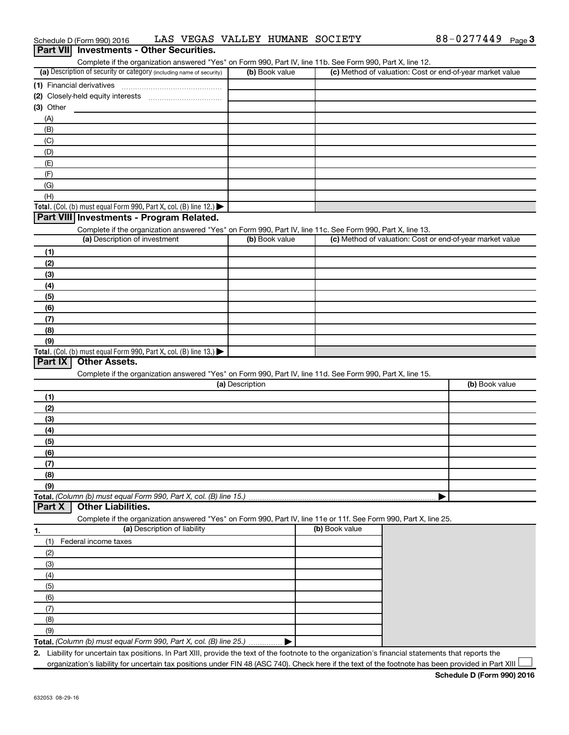|           | Complete if the organization answered "Yes" on Form 990, Part IV, line 11b. See Form 990, Part X, line 12.<br>(a) Description of security or category (including name of security) | (b) Book value  |                | (c) Method of valuation: Cost or end-of-year market value |
|-----------|------------------------------------------------------------------------------------------------------------------------------------------------------------------------------------|-----------------|----------------|-----------------------------------------------------------|
|           |                                                                                                                                                                                    |                 |                |                                                           |
|           | (1) Financial derivatives                                                                                                                                                          |                 |                |                                                           |
|           |                                                                                                                                                                                    |                 |                |                                                           |
| (3) Other |                                                                                                                                                                                    |                 |                |                                                           |
| (A)       |                                                                                                                                                                                    |                 |                |                                                           |
| (B)       |                                                                                                                                                                                    |                 |                |                                                           |
| (C)       |                                                                                                                                                                                    |                 |                |                                                           |
| (D)       |                                                                                                                                                                                    |                 |                |                                                           |
| (E)       |                                                                                                                                                                                    |                 |                |                                                           |
| (F)       |                                                                                                                                                                                    |                 |                |                                                           |
| (G)       |                                                                                                                                                                                    |                 |                |                                                           |
| (H)       |                                                                                                                                                                                    |                 |                |                                                           |
|           | <b>Total.</b> (Col. (b) must equal Form 990, Part X, col. (B) line 12.)                                                                                                            |                 |                |                                                           |
|           | Part VIII Investments - Program Related.                                                                                                                                           |                 |                |                                                           |
|           | Complete if the organization answered "Yes" on Form 990, Part IV, line 11c. See Form 990, Part X, line 13.                                                                         |                 |                |                                                           |
|           | (a) Description of investment                                                                                                                                                      | (b) Book value  |                | (c) Method of valuation: Cost or end-of-year market value |
| (1)       |                                                                                                                                                                                    |                 |                |                                                           |
| (2)       |                                                                                                                                                                                    |                 |                |                                                           |
| (3)       |                                                                                                                                                                                    |                 |                |                                                           |
| (4)       |                                                                                                                                                                                    |                 |                |                                                           |
| (5)       |                                                                                                                                                                                    |                 |                |                                                           |
| (6)       |                                                                                                                                                                                    |                 |                |                                                           |
| (7)       |                                                                                                                                                                                    |                 |                |                                                           |
| (8)       |                                                                                                                                                                                    |                 |                |                                                           |
| (9)       |                                                                                                                                                                                    |                 |                |                                                           |
|           | Total. (Col. (b) must equal Form 990, Part X, col. (B) line 13.)                                                                                                                   |                 |                |                                                           |
| Part IX   | <b>Other Assets.</b>                                                                                                                                                               |                 |                |                                                           |
|           | Complete if the organization answered "Yes" on Form 990, Part IV, line 11d. See Form 990, Part X, line 15.                                                                         |                 |                |                                                           |
|           |                                                                                                                                                                                    | (a) Description |                | (b) Book value                                            |
| (1)       |                                                                                                                                                                                    |                 |                |                                                           |
| (2)       |                                                                                                                                                                                    |                 |                |                                                           |
| (3)       |                                                                                                                                                                                    |                 |                |                                                           |
| (4)       |                                                                                                                                                                                    |                 |                |                                                           |
| (5)       |                                                                                                                                                                                    |                 |                |                                                           |
| (6)       |                                                                                                                                                                                    |                 |                |                                                           |
| (7)       |                                                                                                                                                                                    |                 |                |                                                           |
| (8)       |                                                                                                                                                                                    |                 |                |                                                           |
| (9)       |                                                                                                                                                                                    |                 |                |                                                           |
|           | Total. (Column (b) must equal Form 990, Part X, col. (B) line 15.)                                                                                                                 |                 |                |                                                           |
| Part X    | <b>Other Liabilities.</b>                                                                                                                                                          |                 |                |                                                           |
|           | Complete if the organization answered "Yes" on Form 990, Part IV, line 11e or 11f. See Form 990, Part X, line 25.                                                                  |                 |                |                                                           |
|           | (a) Description of liability                                                                                                                                                       |                 | (b) Book value |                                                           |
| 1.        |                                                                                                                                                                                    |                 |                |                                                           |
| (1)       | Federal income taxes                                                                                                                                                               |                 |                |                                                           |
| (2)       |                                                                                                                                                                                    |                 |                |                                                           |
| (3)       |                                                                                                                                                                                    |                 |                |                                                           |
| (4)       |                                                                                                                                                                                    |                 |                |                                                           |
| (5)       |                                                                                                                                                                                    |                 |                |                                                           |
| (6)       |                                                                                                                                                                                    |                 |                |                                                           |
|           |                                                                                                                                                                                    |                 |                |                                                           |
| (7)       |                                                                                                                                                                                    |                 |                |                                                           |
| (8)       |                                                                                                                                                                                    |                 |                |                                                           |
| (9)       | Total. (Column (b) must equal Form 990, Part X, col. (B) line 25.).                                                                                                                |                 |                |                                                           |

**2.** Liability for uncertain tax positions. In Part XIII, provide the text of the footnote to the organization's financial statements that reports the organization's liability for uncertain tax positions under FIN 48 (ASC 740). Check here if the text of the footnote has been provided in Part XIII

#### Schedule D (Form 990) 2016 LAS VEGAS VALLEY HUMANE SOCIETY 688-0277449 Page **Part VII** Investments - Other Securities.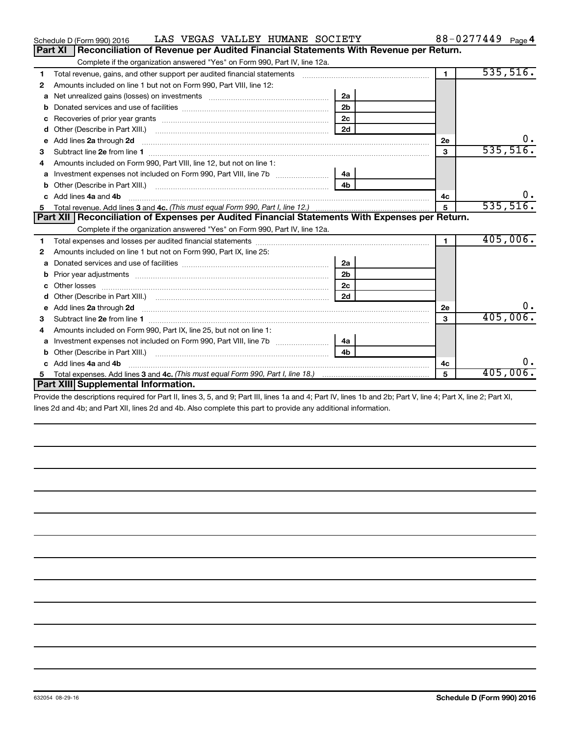|    | LAS VEGAS VALLEY HUMANE SOCIETY<br>Schedule D (Form 990) 2016                                                                                                                                                                       |                |                      | 88-0277449 Page 4 |
|----|-------------------------------------------------------------------------------------------------------------------------------------------------------------------------------------------------------------------------------------|----------------|----------------------|-------------------|
|    | Reconciliation of Revenue per Audited Financial Statements With Revenue per Return.<br><b>Part XI</b>                                                                                                                               |                |                      |                   |
|    | Complete if the organization answered "Yes" on Form 990, Part IV, line 12a.                                                                                                                                                         |                |                      |                   |
| 1  | Total revenue, gains, and other support per audited financial statements [11] [11] Total revenue, [21] Total revenue of the support per audited financial statements                                                                |                | $\blacksquare$       | 535,516.          |
| 2  | Amounts included on line 1 but not on Form 990, Part VIII, line 12:                                                                                                                                                                 |                |                      |                   |
| a  |                                                                                                                                                                                                                                     | 2a             |                      |                   |
|    |                                                                                                                                                                                                                                     | 2 <sub>b</sub> |                      |                   |
| c  |                                                                                                                                                                                                                                     | 2c             |                      |                   |
| d  |                                                                                                                                                                                                                                     | 2d             |                      |                   |
| e  | Add lines 2a through 2d <b>must be a constructed as a constructed by a</b> construction of the state of the state of the state of the state of the state of the state of the state of the state of the state of the state of the st |                | 2е                   | ο.                |
| 3  |                                                                                                                                                                                                                                     |                | 3                    | 535,516.          |
| 4  | Amounts included on Form 990, Part VIII, line 12, but not on line 1:                                                                                                                                                                |                |                      |                   |
| a  |                                                                                                                                                                                                                                     | 4a             |                      |                   |
| b  |                                                                                                                                                                                                                                     | 4 <sub>h</sub> |                      |                   |
| C. | Add lines 4a and 4b                                                                                                                                                                                                                 |                | 4с                   |                   |
|    |                                                                                                                                                                                                                                     |                | 5                    | 535,516.          |
|    | Part XII   Reconciliation of Expenses per Audited Financial Statements With Expenses per Return.                                                                                                                                    |                |                      |                   |
|    | Complete if the organization answered "Yes" on Form 990, Part IV, line 12a.                                                                                                                                                         |                |                      |                   |
| 1  |                                                                                                                                                                                                                                     |                | $\blacktriangleleft$ | 405,006.          |
| 2  | Amounts included on line 1 but not on Form 990, Part IX, line 25:                                                                                                                                                                   |                |                      |                   |
| a  |                                                                                                                                                                                                                                     | 2a             |                      |                   |
| b  |                                                                                                                                                                                                                                     | 2 <sub>b</sub> |                      |                   |
| c  |                                                                                                                                                                                                                                     | 2 <sub>c</sub> |                      |                   |
| d  |                                                                                                                                                                                                                                     | 2d             |                      |                   |
| е  | Add lines 2a through 2d <b>contained a contained a contained a contained a</b> contained a contained a contained a contained a contact a contact a contact a contact a contact a contact a contact a contact a contact a contact a  |                | <b>2e</b>            | 0.                |
| з  |                                                                                                                                                                                                                                     |                | $\mathbf{a}$         | 405,006.          |
| 4  | Amounts included on Form 990, Part IX, line 25, but not on line 1:                                                                                                                                                                  |                |                      |                   |
| a  |                                                                                                                                                                                                                                     | 4a             |                      |                   |
| b  | Other (Describe in Part XIII.)                                                                                                                                                                                                      | 4 <sub>h</sub> |                      |                   |
|    | Add lines 4a and 4b                                                                                                                                                                                                                 |                | 4с                   | 0.                |
| 5. |                                                                                                                                                                                                                                     |                | 5                    | 405,006.          |
|    | Part XIII Supplemental Information.                                                                                                                                                                                                 |                |                      |                   |
|    |                                                                                                                                                                                                                                     |                |                      |                   |

Provide the descriptions required for Part II, lines 3, 5, and 9; Part III, lines 1a and 4; Part IV, lines 1b and 2b; Part V, line 4; Part X, line 2; Part XI, lines 2d and 4b; and Part XII, lines 2d and 4b. Also complete this part to provide any additional information.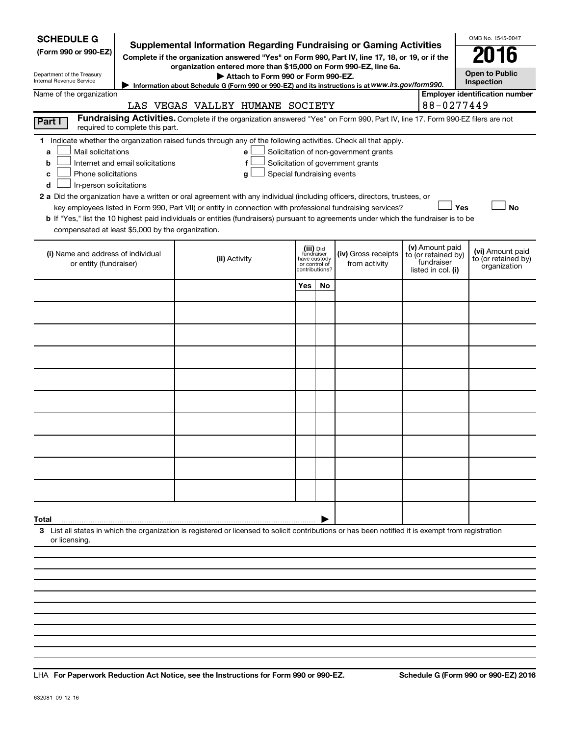| <b>SCHEDULE G</b><br><b>Supplemental Information Regarding Fundraising or Gaming Activities</b><br>(Form 990 or 990-EZ)<br>Complete if the organization answered "Yes" on Form 990, Part IV, line 17, 18, or 19, or if the<br>organization entered more than \$15,000 on Form 990-EZ, line 6a.<br>Department of the Treasury<br>Internal Revenue Service<br>Information about Schedule G (Form 990 or 990-EZ) and its instructions is at WWW.irs.gov/form990.                                                                                                                                                                                                                                                                                                                        | OMB No. 1545-0047<br><b>Open to Public</b><br>Inspection                                                                      |                                                                            |    |                                      |  |                                                                            |                                                         |  |
|--------------------------------------------------------------------------------------------------------------------------------------------------------------------------------------------------------------------------------------------------------------------------------------------------------------------------------------------------------------------------------------------------------------------------------------------------------------------------------------------------------------------------------------------------------------------------------------------------------------------------------------------------------------------------------------------------------------------------------------------------------------------------------------|-------------------------------------------------------------------------------------------------------------------------------|----------------------------------------------------------------------------|----|--------------------------------------|--|----------------------------------------------------------------------------|---------------------------------------------------------|--|
| <b>Employer identification number</b><br>Name of the organization<br>88-0277449<br>LAS VEGAS VALLEY HUMANE SOCIETY                                                                                                                                                                                                                                                                                                                                                                                                                                                                                                                                                                                                                                                                   |                                                                                                                               |                                                                            |    |                                      |  |                                                                            |                                                         |  |
|                                                                                                                                                                                                                                                                                                                                                                                                                                                                                                                                                                                                                                                                                                                                                                                      | Fundraising Activities. Complete if the organization answered "Yes" on Form 990, Part IV, line 17. Form 990-EZ filers are not |                                                                            |    |                                      |  |                                                                            |                                                         |  |
| Part I<br>required to complete this part.                                                                                                                                                                                                                                                                                                                                                                                                                                                                                                                                                                                                                                                                                                                                            |                                                                                                                               |                                                                            |    |                                      |  |                                                                            |                                                         |  |
| 1 Indicate whether the organization raised funds through any of the following activities. Check all that apply.<br>Mail solicitations<br>Solicitation of non-government grants<br>a<br>e<br>Solicitation of government grants<br>Internet and email solicitations<br>f<br>b<br>Phone solicitations<br>Special fundraising events<br>с<br>g<br>In-person solicitations<br>d<br>2 a Did the organization have a written or oral agreement with any individual (including officers, directors, trustees, or<br>Yes<br><b>No</b><br>key employees listed in Form 990, Part VII) or entity in connection with professional fundraising services?<br>b If "Yes," list the 10 highest paid individuals or entities (fundraisers) pursuant to agreements under which the fundraiser is to be |                                                                                                                               |                                                                            |    |                                      |  |                                                                            |                                                         |  |
| compensated at least \$5,000 by the organization.                                                                                                                                                                                                                                                                                                                                                                                                                                                                                                                                                                                                                                                                                                                                    |                                                                                                                               |                                                                            |    |                                      |  |                                                                            |                                                         |  |
| (i) Name and address of individual<br>or entity (fundraiser)                                                                                                                                                                                                                                                                                                                                                                                                                                                                                                                                                                                                                                                                                                                         | (ii) Activity                                                                                                                 | (iii) Did<br>fundraiser<br>have custody<br>or control of<br>contributions? |    | (iv) Gross receipts<br>from activity |  | (v) Amount paid<br>to (or retained by)<br>fundraiser<br>listed in col. (i) | (vi) Amount paid<br>to (or retained by)<br>organization |  |
|                                                                                                                                                                                                                                                                                                                                                                                                                                                                                                                                                                                                                                                                                                                                                                                      |                                                                                                                               | Yes                                                                        | No |                                      |  |                                                                            |                                                         |  |
|                                                                                                                                                                                                                                                                                                                                                                                                                                                                                                                                                                                                                                                                                                                                                                                      |                                                                                                                               |                                                                            |    |                                      |  |                                                                            |                                                         |  |
|                                                                                                                                                                                                                                                                                                                                                                                                                                                                                                                                                                                                                                                                                                                                                                                      |                                                                                                                               |                                                                            |    |                                      |  |                                                                            |                                                         |  |
|                                                                                                                                                                                                                                                                                                                                                                                                                                                                                                                                                                                                                                                                                                                                                                                      |                                                                                                                               |                                                                            |    |                                      |  |                                                                            |                                                         |  |
|                                                                                                                                                                                                                                                                                                                                                                                                                                                                                                                                                                                                                                                                                                                                                                                      |                                                                                                                               |                                                                            |    |                                      |  |                                                                            |                                                         |  |
|                                                                                                                                                                                                                                                                                                                                                                                                                                                                                                                                                                                                                                                                                                                                                                                      |                                                                                                                               |                                                                            |    |                                      |  |                                                                            |                                                         |  |
|                                                                                                                                                                                                                                                                                                                                                                                                                                                                                                                                                                                                                                                                                                                                                                                      |                                                                                                                               |                                                                            |    |                                      |  |                                                                            |                                                         |  |
|                                                                                                                                                                                                                                                                                                                                                                                                                                                                                                                                                                                                                                                                                                                                                                                      |                                                                                                                               |                                                                            |    |                                      |  |                                                                            |                                                         |  |
|                                                                                                                                                                                                                                                                                                                                                                                                                                                                                                                                                                                                                                                                                                                                                                                      |                                                                                                                               |                                                                            |    |                                      |  |                                                                            |                                                         |  |
|                                                                                                                                                                                                                                                                                                                                                                                                                                                                                                                                                                                                                                                                                                                                                                                      |                                                                                                                               |                                                                            |    |                                      |  |                                                                            |                                                         |  |
| Total                                                                                                                                                                                                                                                                                                                                                                                                                                                                                                                                                                                                                                                                                                                                                                                |                                                                                                                               |                                                                            |    |                                      |  |                                                                            |                                                         |  |
| 3 List all states in which the organization is registered or licensed to solicit contributions or has been notified it is exempt from registration<br>or licensing                                                                                                                                                                                                                                                                                                                                                                                                                                                                                                                                                                                                                   |                                                                                                                               |                                                                            |    |                                      |  |                                                                            |                                                         |  |
|                                                                                                                                                                                                                                                                                                                                                                                                                                                                                                                                                                                                                                                                                                                                                                                      |                                                                                                                               |                                                                            |    |                                      |  |                                                                            |                                                         |  |

**For Paperwork Reduction Act Notice, see the Instructions for Form 990 or 990-EZ. Schedule G (Form 990 or 990-EZ) 2016** LHA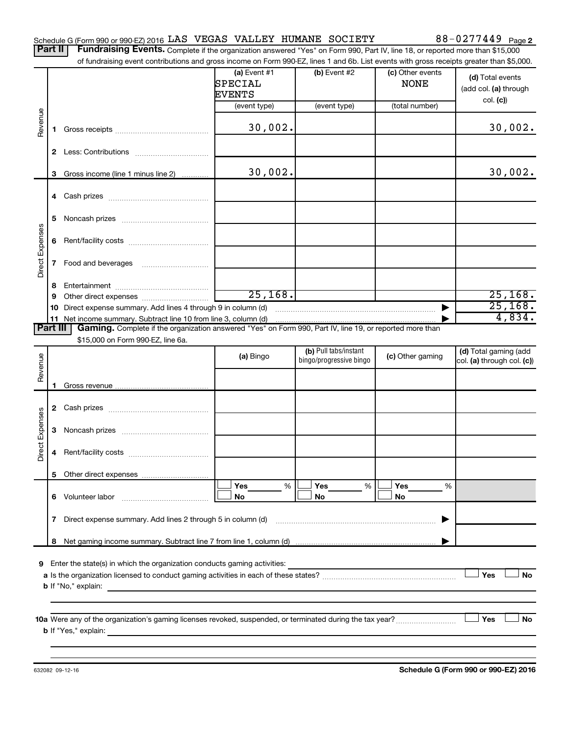|  | Schedule G (Form 990 or 990-EZ) 2016 LAS VEGAS VALLEY HUMANE SOCIETY |  |  |  |  | 88-0277449 $_{Page 2}$ |  |
|--|----------------------------------------------------------------------|--|--|--|--|------------------------|--|
|--|----------------------------------------------------------------------|--|--|--|--|------------------------|--|

Part II | Fundraising Events. Complete if the organization answered "Yes" on Form 990, Part IV, line 18, or reported more than \$15,000 of fundraising event contributions and gross income on Form 990-EZ, lines 1 and 6b. List events with gross receipts greater than \$5,000.

|                 |              | of fundraising event contributions and gross income on Form 990-EZ, lines 1 and 6b. List events with gross receipts greater than \$5,000.                                                                                                                                                                                                              |                                            |                                                  |                                 |                                                     |
|-----------------|--------------|--------------------------------------------------------------------------------------------------------------------------------------------------------------------------------------------------------------------------------------------------------------------------------------------------------------------------------------------------------|--------------------------------------------|--------------------------------------------------|---------------------------------|-----------------------------------------------------|
|                 |              |                                                                                                                                                                                                                                                                                                                                                        | (a) Event $#1$<br>SPECIAL<br><b>EVENTS</b> | $(b)$ Event #2                                   | (c) Other events<br><b>NONE</b> | (d) Total events<br>(add col. (a) through           |
|                 |              |                                                                                                                                                                                                                                                                                                                                                        | (event type)                               | (event type)                                     | (total number)                  | col. (c)                                            |
| Revenue         | 1.           |                                                                                                                                                                                                                                                                                                                                                        | 30,002.                                    |                                                  |                                 | 30,002.                                             |
|                 |              |                                                                                                                                                                                                                                                                                                                                                        |                                            |                                                  |                                 |                                                     |
|                 | 3            | Gross income (line 1 minus line 2)                                                                                                                                                                                                                                                                                                                     | 30,002.                                    |                                                  |                                 | 30,002.                                             |
|                 |              |                                                                                                                                                                                                                                                                                                                                                        |                                            |                                                  |                                 |                                                     |
|                 | 5            |                                                                                                                                                                                                                                                                                                                                                        |                                            |                                                  |                                 |                                                     |
| Direct Expenses | 6            |                                                                                                                                                                                                                                                                                                                                                        |                                            |                                                  |                                 |                                                     |
|                 | $\mathbf{7}$ |                                                                                                                                                                                                                                                                                                                                                        |                                            |                                                  |                                 |                                                     |
|                 | 8            |                                                                                                                                                                                                                                                                                                                                                        |                                            |                                                  |                                 |                                                     |
|                 | 9            |                                                                                                                                                                                                                                                                                                                                                        | 25,168.                                    |                                                  |                                 | 25, 168.<br>25,168.                                 |
|                 |              | 10 Direct expense summary. Add lines 4 through 9 in column (d)<br>11 Net income summary. Subtract line 10 from line 3, column (d)                                                                                                                                                                                                                      |                                            |                                                  |                                 | 4,834.                                              |
| <b>Part III</b> |              | Gaming. Complete if the organization answered "Yes" on Form 990, Part IV, line 19, or reported more than                                                                                                                                                                                                                                               |                                            |                                                  |                                 |                                                     |
|                 |              | \$15,000 on Form 990-EZ, line 6a.                                                                                                                                                                                                                                                                                                                      |                                            |                                                  |                                 |                                                     |
| Revenue         |              |                                                                                                                                                                                                                                                                                                                                                        | (a) Bingo                                  | (b) Pull tabs/instant<br>bingo/progressive bingo | (c) Other gaming                | (d) Total gaming (add<br>col. (a) through col. (c)) |
|                 | 1            |                                                                                                                                                                                                                                                                                                                                                        |                                            |                                                  |                                 |                                                     |
|                 |              |                                                                                                                                                                                                                                                                                                                                                        |                                            |                                                  |                                 |                                                     |
|                 |              |                                                                                                                                                                                                                                                                                                                                                        |                                            |                                                  |                                 |                                                     |
|                 | 3            |                                                                                                                                                                                                                                                                                                                                                        |                                            |                                                  |                                 |                                                     |
| Direct Expenses | 4            |                                                                                                                                                                                                                                                                                                                                                        |                                            |                                                  |                                 |                                                     |
|                 |              |                                                                                                                                                                                                                                                                                                                                                        |                                            |                                                  |                                 |                                                     |
|                 |              | 6 Volunteer labor                                                                                                                                                                                                                                                                                                                                      | %<br>Yes<br>No                             | Yes<br>%<br>No                                   | Yes<br>%<br>No                  |                                                     |
|                 | 7            | Direct expense summary. Add lines 2 through 5 in column (d)                                                                                                                                                                                                                                                                                            |                                            |                                                  |                                 |                                                     |
|                 | 8            |                                                                                                                                                                                                                                                                                                                                                        |                                            |                                                  |                                 |                                                     |
|                 |              | 9 Enter the state(s) in which the organization conducts gaming activities:<br><b>b</b> If "No," explain:<br><u> 1980 - Jan Samuel Barbara, margaret e populari e populari e populari e populari e populari e populari e popu</u>                                                                                                                       |                                            |                                                  |                                 | Yes<br>No                                           |
|                 |              | 10a Were any of the organization's gaming licenses revoked, suspended, or terminated during the tax year?<br><b>b</b> If "Yes," explain: <u>All and the set of the set of the set of the set of the set of the set of the set of the set of the set of the set of the set of the set of the set of the set of the set of the set of the set of the</u> |                                            |                                                  |                                 | Yes<br>No                                           |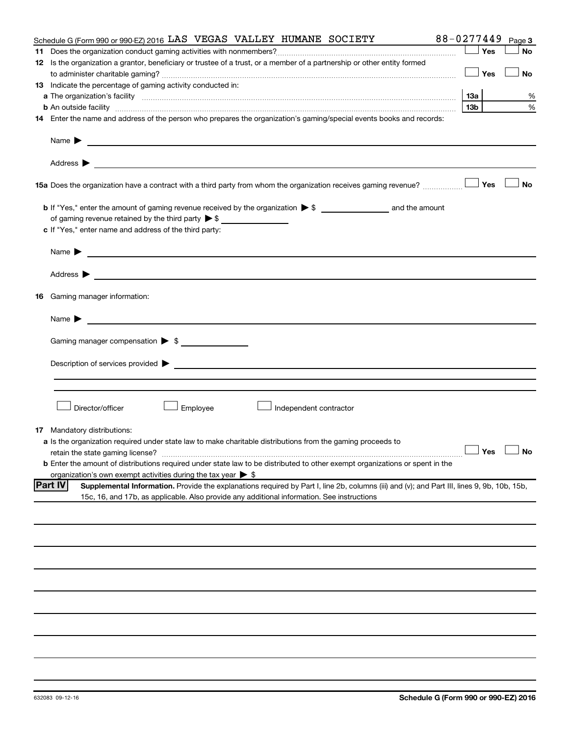| Schedule G (Form 990 or 990-EZ) 2016 LAS VEGAS VALLEY HUMANE SOCIETY                                                                                                                                                                                               | 88-0277449      | Page 3               |
|--------------------------------------------------------------------------------------------------------------------------------------------------------------------------------------------------------------------------------------------------------------------|-----------------|----------------------|
|                                                                                                                                                                                                                                                                    | Yes             | <b>No</b>            |
| 12 Is the organization a grantor, beneficiary or trustee of a trust, or a member of a partnership or other entity formed                                                                                                                                           |                 |                      |
|                                                                                                                                                                                                                                                                    | Yes             | <b>No</b>            |
| 13 Indicate the percentage of gaming activity conducted in:                                                                                                                                                                                                        |                 |                      |
|                                                                                                                                                                                                                                                                    | 1За             | %                    |
| <b>b</b> An outside facility <i>www.communicality www.communicality.communicality www.communicality www.communicality.communicality www.communicality.com</i>                                                                                                      | 13 <sub>b</sub> | %                    |
| 14 Enter the name and address of the person who prepares the organization's gaming/special events books and records:                                                                                                                                               |                 |                      |
|                                                                                                                                                                                                                                                                    |                 |                      |
| Name $\blacktriangleright$<br><u>and the control of the control of the control of the control of the control of the control of</u>                                                                                                                                 |                 |                      |
|                                                                                                                                                                                                                                                                    |                 |                      |
| <b>15a</b> Does the organization have a contract with a third party from whom the organization receives gaming revenue? $\ldots$                                                                                                                                   |                 | <b>No</b>            |
|                                                                                                                                                                                                                                                                    |                 |                      |
|                                                                                                                                                                                                                                                                    |                 |                      |
| c If "Yes," enter name and address of the third party:                                                                                                                                                                                                             |                 |                      |
|                                                                                                                                                                                                                                                                    |                 |                      |
| <u>and the state of the state of the state of the state of the state of the state of the state of the state of the state of the state of the state of the state of the state of the state of the state of the state of the state</u><br>Name $\blacktriangleright$ |                 |                      |
| Address $\blacktriangleright$<br><u>and the control of the control of the control of the control of the control of the control of the control of</u>                                                                                                               |                 |                      |
| <b>16</b> Gaming manager information:                                                                                                                                                                                                                              |                 |                      |
| <u> 1989 - Johann John Stein, markin f</u><br>Name $\blacktriangleright$                                                                                                                                                                                           |                 |                      |
| Gaming manager compensation > \$                                                                                                                                                                                                                                   |                 |                      |
|                                                                                                                                                                                                                                                                    |                 |                      |
| Description of services provided states and the control of the control of the control of services provided states and the control of the control of the control of the control of the control of the control of the control of                                     |                 |                      |
|                                                                                                                                                                                                                                                                    |                 |                      |
|                                                                                                                                                                                                                                                                    |                 |                      |
|                                                                                                                                                                                                                                                                    |                 |                      |
| Director/officer<br>Employee<br>Independent contractor                                                                                                                                                                                                             |                 |                      |
|                                                                                                                                                                                                                                                                    |                 |                      |
| <b>17</b> Mandatory distributions:                                                                                                                                                                                                                                 |                 |                      |
| a Is the organization required under state law to make charitable distributions from the gaming proceeds to                                                                                                                                                        |                 |                      |
| retain the state gaming license?                                                                                                                                                                                                                                   |                 | $\Box$ Yes $\Box$ No |
| <b>b</b> Enter the amount of distributions required under state law to be distributed to other exempt organizations or spent in the                                                                                                                                |                 |                      |
| organization's own exempt activities during the tax year $\triangleright$ \$                                                                                                                                                                                       |                 |                      |
| <b>Part IV</b><br>Supplemental Information. Provide the explanations required by Part I, line 2b, columns (iii) and (v); and Part III, lines 9, 9b, 10b, 15b,                                                                                                      |                 |                      |
| 15c, 16, and 17b, as applicable. Also provide any additional information. See instructions                                                                                                                                                                         |                 |                      |
|                                                                                                                                                                                                                                                                    |                 |                      |
|                                                                                                                                                                                                                                                                    |                 |                      |
|                                                                                                                                                                                                                                                                    |                 |                      |
|                                                                                                                                                                                                                                                                    |                 |                      |
|                                                                                                                                                                                                                                                                    |                 |                      |
|                                                                                                                                                                                                                                                                    |                 |                      |
|                                                                                                                                                                                                                                                                    |                 |                      |
|                                                                                                                                                                                                                                                                    |                 |                      |
|                                                                                                                                                                                                                                                                    |                 |                      |
|                                                                                                                                                                                                                                                                    |                 |                      |
|                                                                                                                                                                                                                                                                    |                 |                      |
|                                                                                                                                                                                                                                                                    |                 |                      |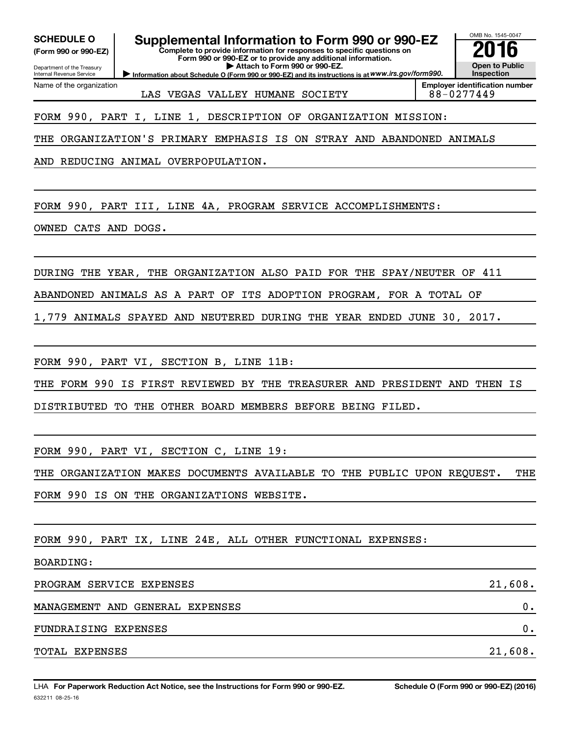**(Form 990 or 990-EZ)**

Department of the Treasury Internal Revenue Service

Name of the organization

**SCHEDULE O Supplemental Information to Form 990 or 990-EZ 2016**

**Complete to provide information for responses to specific questions on Form 990 or 990-EZ or to provide any additional information. | Attach to Form 990 or 990-EZ.**

**Information about Schedule O (Form 990 or 990-EZ) and its instructions is at WWW.irs.gov/form990.** 

OMB No. 1545-0047 **Open to Public Inspection**

LAS VEGAS VALLEY HUMANE SOCIETY 88-0277449

**Employer identification number**

FORM 990, PART I, LINE 1, DESCRIPTION OF ORGANIZATION MISSION:

THE ORGANIZATION'S PRIMARY EMPHASIS IS ON STRAY AND ABANDONED ANIMALS

AND REDUCING ANIMAL OVERPOPULATION.

FORM 990, PART III, LINE 4A, PROGRAM SERVICE ACCOMPLISHMENTS:

OWNED CATS AND DOGS.

DURING THE YEAR, THE ORGANIZATION ALSO PAID FOR THE SPAY/NEUTER OF 411

ABANDONED ANIMALS AS A PART OF ITS ADOPTION PROGRAM, FOR A TOTAL OF

1,779 ANIMALS SPAYED AND NEUTERED DURING THE YEAR ENDED JUNE 30, 2017.

FORM 990, PART VI, SECTION B, LINE 11B:

THE FORM 990 IS FIRST REVIEWED BY THE TREASURER AND PRESIDENT AND THEN IS

DISTRIBUTED TO THE OTHER BOARD MEMBERS BEFORE BEING FILED.

FORM 990, PART VI, SECTION C, LINE 19:

THE ORGANIZATION MAKES DOCUMENTS AVAILABLE TO THE PUBLIC UPON REQUEST. THE FORM 990 IS ON THE ORGANIZATIONS WEBSITE.

FORM 990, PART IX, LINE 24E, ALL OTHER FUNCTIONAL EXPENSES:

BOARDING:

| PROGRAM SERVICE EXPENSES        | 21,608. |
|---------------------------------|---------|
| MANAGEMENT AND GENERAL EXPENSES | ο.      |
| FUNDRAISING EXPENSES            | ο.      |
| TOTAL EXPENSES                  | 21,608. |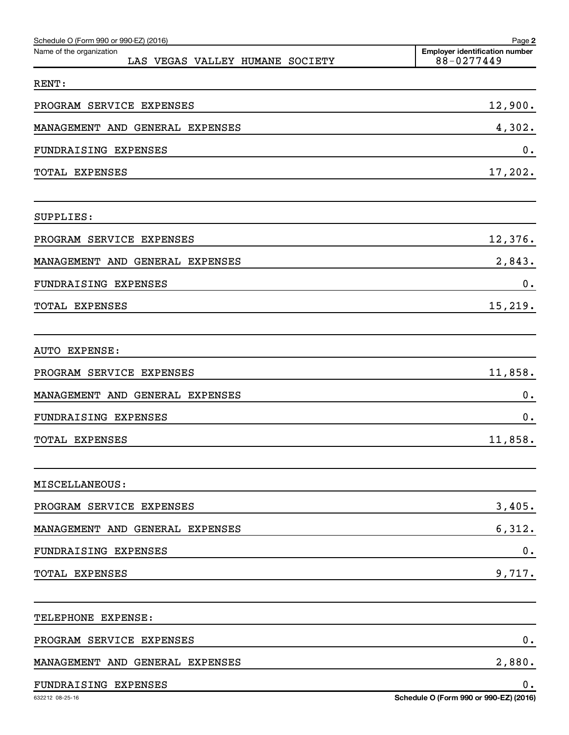| Schedule O (Form 990 or 990-EZ) (2016)                      | Page 2                                              |
|-------------------------------------------------------------|-----------------------------------------------------|
| Name of the organization<br>LAS VEGAS VALLEY HUMANE SOCIETY | <b>Employer identification number</b><br>88-0277449 |
| RENT:                                                       |                                                     |
| PROGRAM SERVICE EXPENSES                                    | 12,900.                                             |
| MANAGEMENT AND GENERAL EXPENSES                             | 4,302.                                              |
| <b>FUNDRAISING EXPENSES</b>                                 | 0.                                                  |
| TOTAL EXPENSES                                              | 17,202.                                             |
| SUPPLIES:                                                   |                                                     |
| PROGRAM SERVICE EXPENSES                                    | 12,376.                                             |
| MANAGEMENT AND GENERAL EXPENSES                             | 2,843.                                              |
| <b>FUNDRAISING EXPENSES</b>                                 | 0.                                                  |
| TOTAL EXPENSES                                              | 15,219.                                             |
| AUTO EXPENSE:                                               |                                                     |
| PROGRAM SERVICE EXPENSES                                    | 11,858.                                             |
| MANAGEMENT AND GENERAL EXPENSES                             | 0.                                                  |
| FUNDRAISING EXPENSES                                        | 0.                                                  |
| TOTAL EXPENSES                                              | 11,858.                                             |
| MISCELLANEOUS:                                              |                                                     |
| PROGRAM SERVICE EXPENSES                                    | 3,405.                                              |
| MANAGEMENT AND GENERAL EXPENSES                             | 6,312.                                              |
| FUNDRAISING EXPENSES                                        | 0.                                                  |
| TOTAL EXPENSES                                              | 9,717.                                              |
| TELEPHONE EXPENSE:                                          |                                                     |
| PROGRAM SERVICE EXPENSES                                    | $\mathbf 0$ .                                       |
| MANAGEMENT AND GENERAL EXPENSES                             | 2,880.                                              |
| FUNDRAISING EXPENSES                                        | 0.                                                  |